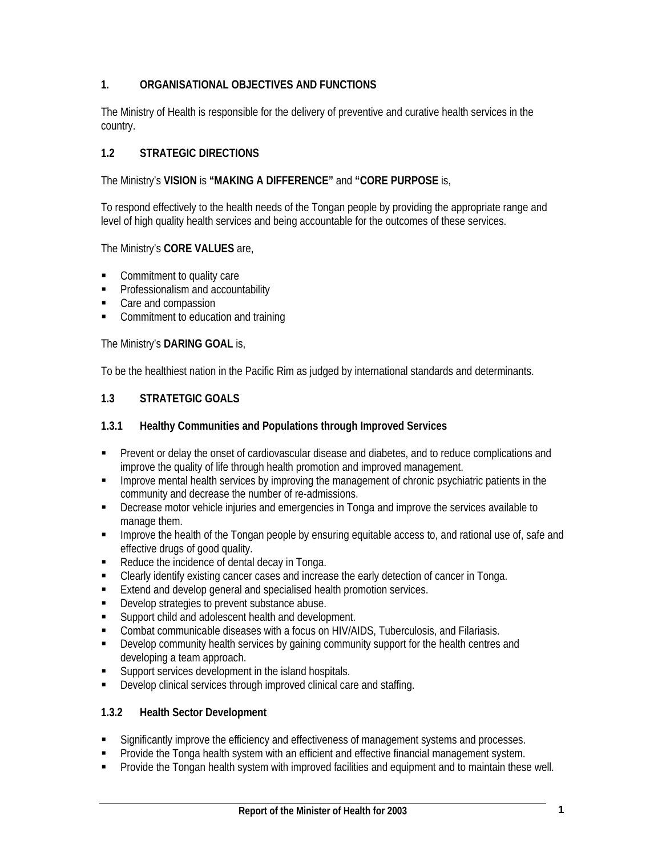## **1. ORGANISATIONAL OBJECTIVES AND FUNCTIONS**

The Ministry of Health is responsible for the delivery of preventive and curative health services in the country.

## **1.2 STRATEGIC DIRECTIONS**

The Ministry's **VISION** is **"MAKING A DIFFERENCE"** and **"CORE PURPOSE** is,

To respond effectively to the health needs of the Tongan people by providing the appropriate range and level of high quality health services and being accountable for the outcomes of these services.

### The Ministry's **CORE VALUES** are,

- Commitment to quality care
- **•** Professionalism and accountability
- Care and compassion
- **•** Commitment to education and training

### The Ministry's **DARING GOAL** is,

To be the healthiest nation in the Pacific Rim as judged by international standards and determinants.

## **1.3 STRATETGIC GOALS**

### **1.3.1 Healthy Communities and Populations through Improved Services**

- Prevent or delay the onset of cardiovascular disease and diabetes, and to reduce complications and improve the quality of life through health promotion and improved management.
- **IMPROVER MEDIA MENUTION SETTLE SETTLE INCOCONTRACT INCOCONTRACT IS EXAMPLE THE INCOCONTRACT IN THE INCOCONTRACT INCOCONTRACT IN the INCOCONTRACT IS NOT SETTLE INCOCONTRACT IN THE INCOCONTRACT IN THE INCOCONTRACT INCOCONTR** community and decrease the number of re-admissions.
- Decrease motor vehicle injuries and emergencies in Tonga and improve the services available to manage them.
- **IMPROVE THE HEALT IMPLE THE TONG AT A TO ADDEN** access to an and rational use of, safe and effective drugs of good quality.
- Reduce the incidence of dental decay in Tonga.
- Clearly identify existing cancer cases and increase the early detection of cancer in Tonga.
- **Extend and develop general and specialised health promotion services.**
- Develop strategies to prevent substance abuse.
- Support child and adolescent health and development.
- Combat communicable diseases with a focus on HIV/AIDS, Tuberculosis, and Filariasis.
- Develop community health services by gaining community support for the health centres and developing a team approach.
- **Support services development in the island hospitals.**
- Develop clinical services through improved clinical care and staffing.

#### **1.3.2 Health Sector Development**

- Significantly improve the efficiency and effectiveness of management systems and processes.<br>
Provide the Tonga health system with an efficient and effective financial management system
- Provide the Tonga health system with an efficient and effective financial management system.
- **Provide the Tongan health system with improved facilities and equipment and to maintain these well.**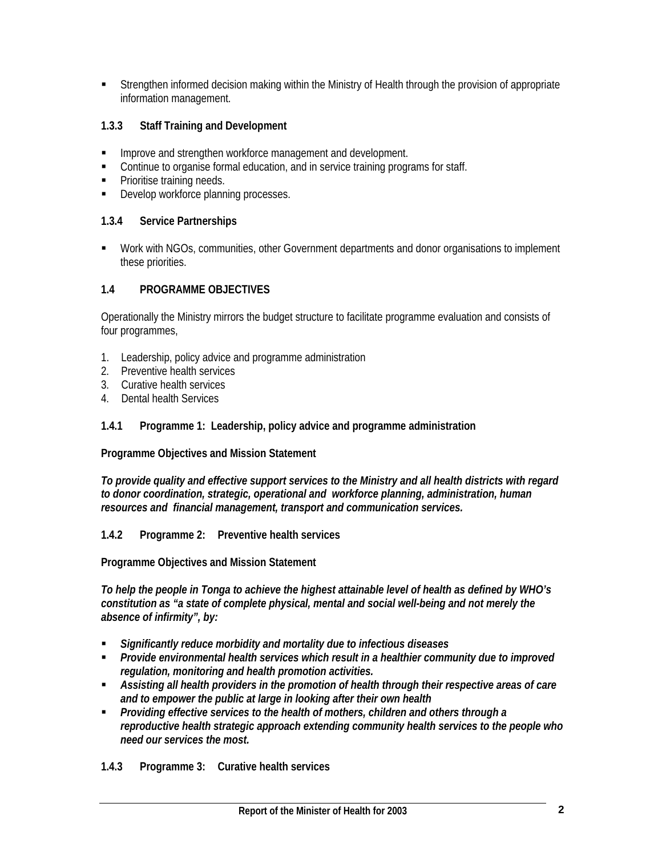Strengthen informed decision making within the Ministry of Health through the provision of appropriate information management.

## **1.3.3 Staff Training and Development**

- **IMPROVE and strengthen workforce management and development.**
- **Continue to organise formal education, and in service training programs for staff.**
- **Prioritise training needs.**
- Develop workforce planning processes.

## **1.3.4 Service Partnerships**

 Work with NGOs, communities, other Government departments and donor organisations to implement these priorities.

## **1.4 PROGRAMME OBJECTIVES**

Operationally the Ministry mirrors the budget structure to facilitate programme evaluation and consists of four programmes,

- 1. Leadership, policy advice and programme administration
- 2. Preventive health services
- 3. Curative health services
- 4. Dental health Services

## **1.4.1 Programme 1: Leadership, policy advice and programme administration**

**Programme Objectives and Mission Statement** 

*To provide quality and effective support services to the Ministry and all health districts with regard to donor coordination, strategic, operational and workforce planning, administration, human resources and financial management, transport and communication services.* 

**1.4.2 Programme 2: Preventive health services** 

**Programme Objectives and Mission Statement** 

*To help the people in Tonga to achieve the highest attainable level of health as defined by WHO's constitution as "a state of complete physical, mental and social well-being and not merely the absence of infirmity", by:* 

- *Significantly reduce morbidity and mortality due to infectious diseases*
- *Provide environmental health services which result in a healthier community due to improved regulation, monitoring and health promotion activities.*
- *Assisting all health providers in the promotion of health through their respective areas of care and to empower the public at large in looking after their own health*
- *Providing effective services to the health of mothers, children and others through a reproductive health strategic approach extending community health services to the people who need our services the most.*
- **1.4.3 Programme 3: Curative health services**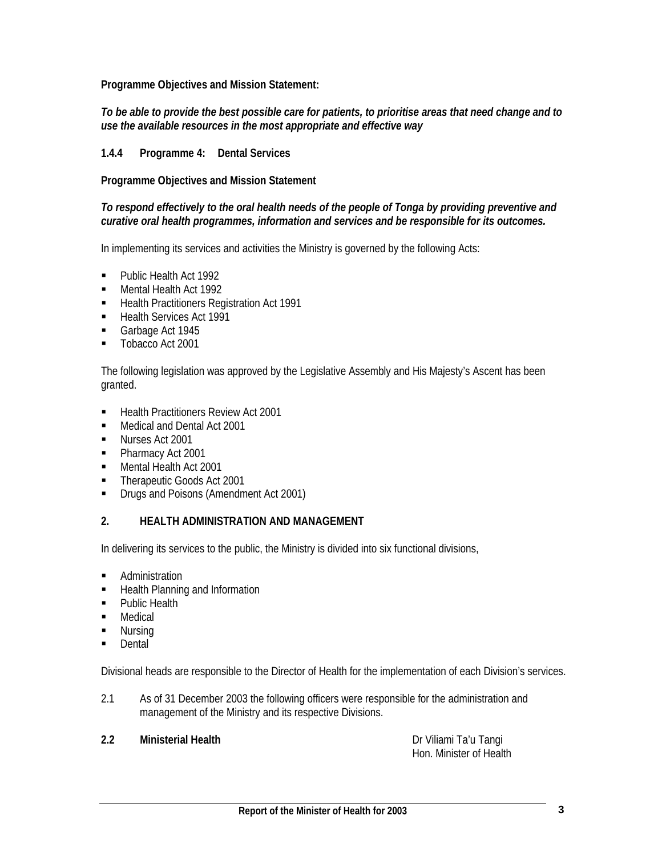**Programme Objectives and Mission Statement:** 

### *To be able to provide the best possible care for patients, to prioritise areas that need change and to use the available resources in the most appropriate and effective way*

## **1.4.4 Programme 4: Dental Services**

**Programme Objectives and Mission Statement** 

#### *To respond effectively to the oral health needs of the people of Tonga by providing preventive and curative oral health programmes, information and services and be responsible for its outcomes.*

In implementing its services and activities the Ministry is governed by the following Acts:

- **Public Health Act 1992**
- **Mental Health Act 1992**
- **Health Practitioners Registration Act 1991**
- Health Services Act 1991
- Garbage Act 1945
- **Tobacco Act 2001**

The following legislation was approved by the Legislative Assembly and His Majesty's Ascent has been granted.

- Health Practitioners Review Act 2001
- **Medical and Dental Act 2001**
- **Nurses Act 2001**
- Pharmacy Act 2001
- Mental Health Act 2001
- Therapeutic Goods Act 2001
- **Drugs and Poisons (Amendment Act 2001)**

## **2. HEALTH ADMINISTRATION AND MANAGEMENT**

In delivering its services to the public, the Ministry is divided into six functional divisions,

- **Administration**
- **Health Planning and Information**
- **Public Health**
- **Medical**
- **Nursing**
- Dental

Divisional heads are responsible to the Director of Health for the implementation of each Division's services.

2.1 As of 31 December 2003 the following officers were responsible for the administration and management of the Ministry and its respective Divisions.

## **2.2 Ministerial Health** Dr Viliami Ta'u Tangi

Hon. Minister of Health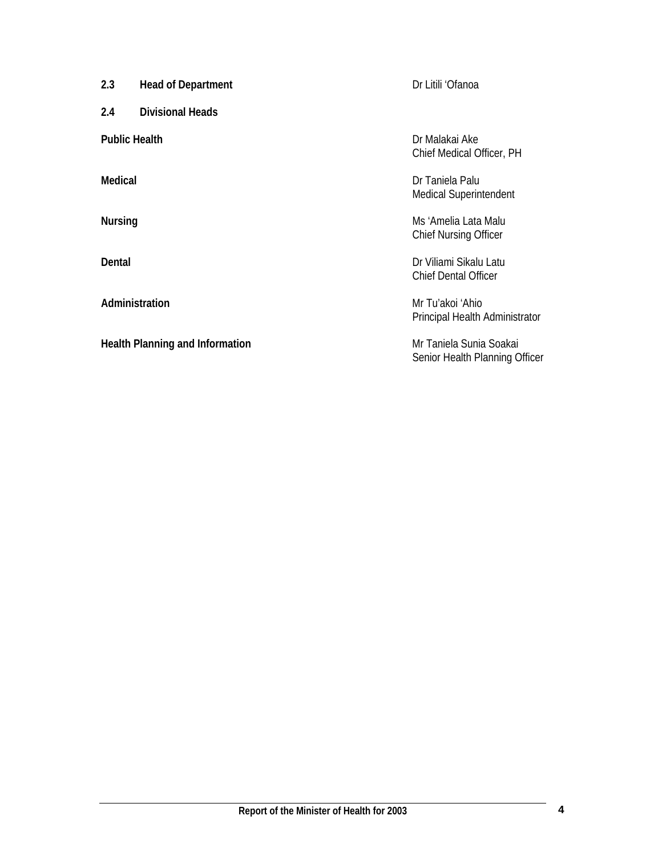**2.3** Head of Department Dr Litili 'Ofanoa

**2.4 Divisional Heads** 

Health Planning and Information **Mr Taniela Sunia Soakai** 

**Public Health** Dr Malakai Ake Chief Medical Officer, PH

**Medical** Dr Taniela Palu Medical Superintendent

**Nursing Music Lata Malu Ms** 'Amelia Lata Malu Chief Nursing Officer

**Dental** Dr Viliami Sikalu Latu Chief Dental Officer

**Administration** Mr Tu'akoi 'Ahio Principal Health Administrator

Senior Health Planning Officer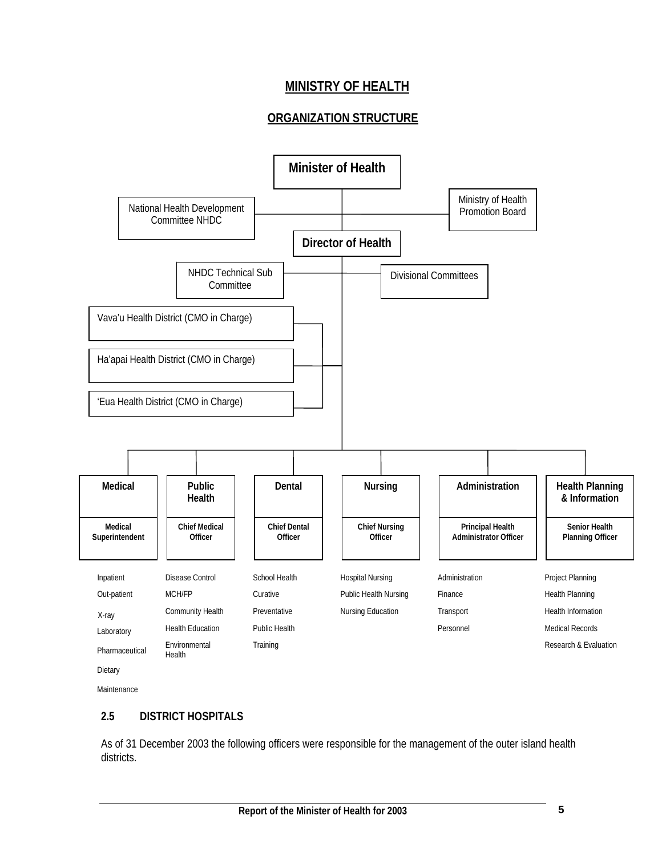# **MINISTRY OF HEALTH**

## **ORGANIZATION STRUCTURE**



Maintenance

## **2.5 DISTRICT HOSPITALS**

As of 31 December 2003 the following officers were responsible for the management of the outer island health districts.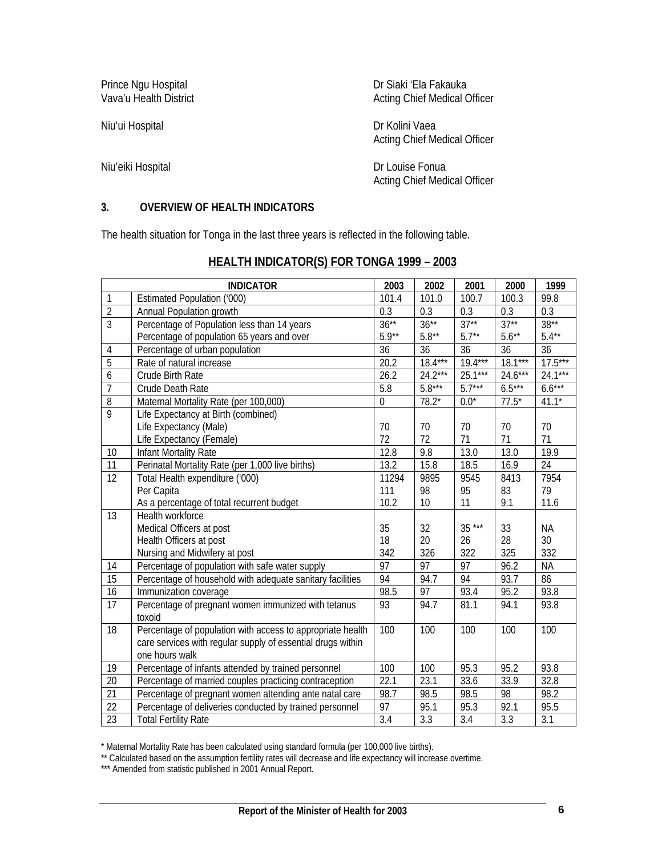Niu'ui Hospital Dr Kolini Vaea

Prince Ngu Hospital Dr Siaki 'Ela Fakauka<br>
Vava'u Health District Dr Dr Stating Chief Medical C Acting Chief Medical Officer

Acting Chief Medical Officer

Niu'eiki Hospital Dr Louise Fonua Acting Chief Medical Officer

## **3. OVERVIEW OF HEALTH INDICATORS**

The health situation for Tonga in the last three years is reflected in the following table.

|                 | <b>INDICATOR</b>                                            | 2003              | 2002             | 2001             | 2000            | 1999             |
|-----------------|-------------------------------------------------------------|-------------------|------------------|------------------|-----------------|------------------|
| 1               | Estimated Population ('000)                                 | 101.4             | 101.0            | 100.7            | 100.3           | 99.8             |
| $\overline{2}$  | Annual Population growth                                    | $\overline{0.3}$  | $\overline{0.3}$ | $\overline{0.3}$ | 0.3             | $\overline{0.3}$ |
| $\overline{3}$  | Percentage of Population less than 14 years                 | $36***$           | $36***$          | $37**$           | $37**$          | $38**$           |
|                 | Percentage of population 65 years and over                  | $5.9**$           | $5.8***$         | $5.7**$          | $5.6***$        | $5.4***$         |
| 4               | Percentage of urban population                              | $\overline{36}$   | $\overline{36}$  | 36               | $\overline{36}$ | $\overline{36}$  |
| $\overline{5}$  | Rate of natural increase                                    | 20.2              | $18.4***$        | $19.4***$        | $18.1***$       | $17.5***$        |
| 6               | Crude Birth Rate                                            | $26.\overline{2}$ | $24.2***$        | $25.1***$        | $24.6***$       | $24.1***$        |
| $\overline{7}$  | Crude Death Rate                                            | 5.8               | $5.8***$         | $5.7***$         | $6.5***$        | $6.6***$         |
| $\overline{8}$  | Maternal Mortality Rate (per 100,000)                       | $\overline{0}$    | $78.2*$          | $0.0^*$          | $77.5*$         | $41.1*$          |
| 9               | Life Expectancy at Birth (combined)                         |                   |                  |                  |                 |                  |
|                 | Life Expectancy (Male)                                      | 70                | 70               | 70               | 70              | 70               |
|                 | Life Expectancy (Female)                                    | 72                | 72               | 71               | 71              | 71               |
| 10              | Infant Mortality Rate                                       | 12.8              | 9.8              | 13.0             | 13.0            | 19.9             |
| 11              | Perinatal Mortality Rate (per 1,000 live births)            | 13.2              | 15.8             | 18.5             | 16.9            | 24               |
| $\overline{12}$ | Total Health expenditure ('000)                             | 11294             | 9895             | 9545             | 8413            | 7954             |
|                 | Per Capita                                                  | 111               | 98               | 95               | 83              | 79               |
|                 | As a percentage of total recurrent budget                   | 10.2              | 10               | 11               | 9.1             | 11.6             |
| 13              | Health workforce                                            |                   |                  |                  |                 |                  |
|                 | Medical Officers at post                                    | 35                | 32               | $35***$          | 33              | <b>NA</b>        |
|                 | Health Officers at post                                     | 18                | 20               | 26               | 28              | 30               |
|                 | Nursing and Midwifery at post                               | 342               | 326              | 322              | 325             | 332              |
| 14              | Percentage of population with safe water supply             | $\overline{97}$   | $\overline{97}$  | $\overline{97}$  | 96.2            | <b>NA</b>        |
| $\overline{15}$ | Percentage of household with adequate sanitary facilities   | 94                | 94.7             | 94               | 93.7            | 86               |
| 16              | Immunization coverage                                       | 98.5              | 97               | 93.4             | 95.2            | 93.8             |
| $\overline{17}$ | Percentage of pregnant women immunized with tetanus         | 93                | 94.7             | 81.1             | 94.1            | 93.8             |
|                 | toxoid                                                      |                   |                  |                  |                 |                  |
| $\overline{18}$ | Percentage of population with access to appropriate health  | 100               | 100              | 100              | 100             | 100              |
|                 | care services with regular supply of essential drugs within |                   |                  |                  |                 |                  |
|                 | one hours walk                                              |                   |                  |                  |                 |                  |
| 19              | Percentage of infants attended by trained personnel         | 100               | 100              | 95.3             | 95.2            | 93.8             |
| 20              | Percentage of married couples practicing contraception      | 22.1              | 23.1             | 33.6             | 33.9            | 32.8             |
| $\overline{21}$ | Percentage of pregnant women attending ante natal care      | 98.7              | 98.5             | 98.5             | $\overline{98}$ | 98.2             |
| $\overline{22}$ | Percentage of deliveries conducted by trained personnel     | 97                | 95.1             | 95.3             | 92.1            | 95.5             |
| $\overline{23}$ | <b>Total Fertility Rate</b>                                 | 3.4               | $\overline{3.3}$ | 3.4              | 3.3             | 3.1              |

## **HEALTH INDICATOR(S) FOR TONGA 1999 – 2003**

\* Maternal Mortality Rate has been calculated using standard formula (per 100,000 live births).

\*\* Calculated based on the assumption fertility rates will decrease and life expectancy will increase overtime.

\*\*\* Amended from statistic published in 2001 Annual Report.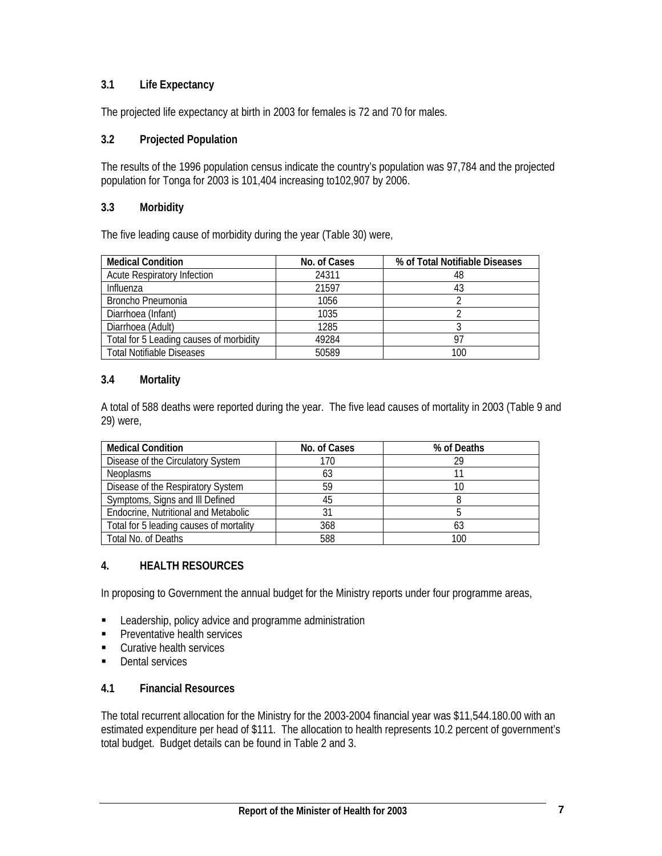## **3.1 Life Expectancy**

The projected life expectancy at birth in 2003 for females is 72 and 70 for males.

## **3.2 Projected Population**

The results of the 1996 population census indicate the country's population was 97,784 and the projected population for Tonga for 2003 is 101,404 increasing to102,907 by 2006.

## **3.3 Morbidity**

The five leading cause of morbidity during the year (Table 30) were,

| <b>Medical Condition</b>                | No. of Cases | % of Total Notifiable Diseases |
|-----------------------------------------|--------------|--------------------------------|
| <b>Acute Respiratory Infection</b>      | 24311        | 48                             |
| Influenza                               | 21597        | 43                             |
| Broncho Pneumonia                       | 1056         |                                |
| Diarrhoea (Infant)                      | 1035         |                                |
| Diarrhoea (Adult)                       | 1285         |                                |
| Total for 5 Leading causes of morbidity | 49284        | 07                             |
| <b>Total Notifiable Diseases</b>        | 50589        | 100                            |

## **3.4 Mortality**

A total of 588 deaths were reported during the year. The five lead causes of mortality in 2003 (Table 9 and 29) were,

| <b>Medical Condition</b>                | No. of Cases | % of Deaths |
|-----------------------------------------|--------------|-------------|
| Disease of the Circulatory System       | 170          | 20          |
| <b>Neoplasms</b>                        | 63           |             |
| Disease of the Respiratory System       | 59           | 10          |
| Symptoms, Signs and III Defined         | 45           |             |
| Endocrine, Nutritional and Metabolic    |              |             |
| Total for 5 leading causes of mortality | 368          |             |
| Total No. of Deaths                     | 588          |             |

## **4. HEALTH RESOURCES**

In proposing to Government the annual budget for the Ministry reports under four programme areas,

- **EXECUTE:** Leadership, policy advice and programme administration
- **Preventative health services**
- **Curative health services**
- **Dental services**

## **4.1 Financial Resources**

The total recurrent allocation for the Ministry for the 2003-2004 financial year was \$11,544.180.00 with an estimated expenditure per head of \$111. The allocation to health represents 10.2 percent of government's total budget. Budget details can be found in Table 2 and 3.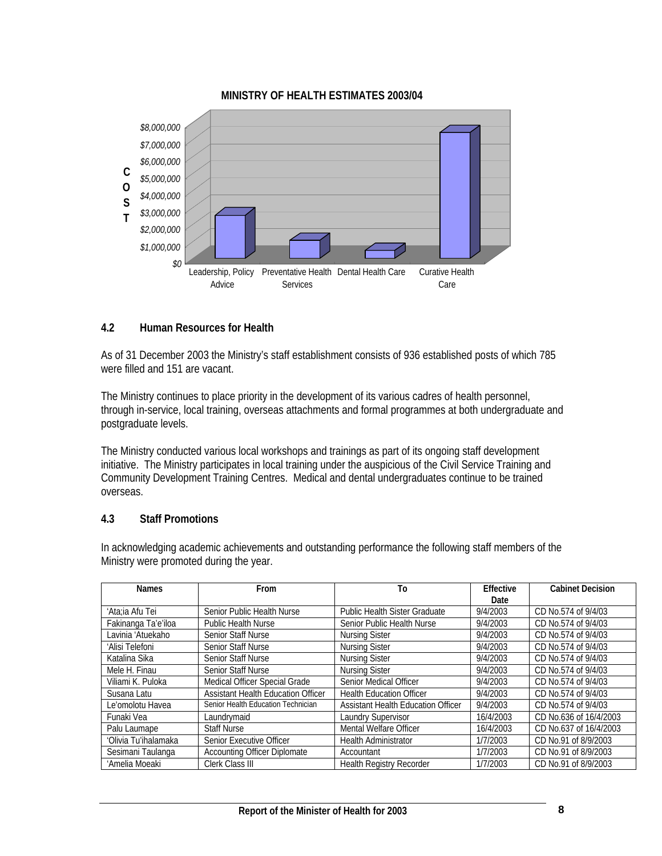

## **MINISTRY OF HEALTH ESTIMATES 2003/04**

## **4.2 Human Resources for Health**

As of 31 December 2003 the Ministry's staff establishment consists of 936 established posts of which 785 were filled and 151 are vacant.

The Ministry continues to place priority in the development of its various cadres of health personnel, through in-service, local training, overseas attachments and formal programmes at both undergraduate and postgraduate levels.

The Ministry conducted various local workshops and trainings as part of its ongoing staff development initiative. The Ministry participates in local training under the auspicious of the Civil Service Training and Community Development Training Centres. Medical and dental undergraduates continue to be trained overseas.

## **4.3 Staff Promotions**

In acknowledging academic achievements and outstanding performance the following staff members of the Ministry were promoted during the year.

| <b>Names</b>         | From                                      | To                                        | Effective | <b>Cabinet Decision</b> |
|----------------------|-------------------------------------------|-------------------------------------------|-----------|-------------------------|
|                      |                                           |                                           | Date      |                         |
| 'Ata;ia Afu Tei      | Senior Public Health Nurse                | <b>Public Health Sister Graduate</b>      | 9/4/2003  | CD No.574 of 9/4/03     |
| Fakinanga Ta'e'iloa  | <b>Public Health Nurse</b>                | Senior Public Health Nurse                | 9/4/2003  | CD No.574 of 9/4/03     |
| Lavinia 'Atuekaho    | <b>Senior Staff Nurse</b>                 | <b>Nursing Sister</b>                     | 9/4/2003  | CD No.574 of 9/4/03     |
| 'Alisi Telefoni      | <b>Senior Staff Nurse</b>                 | <b>Nursing Sister</b>                     | 9/4/2003  | CD No.574 of 9/4/03     |
| Katalina Sika        | Senior Staff Nurse                        | <b>Nursing Sister</b>                     | 9/4/2003  | CD No.574 of 9/4/03     |
| Mele H. Finau        | <b>Senior Staff Nurse</b>                 | <b>Nursing Sister</b>                     | 9/4/2003  | CD No.574 of 9/4/03     |
| Viliami K. Puloka    | Medical Officer Special Grade             | Senior Medical Officer                    | 9/4/2003  | CD No.574 of 9/4/03     |
| Susana Latu          | <b>Assistant Health Education Officer</b> | <b>Health Education Officer</b>           | 9/4/2003  | CD No.574 of 9/4/03     |
| Le'omolotu Havea     | Senior Health Education Technician        | <b>Assistant Health Education Officer</b> | 9/4/2003  | CD No.574 of 9/4/03     |
| Funaki Vea           | Laundrymaid                               | <b>Laundry Supervisor</b>                 | 16/4/2003 | CD No.636 of 16/4/2003  |
| Palu Laumape         | <b>Staff Nurse</b>                        | Mental Welfare Officer                    | 16/4/2003 | CD No.637 of 16/4/2003  |
| 'Olivia Tu'ihalamaka | Senior Executive Officer                  | <b>Health Administrator</b>               | 1/7/2003  | CD No.91 of 8/9/2003    |
| Sesimani Taulanga    | <b>Accounting Officer Diplomate</b>       | Accountant                                | 1/7/2003  | CD No.91 of 8/9/2003    |
| 'Amelia Moeaki       | Clerk Class III                           | <b>Health Registry Recorder</b>           | 1/7/2003  | CD No.91 of 8/9/2003    |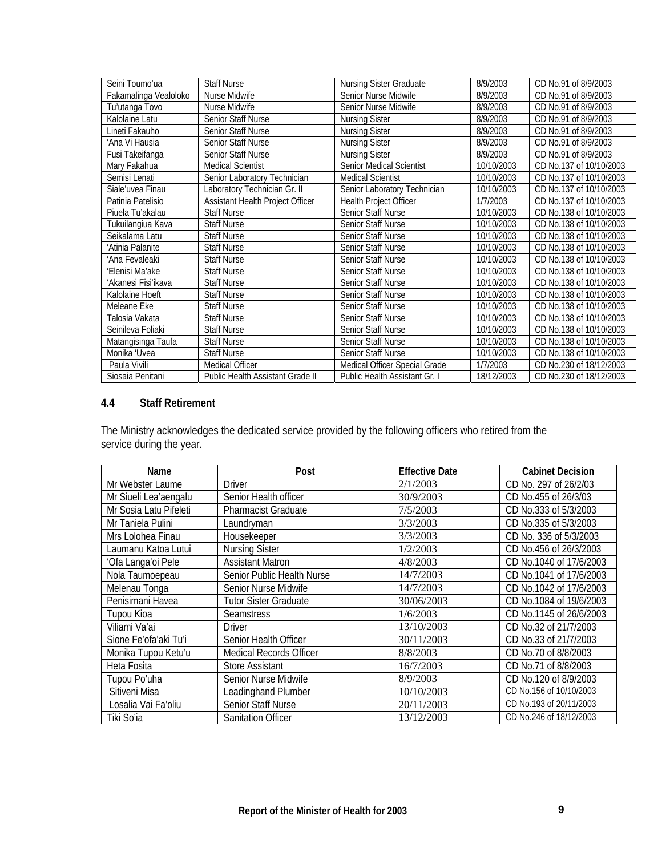| Seini Toumo'ua        | <b>Staff Nurse</b>               | Nursing Sister Graduate       | 8/9/2003   | CD No.91 of 8/9/2003    |
|-----------------------|----------------------------------|-------------------------------|------------|-------------------------|
| Fakamalinga Vealoloko | Nurse Midwife                    | Senior Nurse Midwife          | 8/9/2003   | CD No.91 of 8/9/2003    |
| Tu'utanga Tovo        | Nurse Midwife                    | Senior Nurse Midwife          | 8/9/2003   | CD No.91 of 8/9/2003    |
| Kalolaine Latu        | <b>Senior Staff Nurse</b>        | <b>Nursing Sister</b>         | 8/9/2003   | CD No.91 of 8/9/2003    |
| Lineti Fakauho        | <b>Senior Staff Nurse</b>        | <b>Nursing Sister</b>         | 8/9/2003   | CD No.91 of 8/9/2003    |
| 'Ana Vi Hausia        | <b>Senior Staff Nurse</b>        | <b>Nursing Sister</b>         | 8/9/2003   | CD No.91 of 8/9/2003    |
| Fusi Takeifanga       | Senior Staff Nurse               | <b>Nursing Sister</b>         | 8/9/2003   | CD No.91 of 8/9/2003    |
| Mary Fakahua          | <b>Medical Scientist</b>         | Senior Medical Scientist      | 10/10/2003 | CD No.137 of 10/10/2003 |
| Semisi Lenati         | Senior Laboratory Technician     | <b>Medical Scientist</b>      | 10/10/2003 | CD No.137 of 10/10/2003 |
| Siale'uvea Finau      | Laboratory Technician Gr. II     | Senior Laboratory Technician  | 10/10/2003 | CD No.137 of 10/10/2003 |
| Patinia Patelisio     | Assistant Health Project Officer | Health Project Officer        | 1/7/2003   | CD No.137 of 10/10/2003 |
| Piuela Tu'akalau      | <b>Staff Nurse</b>               | Senior Staff Nurse            | 10/10/2003 | CD No.138 of 10/10/2003 |
| Tukuilangiua Kava     | <b>Staff Nurse</b>               | Senior Staff Nurse            | 10/10/2003 | CD No.138 of 10/10/2003 |
| Seikalama Latu        | <b>Staff Nurse</b>               | Senior Staff Nurse            | 10/10/2003 | CD No.138 of 10/10/2003 |
| 'Atinia Palanite      | Staff Nurse                      | <b>Senior Staff Nurse</b>     | 10/10/2003 | CD No.138 of 10/10/2003 |
| 'Ana Fevaleaki        | Staff Nurse                      | Senior Staff Nurse            | 10/10/2003 | CD No.138 of 10/10/2003 |
| 'Elenisi Ma'ake       | <b>Staff Nurse</b>               | Senior Staff Nurse            | 10/10/2003 | CD No.138 of 10/10/2003 |
| 'Akanesi Fisi'ikava   | <b>Staff Nurse</b>               | Senior Staff Nurse            | 10/10/2003 | CD No.138 of 10/10/2003 |
| Kalolaine Hoeft       | <b>Staff Nurse</b>               | <b>Senior Staff Nurse</b>     | 10/10/2003 | CD No.138 of 10/10/2003 |
| Meleane Eke           | <b>Staff Nurse</b>               | Senior Staff Nurse            | 10/10/2003 | CD No.138 of 10/10/2003 |
| Talosia Vakata        | <b>Staff Nurse</b>               | <b>Senior Staff Nurse</b>     | 10/10/2003 | CD No.138 of 10/10/2003 |
| Seinileva Foliaki     | Staff Nurse                      | Senior Staff Nurse            | 10/10/2003 | CD No.138 of 10/10/2003 |
| Matangisinga Taufa    | <b>Staff Nurse</b>               | Senior Staff Nurse            | 10/10/2003 | CD No.138 of 10/10/2003 |
| Monika 'Uvea          | Staff Nurse                      | Senior Staff Nurse            | 10/10/2003 | CD No.138 of 10/10/2003 |
| Paula Vivili          | <b>Medical Officer</b>           | Medical Officer Special Grade | 1/7/2003   | CD No.230 of 18/12/2003 |
| Siosaia Penitani      | Public Health Assistant Grade II | Public Health Assistant Gr. I | 18/12/2003 | CD No.230 of 18/12/2003 |

## **4.4 Staff Retirement**

The Ministry acknowledges the dedicated service provided by the following officers who retired from the service during the year.

| Name                   | Post                           | <b>Effective Date</b> | <b>Cabinet Decision</b> |
|------------------------|--------------------------------|-----------------------|-------------------------|
| Mr Webster Laume       | <b>Driver</b>                  | 2/1/2003              | CD No. 297 of 26/2/03   |
| Mr Siueli Lea'aengalu  | Senior Health officer          | 30/9/2003             | CD No.455 of 26/3/03    |
| Mr Sosia Latu Pifeleti | <b>Pharmacist Graduate</b>     | 7/5/2003              | CD No.333 of 5/3/2003   |
| Mr Taniela Pulini      | Laundryman                     | 3/3/2003              | CD No.335 of 5/3/2003   |
| Mrs Lolohea Finau      | Housekeeper                    | 3/3/2003              | CD No. 336 of 5/3/2003  |
| Laumanu Katoa Lutui    | <b>Nursing Sister</b>          | 1/2/2003              | CD No.456 of 26/3/2003  |
| 'Ofa Langa'oi Pele     | <b>Assistant Matron</b>        | 4/8/2003              | CD No.1040 of 17/6/2003 |
| Nola Taumoepeau        | Senior Public Health Nurse     | 14/7/2003             | CD No.1041 of 17/6/2003 |
| Melenau Tonga          | Senior Nurse Midwife           | 14/7/2003             | CD No.1042 of 17/6/2003 |
| Penisimani Havea       | Tutor Sister Graduate          | 30/06/2003            | CD No.1084 of 19/6/2003 |
| Tupou Kioa             | <b>Seamstress</b>              | 1/6/2003              | CD No.1145 of 26/6/2003 |
| Viliami Va'ai          | <b>Driver</b>                  | 13/10/2003            | CD No.32 of 21/7/2003   |
| Sione Fe'ofa'aki Tu'i  | Senior Health Officer          | 30/11/2003            | CD No.33 of 21/7/2003   |
| Monika Tupou Ketu'u    | <b>Medical Records Officer</b> | 8/8/2003              | CD No.70 of 8/8/2003    |
| Heta Fosita            | <b>Store Assistant</b>         | 16/7/2003             | CD No.71 of 8/8/2003    |
| Tupou Po'uha           | Senior Nurse Midwife           | 8/9/2003              | CD No.120 of 8/9/2003   |
| Sitiveni Misa          | Leadinghand Plumber            | 10/10/2003            | CD No.156 of 10/10/2003 |
| Losalia Vai Fa'oliu    | Senior Staff Nurse             | 20/11/2003            | CD No.193 of 20/11/2003 |
| Tiki So'ia             | <b>Sanitation Officer</b>      | 13/12/2003            | CD No.246 of 18/12/2003 |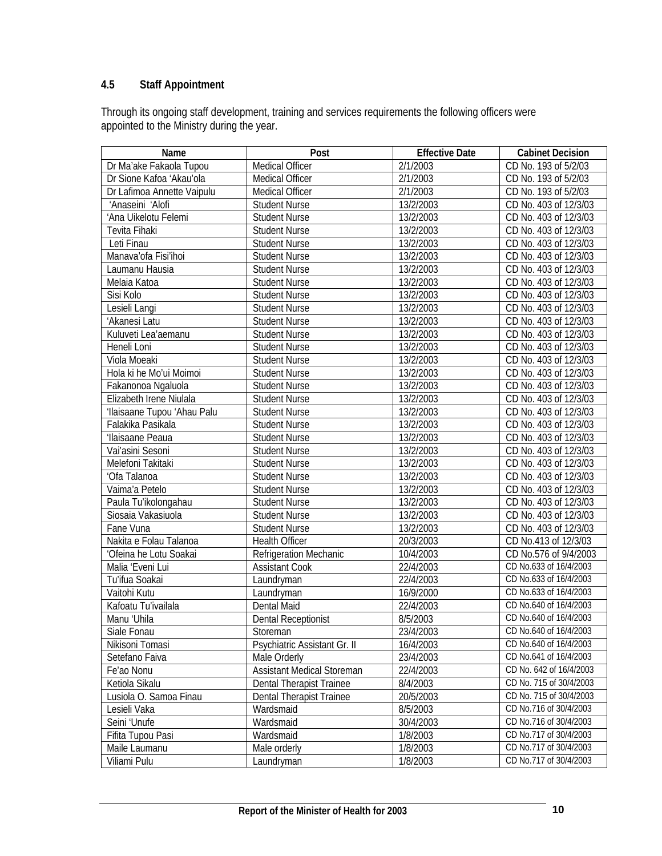# **4.5 Staff Appointment**

Through its ongoing staff development, training and services requirements the following officers were appointed to the Ministry during the year.

| Name                        | Post                            | <b>Effective Date</b> | <b>Cabinet Decision</b> |
|-----------------------------|---------------------------------|-----------------------|-------------------------|
| Dr Ma'ake Fakaola Tupou     | Medical Officer                 | 2/1/2003              | CD No. 193 of 5/2/03    |
| Dr Sione Kafoa 'Akau'ola    | Medical Officer                 | 2/1/2003              | CD No. 193 of 5/2/03    |
| Dr Lafimoa Annette Vaipulu  | Medical Officer                 | 2/1/2003              | CD No. 193 of 5/2/03    |
| 'Anaseini 'Alofi            | <b>Student Nurse</b>            | 13/2/2003             | CD No. 403 of 12/3/03   |
| 'Ana Uikelotu Felemi        | <b>Student Nurse</b>            | 13/2/2003             | CD No. 403 of 12/3/03   |
| Tevita Fihaki               | <b>Student Nurse</b>            | 13/2/2003             | CD No. 403 of 12/3/03   |
| Leti Finau                  | <b>Student Nurse</b>            | 13/2/2003             | CD No. 403 of 12/3/03   |
| Manava'ofa Fisi'ihoi        | <b>Student Nurse</b>            | 13/2/2003             | CD No. 403 of 12/3/03   |
| Laumanu Hausia              | <b>Student Nurse</b>            | 13/2/2003             | CD No. 403 of 12/3/03   |
| Melaia Katoa                | <b>Student Nurse</b>            | 13/2/2003             | CD No. 403 of 12/3/03   |
| Sisi Kolo                   | <b>Student Nurse</b>            | 13/2/2003             | CD No. 403 of 12/3/03   |
| Lesieli Langi               | <b>Student Nurse</b>            | 13/2/2003             | CD No. 403 of 12/3/03   |
| 'Akanesi Latu               | <b>Student Nurse</b>            | 13/2/2003             | CD No. 403 of 12/3/03   |
| Kuluveti Lea'aemanu         | <b>Student Nurse</b>            | 13/2/2003             | CD No. 403 of 12/3/03   |
| Heneli Loni                 | <b>Student Nurse</b>            | 13/2/2003             | CD No. 403 of 12/3/03   |
| Viola Moeaki                | <b>Student Nurse</b>            | 13/2/2003             | CD No. 403 of 12/3/03   |
| Hola ki he Mo'ui Moimoi     | <b>Student Nurse</b>            | 13/2/2003             | CD No. 403 of 12/3/03   |
| Fakanonoa Ngaluola          | <b>Student Nurse</b>            | 13/2/2003             | CD No. 403 of 12/3/03   |
| Elizabeth Irene Niulala     | <b>Student Nurse</b>            | 13/2/2003             | CD No. 403 of 12/3/03   |
| 'Ilaisaane Tupou 'Ahau Palu | <b>Student Nurse</b>            | 13/2/2003             | CD No. 403 of 12/3/03   |
| Falakika Pasikala           | <b>Student Nurse</b>            | 13/2/2003             | CD No. 403 of 12/3/03   |
| 'Ilaisaane Peaua            | <b>Student Nurse</b>            | 13/2/2003             | CD No. 403 of 12/3/03   |
| Vai'asini Sesoni            | <b>Student Nurse</b>            | 13/2/2003             | CD No. 403 of 12/3/03   |
| Melefoni Takitaki           | <b>Student Nurse</b>            | 13/2/2003             | CD No. 403 of 12/3/03   |
| 'Ofa Talanoa                | <b>Student Nurse</b>            | 13/2/2003             | CD No. 403 of 12/3/03   |
| Vaima'a Petelo              | <b>Student Nurse</b>            | 13/2/2003             | CD No. 403 of 12/3/03   |
| Paula Tu'ikolongahau        | <b>Student Nurse</b>            | 13/2/2003             | CD No. 403 of 12/3/03   |
| Siosaia Vakasiuola          | <b>Student Nurse</b>            | 13/2/2003             | CD No. 403 of 12/3/03   |
| Fane Vuna                   | <b>Student Nurse</b>            | 13/2/2003             | CD No. 403 of 12/3/03   |
| Nakita e Folau Talanoa      | Health Officer                  | 20/3/2003             | CD No.413 of 12/3/03    |
| 'Ofeina he Lotu Soakai      | Refrigeration Mechanic          | 10/4/2003             | CD No.576 of 9/4/2003   |
| Malia 'Eveni Lui            | <b>Assistant Cook</b>           | 22/4/2003             | CD No.633 of 16/4/2003  |
| Tu'ifua Soakai              | Laundryman                      | 22/4/2003             | CD No.633 of 16/4/2003  |
| Vaitohi Kutu                | Laundryman                      | 16/9/2000             | CD No.633 of 16/4/2003  |
| Kafoatu Tu'ivailala         | Dental Maid                     | 22/4/2003             | CD No.640 of 16/4/2003  |
| Manu 'Uhila                 | <b>Dental Receptionist</b>      | 8/5/2003              | CD No.640 of 16/4/2003  |
| Siale Fonau                 | Storeman                        | 23/4/2003             | CD No.640 of 16/4/2003  |
| Nikisoni Tomasi             | Psychiatric Assistant Gr. II    | 16/4/2003             | CD No.640 of 16/4/2003  |
| Setefano Faiva              | Male Orderly                    | 23/4/2003             | CD No.641 of 16/4/2003  |
| Fe'ao Nonu                  | Assistant Medical Storeman      | 22/4/2003             | CD No. 642 of 16/4/2003 |
| Ketiola Sikalu              | <b>Dental Therapist Trainee</b> | 8/4/2003              | CD No. 715 of 30/4/2003 |
| Lusiola O. Samoa Finau      | Dental Therapist Trainee        | 20/5/2003             | CD No. 715 of 30/4/2003 |
| Lesieli Vaka                | Wardsmaid                       | 8/5/2003              | CD No.716 of 30/4/2003  |
| Seini 'Unufe                | Wardsmaid                       | 30/4/2003             | CD No.716 of 30/4/2003  |
| Fifita Tupou Pasi           | Wardsmaid                       | 1/8/2003              | CD No.717 of 30/4/2003  |
| Maile Laumanu               | Male orderly                    | 1/8/2003              | CD No.717 of 30/4/2003  |
| Viliami Pulu                | Laundryman                      | 1/8/2003              | CD No.717 of 30/4/2003  |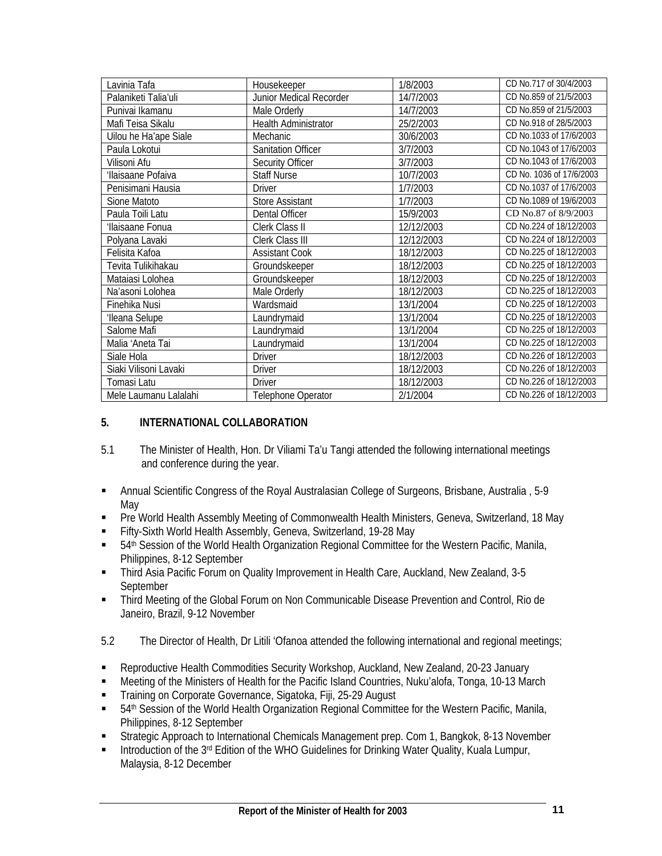| Lavinia Tafa          | Housekeeper               | 1/8/2003   | CD No.717 of 30/4/2003   |
|-----------------------|---------------------------|------------|--------------------------|
| Palaniketi Talia'uli  | Junior Medical Recorder   | 14/7/2003  | CD No.859 of 21/5/2003   |
| Punivai Ikamanu       | Male Orderly              | 14/7/2003  | CD No.859 of 21/5/2003   |
| Mafi Teisa Sikalu     | Health Administrator      | 25/2/2003  | CD No.918 of 28/5/2003   |
| Uilou he Ha'ape Siale | Mechanic                  | 30/6/2003  | CD No.1033 of 17/6/2003  |
| Paula Lokotui         | <b>Sanitation Officer</b> | 3/7/2003   | CD No.1043 of 17/6/2003  |
| Vilisoni Afu          | Security Officer          | 3/7/2003   | CD No.1043 of 17/6/2003  |
| 'Ilaisaane Pofaiva    | <b>Staff Nurse</b>        | 10/7/2003  | CD No. 1036 of 17/6/2003 |
| Penisimani Hausia     | <b>Driver</b>             | 1/7/2003   | CD No.1037 of 17/6/2003  |
| Sione Matoto          | <b>Store Assistant</b>    | 1/7/2003   | CD No.1089 of 19/6/2003  |
| Paula Toili Latu      | Dental Officer            | 15/9/2003  | CD No.87 of 8/9/2003     |
| 'Ilaisaane Fonua      | Clerk Class II            | 12/12/2003 | CD No.224 of 18/12/2003  |
| Polyana Lavaki        | Clerk Class III           | 12/12/2003 | CD No.224 of 18/12/2003  |
| Felisita Kafoa        | <b>Assistant Cook</b>     | 18/12/2003 | CD No.225 of 18/12/2003  |
| Tevita Tulikihakau    | Groundskeeper             | 18/12/2003 | CD No.225 of 18/12/2003  |
| Mataiasi Lolohea      | Groundskeeper             | 18/12/2003 | CD No.225 of 18/12/2003  |
| Na'asoni Lolohea      | Male Orderly              | 18/12/2003 | CD No.225 of 18/12/2003  |
| Finehika Nusi         | Wardsmaid                 | 13/1/2004  | CD No.225 of 18/12/2003  |
| 'Ileana Selupe        | Laundrymaid               | 13/1/2004  | CD No.225 of 18/12/2003  |
| Salome Mafi           | Laundrymaid               | 13/1/2004  | CD No.225 of 18/12/2003  |
| Malia 'Aneta Tai      | Laundrymaid               | 13/1/2004  | CD No.225 of 18/12/2003  |
| Siale Hola            | <b>Driver</b>             | 18/12/2003 | CD No.226 of 18/12/2003  |
| Siaki Vilisoni Lavaki | <b>Driver</b>             | 18/12/2003 | CD No.226 of 18/12/2003  |
| Tomasi Latu           | <b>Driver</b>             | 18/12/2003 | CD No.226 of 18/12/2003  |
| Mele Laumanu Lalalahi | Telephone Operator        | 2/1/2004   | CD No.226 of 18/12/2003  |

## **5. INTERNATIONAL COLLABORATION**

- 5.1 The Minister of Health, Hon. Dr Viliami Ta'u Tangi attended the following international meetings and conference during the year.
- Annual Scientific Congress of the Royal Australasian College of Surgeons, Brisbane, Australia , 5-9 May
- **Pre World Health Assembly Meeting of Commonwealth Health Ministers, Geneva, Switzerland, 18 May**
- Fifty-Sixth World Health Assembly, Geneva, Switzerland, 19-28 May
- 54th Session of the World Health Organization Regional Committee for the Western Pacific, Manila, Philippines, 8-12 September
- Third Asia Pacific Forum on Quality Improvement in Health Care, Auckland, New Zealand, 3-5 September
- **Third Meeting of the Global Forum on Non Communicable Disease Prevention and Control, Rio de** Janeiro, Brazil, 9-12 November
- 5.2 The Director of Health, Dr Litili 'Ofanoa attended the following international and regional meetings;
- Reproductive Health Commodities Security Workshop, Auckland, New Zealand, 20-23 January
- Meeting of the Ministers of Health for the Pacific Island Countries, Nuku'alofa, Tonga, 10-13 March
- **Training on Corporate Governance, Sigatoka, Fiji, 25-29 August**
- 54th Session of the World Health Organization Regional Committee for the Western Pacific, Manila, Philippines, 8-12 September
- Strategic Approach to International Chemicals Management prep. Com 1, Bangkok, 8-13 November
- Introduction of the 3<sup>rd</sup> Edition of the WHO Guidelines for Drinking Water Quality, Kuala Lumpur, Malaysia, 8-12 December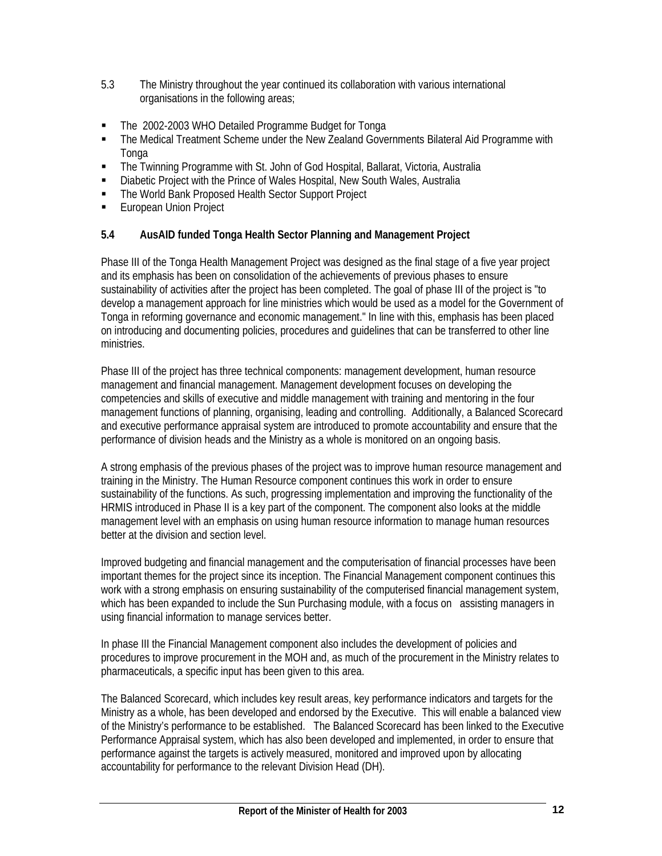- 5.3 The Ministry throughout the year continued its collaboration with various international organisations in the following areas;
- The 2002-2003 WHO Detailed Programme Budget for Tonga
- The Medical Treatment Scheme under the New Zealand Governments Bilateral Aid Programme with **Tonga**
- The Twinning Programme with St. John of God Hospital, Ballarat, Victoria, Australia
- Diabetic Project with the Prince of Wales Hospital, New South Wales, Australia
- The World Bank Proposed Health Sector Support Project
- **European Union Project**

## **5.4 AusAID funded Tonga Health Sector Planning and Management Project**

Phase III of the Tonga Health Management Project was designed as the final stage of a five year project and its emphasis has been on consolidation of the achievements of previous phases to ensure sustainability of activities after the project has been completed. The goal of phase III of the project is "to develop a management approach for line ministries which would be used as a model for the Government of Tonga in reforming governance and economic management." In line with this, emphasis has been placed on introducing and documenting policies, procedures and guidelines that can be transferred to other line ministries.

Phase III of the project has three technical components: management development, human resource management and financial management. Management development focuses on developing the competencies and skills of executive and middle management with training and mentoring in the four management functions of planning, organising, leading and controlling. Additionally, a Balanced Scorecard and executive performance appraisal system are introduced to promote accountability and ensure that the performance of division heads and the Ministry as a whole is monitored on an ongoing basis.

A strong emphasis of the previous phases of the project was to improve human resource management and training in the Ministry. The Human Resource component continues this work in order to ensure sustainability of the functions. As such, progressing implementation and improving the functionality of the HRMIS introduced in Phase II is a key part of the component. The component also looks at the middle management level with an emphasis on using human resource information to manage human resources better at the division and section level.

Improved budgeting and financial management and the computerisation of financial processes have been important themes for the project since its inception. The Financial Management component continues this work with a strong emphasis on ensuring sustainability of the computerised financial management system, which has been expanded to include the Sun Purchasing module, with a focus on assisting managers in using financial information to manage services better.

In phase III the Financial Management component also includes the development of policies and procedures to improve procurement in the MOH and, as much of the procurement in the Ministry relates to pharmaceuticals, a specific input has been given to this area.

The Balanced Scorecard, which includes key result areas, key performance indicators and targets for the Ministry as a whole, has been developed and endorsed by the Executive. This will enable a balanced view of the Ministry's performance to be established. The Balanced Scorecard has been linked to the Executive Performance Appraisal system, which has also been developed and implemented, in order to ensure that performance against the targets is actively measured, monitored and improved upon by allocating accountability for performance to the relevant Division Head (DH).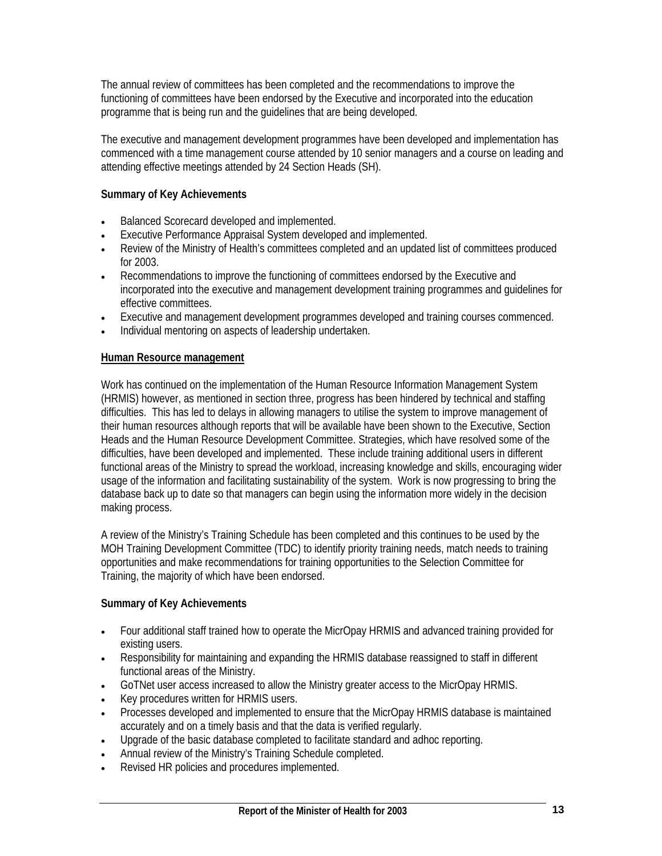The annual review of committees has been completed and the recommendations to improve the functioning of committees have been endorsed by the Executive and incorporated into the education programme that is being run and the guidelines that are being developed.

The executive and management development programmes have been developed and implementation has commenced with a time management course attended by 10 senior managers and a course on leading and attending effective meetings attended by 24 Section Heads (SH).

## **Summary of Key Achievements**

- Balanced Scorecard developed and implemented.
- Executive Performance Appraisal System developed and implemented.
- Review of the Ministry of Health's committees completed and an updated list of committees produced for 2003.
- Recommendations to improve the functioning of committees endorsed by the Executive and incorporated into the executive and management development training programmes and guidelines for effective committees.
- Executive and management development programmes developed and training courses commenced.
- Individual mentoring on aspects of leadership undertaken.

## **Human Resource management**

Work has continued on the implementation of the Human Resource Information Management System (HRMIS) however, as mentioned in section three, progress has been hindered by technical and staffing difficulties. This has led to delays in allowing managers to utilise the system to improve management of their human resources although reports that will be available have been shown to the Executive, Section Heads and the Human Resource Development Committee. Strategies, which have resolved some of the difficulties, have been developed and implemented. These include training additional users in different functional areas of the Ministry to spread the workload, increasing knowledge and skills, encouraging wider usage of the information and facilitating sustainability of the system. Work is now progressing to bring the database back up to date so that managers can begin using the information more widely in the decision making process.

A review of the Ministry's Training Schedule has been completed and this continues to be used by the MOH Training Development Committee (TDC) to identify priority training needs, match needs to training opportunities and make recommendations for training opportunities to the Selection Committee for Training, the majority of which have been endorsed.

## **Summary of Key Achievements**

- Four additional staff trained how to operate the MicrOpay HRMIS and advanced training provided for existing users.
- Responsibility for maintaining and expanding the HRMIS database reassigned to staff in different functional areas of the Ministry.
- GoTNet user access increased to allow the Ministry greater access to the MicrOpay HRMIS.
- Key procedures written for HRMIS users.
- Processes developed and implemented to ensure that the MicrOpay HRMIS database is maintained accurately and on a timely basis and that the data is verified regularly.
- Upgrade of the basic database completed to facilitate standard and adhoc reporting.
- Annual review of the Ministry's Training Schedule completed.
- Revised HR policies and procedures implemented.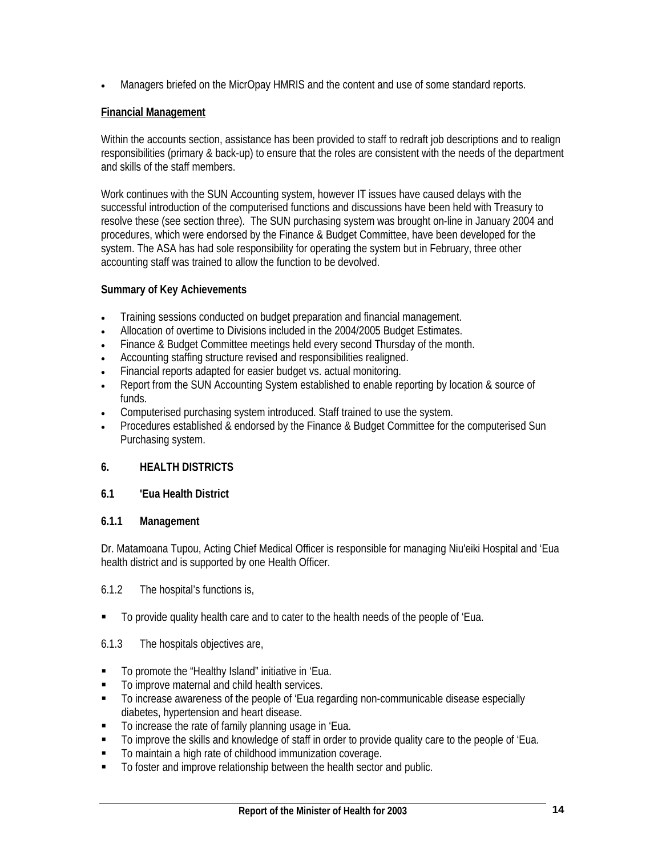• Managers briefed on the MicrOpay HMRIS and the content and use of some standard reports.

## **Financial Management**

Within the accounts section, assistance has been provided to staff to redraft job descriptions and to realign responsibilities (primary & back-up) to ensure that the roles are consistent with the needs of the department and skills of the staff members.

Work continues with the SUN Accounting system, however IT issues have caused delays with the successful introduction of the computerised functions and discussions have been held with Treasury to resolve these (see section three). The SUN purchasing system was brought on-line in January 2004 and procedures, which were endorsed by the Finance & Budget Committee, have been developed for the system. The ASA has had sole responsibility for operating the system but in February, three other accounting staff was trained to allow the function to be devolved.

## **Summary of Key Achievements**

- Training sessions conducted on budget preparation and financial management.
- Allocation of overtime to Divisions included in the 2004/2005 Budget Estimates.
- Finance & Budget Committee meetings held every second Thursday of the month.
- Accounting staffing structure revised and responsibilities realigned.
- Financial reports adapted for easier budget vs. actual monitoring.
- Report from the SUN Accounting System established to enable reporting by location & source of funds.
- Computerised purchasing system introduced. Staff trained to use the system.
- Procedures established & endorsed by the Finance & Budget Committee for the computerised Sun Purchasing system.

## **6. HEALTH DISTRICTS**

## **6.1 'Eua Health District**

## **6.1.1 Management**

Dr. Matamoana Tupou, Acting Chief Medical Officer is responsible for managing Niu'eiki Hospital and 'Eua health district and is supported by one Health Officer.

## 6.1.2 The hospital's functions is,

To provide quality health care and to cater to the health needs of the people of 'Eua.

## 6.1.3 The hospitals objectives are,

- To promote the "Healthy Island" initiative in 'Eua.
- To improve maternal and child health services.
- To increase awareness of the people of 'Eua regarding non-communicable disease especially diabetes, hypertension and heart disease.
- **To increase the rate of family planning usage in 'Eua.**
- To improve the skills and knowledge of staff in order to provide quality care to the people of 'Eua.
- To maintain a high rate of childhood immunization coverage.
- $\blacksquare$  To foster and improve relationship between the health sector and public.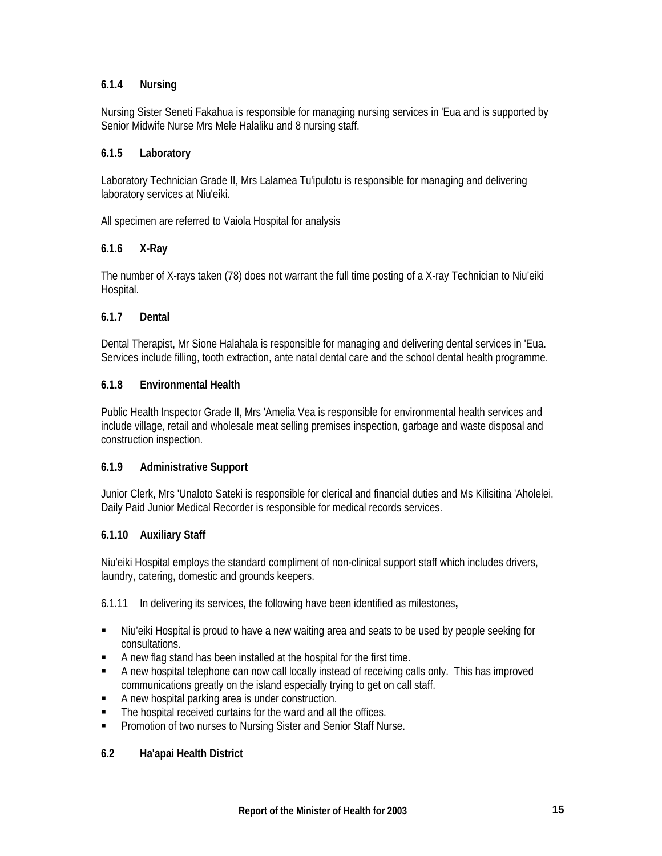## **6.1.4 Nursing**

Nursing Sister Seneti Fakahua is responsible for managing nursing services in 'Eua and is supported by Senior Midwife Nurse Mrs Mele Halaliku and 8 nursing staff.

### **6.1.5 Laboratory**

Laboratory Technician Grade II, Mrs Lalamea Tu'ipulotu is responsible for managing and delivering laboratory services at Niu'eiki.

All specimen are referred to Vaiola Hospital for analysis

## **6.1.6 X-Ray**

The number of X-rays taken (78) does not warrant the full time posting of a X-ray Technician to Niu'eiki Hospital.

### **6.1.7 Dental**

Dental Therapist, Mr Sione Halahala is responsible for managing and delivering dental services in 'Eua. Services include filling, tooth extraction, ante natal dental care and the school dental health programme.

#### **6.1.8 Environmental Health**

Public Health Inspector Grade II, Mrs 'Amelia Vea is responsible for environmental health services and include village, retail and wholesale meat selling premises inspection, garbage and waste disposal and construction inspection.

#### **6.1.9 Administrative Support**

Junior Clerk, Mrs 'Unaloto Sateki is responsible for clerical and financial duties and Ms Kilisitina 'Aholelei, Daily Paid Junior Medical Recorder is responsible for medical records services.

## **6.1.10 Auxiliary Staff**

Niu'eiki Hospital employs the standard compliment of non-clinical support staff which includes drivers, laundry, catering, domestic and grounds keepers.

6.1.11 In delivering its services, the following have been identified as milestones**,** 

- Niu'eiki Hospital is proud to have a new waiting area and seats to be used by people seeking for consultations.
- A new flag stand has been installed at the hospital for the first time.
- **A** new hospital telephone can now call locally instead of receiving calls only. This has improved communications greatly on the island especially trying to get on call staff.
- A new hospital parking area is under construction.
- The hospital received curtains for the ward and all the offices.
- **Promotion of two nurses to Nursing Sister and Senior Staff Nurse.**

#### **6.2 Ha'apai Health District**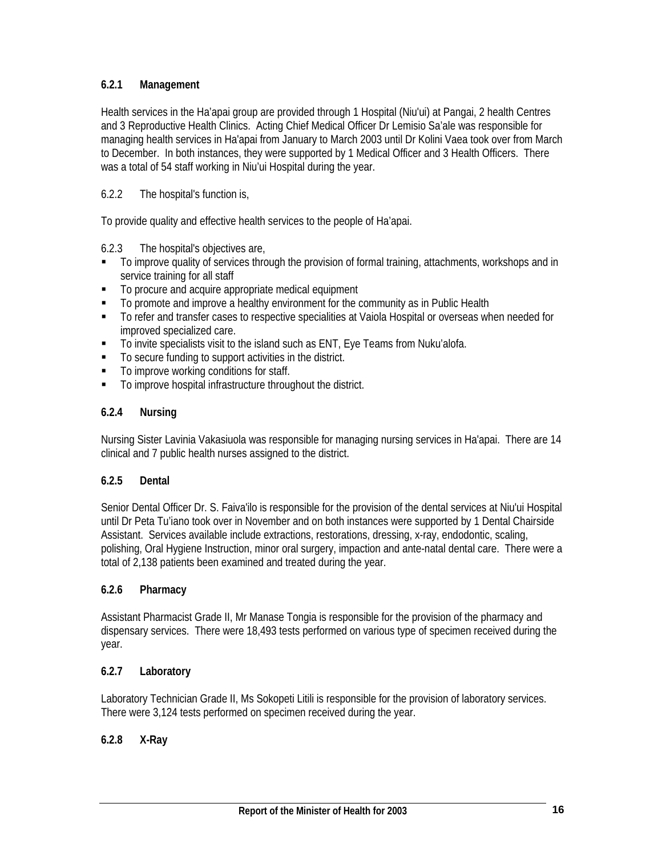## **6.2.1 Management**

Health services in the Ha'apai group are provided through 1 Hospital (Niu'ui) at Pangai, 2 health Centres and 3 Reproductive Health Clinics. Acting Chief Medical Officer Dr Lemisio Sa'ale was responsible for managing health services in Ha'apai from January to March 2003 until Dr Kolini Vaea took over from March to December. In both instances, they were supported by 1 Medical Officer and 3 Health Officers. There was a total of 54 staff working in Niu'ui Hospital during the year.

## 6.2.2 The hospital's function is,

To provide quality and effective health services to the people of Ha'apai.

## 6.2.3 The hospital's objectives are,

- To improve quality of services through the provision of formal training, attachments, workshops and in service training for all staff
- $\blacksquare$  To procure and acquire appropriate medical equipment
- To promote and improve a healthy environment for the community as in Public Health
- To refer and transfer cases to respective specialities at Vaiola Hospital or overseas when needed for improved specialized care.
- To invite specialists visit to the island such as ENT, Eye Teams from Nuku'alofa.
- To secure funding to support activities in the district.
- $\blacksquare$  To improve working conditions for staff.
- To improve hospital infrastructure throughout the district.

## **6.2.4 Nursing**

Nursing Sister Lavinia Vakasiuola was responsible for managing nursing services in Ha'apai. There are 14 clinical and 7 public health nurses assigned to the district.

## **6.2.5 Dental**

Senior Dental Officer Dr. S. Faiva'ilo is responsible for the provision of the dental services at Niu'ui Hospital until Dr Peta Tu'iano took over in November and on both instances were supported by 1 Dental Chairside Assistant. Services available include extractions, restorations, dressing, x-ray, endodontic, scaling, polishing, Oral Hygiene Instruction, minor oral surgery, impaction and ante-natal dental care. There were a total of 2,138 patients been examined and treated during the year.

## **6.2.6 Pharmacy**

Assistant Pharmacist Grade II, Mr Manase Tongia is responsible for the provision of the pharmacy and dispensary services. There were 18,493 tests performed on various type of specimen received during the year.

## **6.2.7 Laboratory**

Laboratory Technician Grade II, Ms Sokopeti Litili is responsible for the provision of laboratory services. There were 3,124 tests performed on specimen received during the year.

## **6.2.8 X-Ray**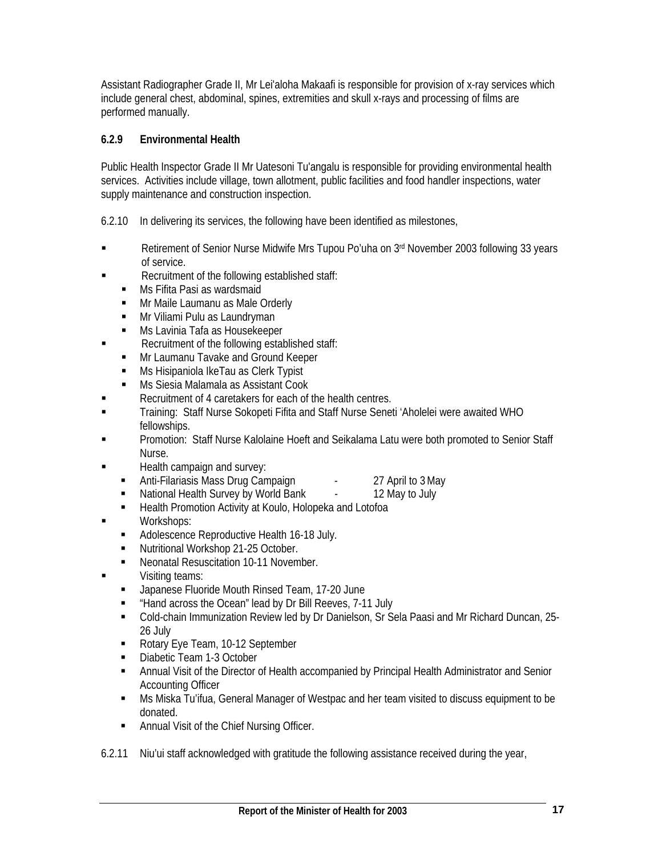Assistant Radiographer Grade II, Mr Lei'aloha Makaafi is responsible for provision of x-ray services which include general chest, abdominal, spines, extremities and skull x-rays and processing of films are performed manually.

## **6.2.9 Environmental Health**

Public Health Inspector Grade II Mr Uatesoni Tu'angalu is responsible for providing environmental health services. Activities include village, town allotment, public facilities and food handler inspections, water supply maintenance and construction inspection.

6.2.10 In delivering its services, the following have been identified as milestones,

- Retirement of Senior Nurse Midwife Mrs Tupou Po'uha on 3<sup>rd</sup> November 2003 following 33 years of service.
- Recruitment of the following established staff:
	- **Ms Fifita Pasi as wardsmaid**
	- Mr Maile Laumanu as Male Orderly
	- Mr Viliami Pulu as Laundryman
	- **Ms Lavinia Tafa as Housekeeper**
- **Recruitment of the following established staff:** 
	- **Mr Laumanu Tavake and Ground Keeper**
	- Ms Hisipaniola IkeTau as Clerk Typist
	- **Ms Siesia Malamala as Assistant Cook**
- Recruitment of 4 caretakers for each of the health centres.
- Training: Staff Nurse Sokopeti Fifita and Staff Nurse Seneti 'Aholelei were awaited WHO fellowships.
- Promotion: Staff Nurse Kalolaine Hoeft and Seikalama Latu were both promoted to Senior Staff Nurse.
- **Health campaign and survey:** 
	- Anti-Filariasis Mass Drug Campaign The Campaign and 27 April to 3 May
	- National Health Survey by World Bank 12 May to July
	- Health Promotion Activity at Koulo, Holopeka and Lotofoa
- **Norkshops:** 
	- **Adolescence Reproductive Health 16-18 July.**
	- Nutritional Workshop 21-25 October.
	- **Neonatal Resuscitation 10-11 November.**
- **visiting teams:** 
	- Japanese Fluoride Mouth Rinsed Team, 17-20 June
	- "Hand across the Ocean" lead by Dr Bill Reeves, 7-11 July
	- Cold-chain Immunization Review led by Dr Danielson, Sr Sela Paasi and Mr Richard Duncan, 25- 26 July
	- Rotary Eye Team, 10-12 September
	- Diabetic Team 1-3 October
	- Annual Visit of the Director of Health accompanied by Principal Health Administrator and Senior Accounting Officer
	- Ms Miska Tu'ifua, General Manager of Westpac and her team visited to discuss equipment to be donated.
	- **Annual Visit of the Chief Nursing Officer.**
- 6.2.11 Niu'ui staff acknowledged with gratitude the following assistance received during the year,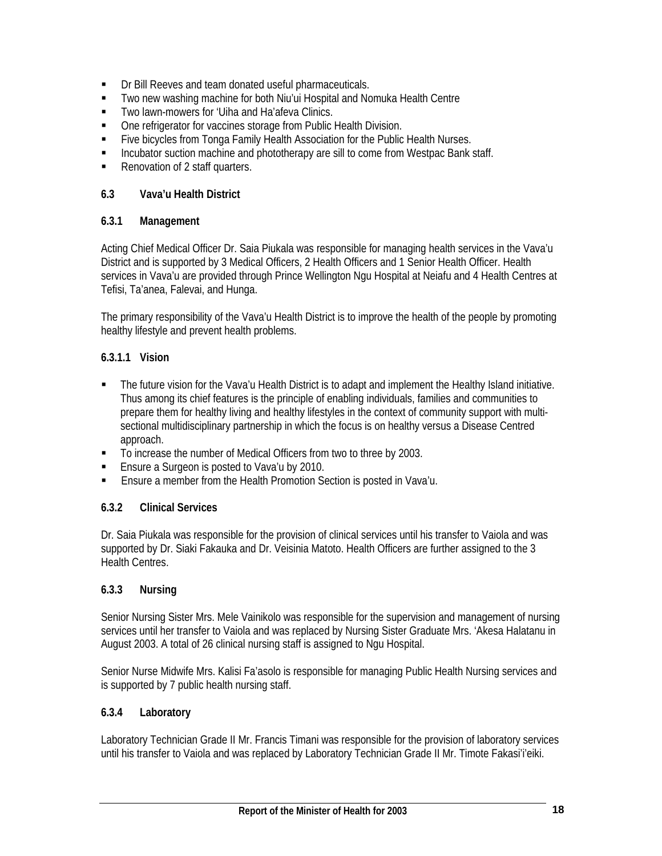- Dr Bill Reeves and team donated useful pharmaceuticals.
- Two new washing machine for both Niu'ui Hospital and Nomuka Health Centre
- **Two lawn-mowers for 'Uiha and Ha'afeva Clinics.**
- **One refrigerator for vaccines storage from Public Health Division.**
- **Five bicycles from Tonga Family Health Association for the Public Health Nurses.**
- **Incubator suction machine and phototherapy are sill to come from Westpac Bank staff.**
- Renovation of 2 staff quarters.

## **6.3 Vava'u Health District**

## **6.3.1 Management**

Acting Chief Medical Officer Dr. Saia Piukala was responsible for managing health services in the Vava'u District and is supported by 3 Medical Officers, 2 Health Officers and 1 Senior Health Officer. Health services in Vava'u are provided through Prince Wellington Ngu Hospital at Neiafu and 4 Health Centres at Tefisi, Ta'anea, Falevai, and Hunga.

The primary responsibility of the Vava'u Health District is to improve the health of the people by promoting healthy lifestyle and prevent health problems.

## **6.3.1.1 Vision**

- The future vision for the Vava'u Health District is to adapt and implement the Healthy Island initiative. Thus among its chief features is the principle of enabling individuals, families and communities to prepare them for healthy living and healthy lifestyles in the context of community support with multisectional multidisciplinary partnership in which the focus is on healthy versus a Disease Centred approach.
- To increase the number of Medical Officers from two to three by 2003.
- **Ensure a Surgeon is posted to Vava'u by 2010.**
- Ensure a member from the Health Promotion Section is posted in Vava'u.

## **6.3.2 Clinical Services**

Dr. Saia Piukala was responsible for the provision of clinical services until his transfer to Vaiola and was supported by Dr. Siaki Fakauka and Dr. Veisinia Matoto. Health Officers are further assigned to the 3 Health Centres.

## **6.3.3 Nursing**

Senior Nursing Sister Mrs. Mele Vainikolo was responsible for the supervision and management of nursing services until her transfer to Vaiola and was replaced by Nursing Sister Graduate Mrs. 'Akesa Halatanu in August 2003. A total of 26 clinical nursing staff is assigned to Ngu Hospital.

Senior Nurse Midwife Mrs. Kalisi Fa'asolo is responsible for managing Public Health Nursing services and is supported by 7 public health nursing staff.

## **6.3.4 Laboratory**

Laboratory Technician Grade II Mr. Francis Timani was responsible for the provision of laboratory services until his transfer to Vaiola and was replaced by Laboratory Technician Grade II Mr. Timote Fakasi'i'eiki.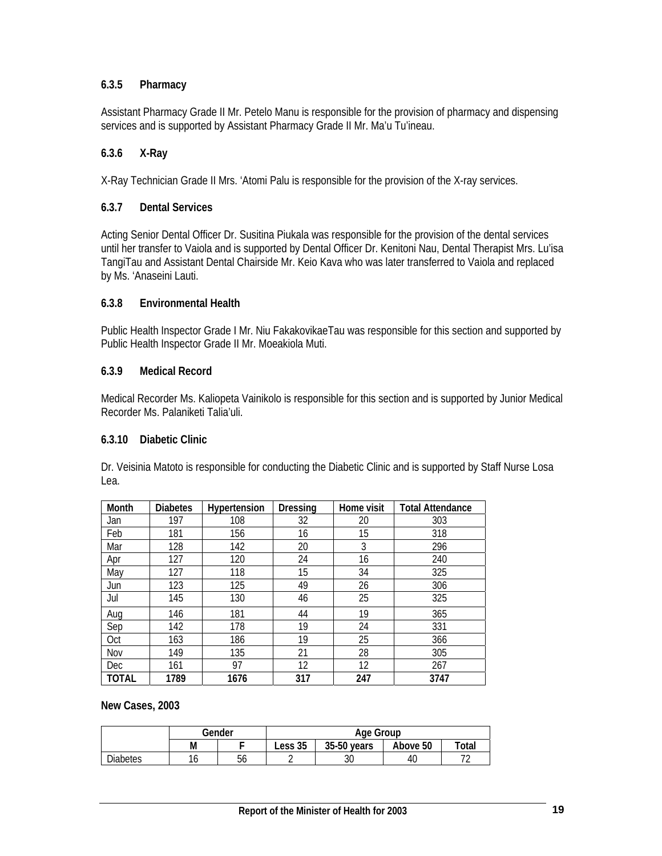## **6.3.5 Pharmacy**

Assistant Pharmacy Grade II Mr. Petelo Manu is responsible for the provision of pharmacy and dispensing services and is supported by Assistant Pharmacy Grade II Mr. Ma'u Tu'ineau.

### **6.3.6 X-Ray**

X-Ray Technician Grade II Mrs. 'Atomi Palu is responsible for the provision of the X-ray services.

#### **6.3.7 Dental Services**

Acting Senior Dental Officer Dr. Susitina Piukala was responsible for the provision of the dental services until her transfer to Vaiola and is supported by Dental Officer Dr. Kenitoni Nau, Dental Therapist Mrs. Lu'isa TangiTau and Assistant Dental Chairside Mr. Keio Kava who was later transferred to Vaiola and replaced by Ms. 'Anaseini Lauti.

#### **6.3.8 Environmental Health**

Public Health Inspector Grade I Mr. Niu FakakovikaeTau was responsible for this section and supported by Public Health Inspector Grade II Mr. Moeakiola Muti.

### **6.3.9 Medical Record**

Medical Recorder Ms. Kaliopeta Vainikolo is responsible for this section and is supported by Junior Medical Recorder Ms. Palaniketi Talia'uli.

#### **6.3.10 Diabetic Clinic**

Dr. Veisinia Matoto is responsible for conducting the Diabetic Clinic and is supported by Staff Nurse Losa Lea.

| Month | <b>Diabetes</b> | Hypertension | Dressing | Home visit | <b>Total Attendance</b> |
|-------|-----------------|--------------|----------|------------|-------------------------|
| Jan   | 197             | 108          | 32       | 20         | 303                     |
| Feb   | 181             | 156          | 16       | 15         | 318                     |
| Mar   | 128             | 142          | 20       | 3          | 296                     |
| Apr   | 127             | 120          | 24       | 16         | 240                     |
| May   | 127             | 118          | 15       | 34         | 325                     |
| Jun   | 123             | 125          | 49       | 26         | 306                     |
| Jul   | 145             | 130          | 46       | 25         | 325                     |
| Aug   | 146             | 181          | 44       | 19         | 365                     |
| Sep   | 142             | 178          | 19       | 24         | 331                     |
| Oct   | 163             | 186          | 19       | 25         | 366                     |
| Nov   | 149             | 135          | 21       | 28         | 305                     |
| Dec   | 161             | 97           | 12       | 12         | 267                     |
| TOTAL | 1789            | 1676         | 317      | 247        | 3747                    |

**New Cases, 2003** 

|                 |   | Gender | Age Group |             |          |                          |
|-----------------|---|--------|-----------|-------------|----------|--------------------------|
|                 | М |        | Less 35   | 35-50 years | Above 50 | Total                    |
| <b>Diabetes</b> | U | 56     |           | Ĵυ          | 40       | $\overline{\phantom{a}}$ |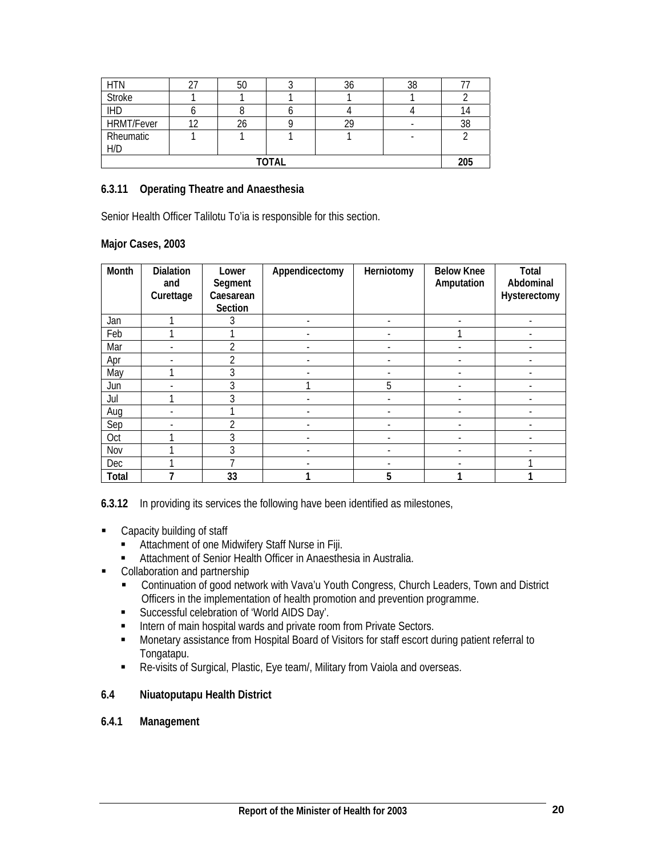| <b>HTN</b>        |  | 50 |  | 30 | 38 |    |
|-------------------|--|----|--|----|----|----|
| <b>Stroke</b>     |  |    |  |    |    |    |
| <b>IHD</b>        |  |    |  |    |    | 14 |
| <b>HRMT/Fever</b> |  |    |  |    |    | 38 |
| Rheumatic         |  |    |  |    |    |    |
| H/D               |  |    |  |    |    |    |
| <b>TOTAL</b>      |  |    |  |    |    |    |

#### **6.3.11 Operating Theatre and Anaesthesia**

Senior Health Officer Talilotu To'ia is responsible for this section.

#### **Major Cases, 2003**

| Month | <b>Dialation</b><br>and<br>Curettage | Lower<br>Segment<br>Caesarean<br>Section | Appendicectomy           | Herniotomy               | <b>Below Knee</b><br>Amputation | Total<br>Abdominal<br>Hysterectomy |
|-------|--------------------------------------|------------------------------------------|--------------------------|--------------------------|---------------------------------|------------------------------------|
| Jan   |                                      |                                          | $\overline{\phantom{0}}$ | $\overline{\phantom{a}}$ |                                 | -                                  |
| Feb   |                                      |                                          | ٠                        | ٠                        |                                 |                                    |
| Mar   |                                      | າ                                        |                          |                          |                                 |                                    |
| Apr   |                                      | $\mathfrak{D}$                           |                          |                          |                                 |                                    |
| May   |                                      | 3                                        |                          |                          |                                 |                                    |
| Jun   |                                      | 3                                        |                          | 5                        |                                 |                                    |
| Jul   |                                      | 3                                        | ٠                        | $\overline{\phantom{a}}$ |                                 | ٠                                  |
| Aug   |                                      |                                          | ٠                        | ٠                        |                                 |                                    |
| Sep   |                                      | ำ                                        |                          |                          |                                 |                                    |
| Oct   |                                      | 3                                        |                          |                          |                                 |                                    |
| Nov   |                                      | 3                                        |                          |                          |                                 |                                    |
| Dec   |                                      |                                          |                          |                          |                                 |                                    |
| Total |                                      | 33                                       |                          | 5                        |                                 |                                    |

**6.3.12** In providing its services the following have been identified as milestones,

- **EXEC** Capacity building of staff
	- Attachment of one Midwifery Staff Nurse in Fiji.
	- Attachment of Senior Health Officer in Anaesthesia in Australia.
- Collaboration and partnership
	- Continuation of good network with Vava'u Youth Congress, Church Leaders, Town and District Officers in the implementation of health promotion and prevention programme.
	- **Successful celebration of 'World AIDS Day'.**
	- Intern of main hospital wards and private room from Private Sectors.
	- Monetary assistance from Hospital Board of Visitors for staff escort during patient referral to Tongatapu.
	- Re-visits of Surgical, Plastic, Eye team/, Military from Vaiola and overseas.

#### **6.4 Niuatoputapu Health District**

#### **6.4.1 Management**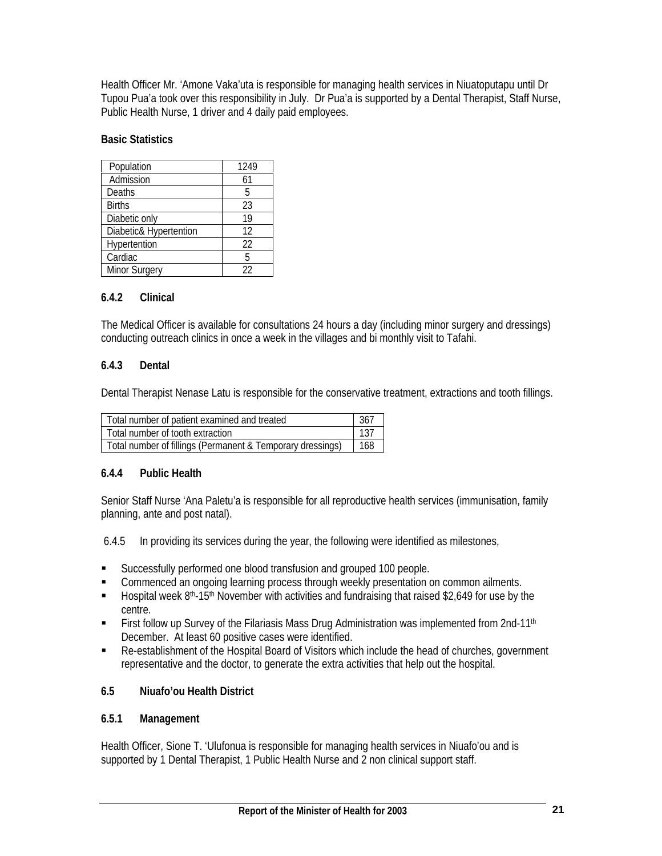Health Officer Mr. 'Amone Vaka'uta is responsible for managing health services in Niuatoputapu until Dr Tupou Pua'a took over this responsibility in July. Dr Pua'a is supported by a Dental Therapist, Staff Nurse, Public Health Nurse, 1 driver and 4 daily paid employees.

### **Basic Statistics**

| Population             | 1249 |
|------------------------|------|
| Admission              | 61   |
| Deaths                 | 5    |
| <b>Births</b>          | 23   |
| Diabetic only          | 19   |
| Diabetic& Hypertention | 12   |
| Hypertention           | 22   |
| Cardiac                | 5    |
| <b>Minor Surgery</b>   | 22   |

## **6.4.2 Clinical**

The Medical Officer is available for consultations 24 hours a day (including minor surgery and dressings) conducting outreach clinics in once a week in the villages and bi monthly visit to Tafahi.

### **6.4.3 Dental**

Dental Therapist Nenase Latu is responsible for the conservative treatment, extractions and tooth fillings.

| Total number of patient examined and treated               |     |  |  |  |
|------------------------------------------------------------|-----|--|--|--|
| Total number of tooth extraction                           |     |  |  |  |
| Total number of fillings (Permanent & Temporary dressings) | 168 |  |  |  |

#### **6.4.4 Public Health**

Senior Staff Nurse 'Ana Paletu'a is responsible for all reproductive health services (immunisation, family planning, ante and post natal).

6.4.5 In providing its services during the year, the following were identified as milestones,

- Successfully performed one blood transfusion and grouped 100 people.
- **Commenced an ongoing learning process through weekly presentation on common ailments.**
- $\blacksquare$  Hospital week 8<sup>th</sup>-15<sup>th</sup> November with activities and fundraising that raised \$2,649 for use by the centre.
- First follow up Survey of the Filariasis Mass Drug Administration was implemented from 2nd-11<sup>th</sup> December. At least 60 positive cases were identified.
- Re-establishment of the Hospital Board of Visitors which include the head of churches, government representative and the doctor, to generate the extra activities that help out the hospital.

## **6.5 Niuafo'ou Health District**

#### **6.5.1 Management**

Health Officer, Sione T. 'Ulufonua is responsible for managing health services in Niuafo'ou and is supported by 1 Dental Therapist, 1 Public Health Nurse and 2 non clinical support staff.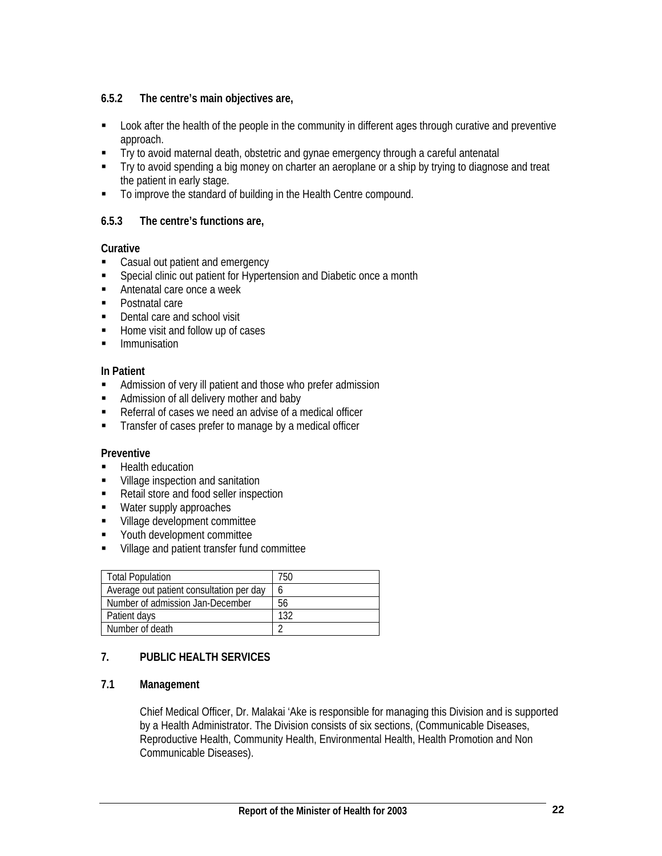## **6.5.2 The centre's main objectives are,**

- Look after the health of the people in the community in different ages through curative and preventive approach.
- Try to avoid maternal death, obstetric and gynae emergency through a careful antenatal
- Try to avoid spending a big money on charter an aeroplane or a ship by trying to diagnose and treat the patient in early stage.
- To improve the standard of building in the Health Centre compound.

## **6.5.3 The centre's functions are,**

## **Curative**

- **Casual out patient and emergency**
- **Special clinic out patient for Hypertension and Diabetic once a month**
- Antenatal care once a week
- **Postnatal care**
- Dental care and school visit
- Home visit and follow up of cases
- **Immunisation**

## **In Patient**

- Admission of very ill patient and those who prefer admission
- Admission of all delivery mother and baby
- Referral of cases we need an advise of a medical officer
- **Transfer of cases prefer to manage by a medical officer**

## **Preventive**

- **Health education**
- **Village inspection and sanitation**
- Retail store and food seller inspection
- **Water supply approaches**
- **Village development committee**
- **•** Youth development committee
- Village and patient transfer fund committee

| <b>Total Population</b>                  | 750 |
|------------------------------------------|-----|
| Average out patient consultation per day | h   |
| Number of admission Jan-December         | 56  |
| Patient days                             | 132 |
| Number of death                          |     |

## **7. PUBLIC HEALTH SERVICES**

## **7.1 Management**

Chief Medical Officer, Dr. Malakai 'Ake is responsible for managing this Division and is supported by a Health Administrator. The Division consists of six sections, (Communicable Diseases, Reproductive Health, Community Health, Environmental Health, Health Promotion and Non Communicable Diseases).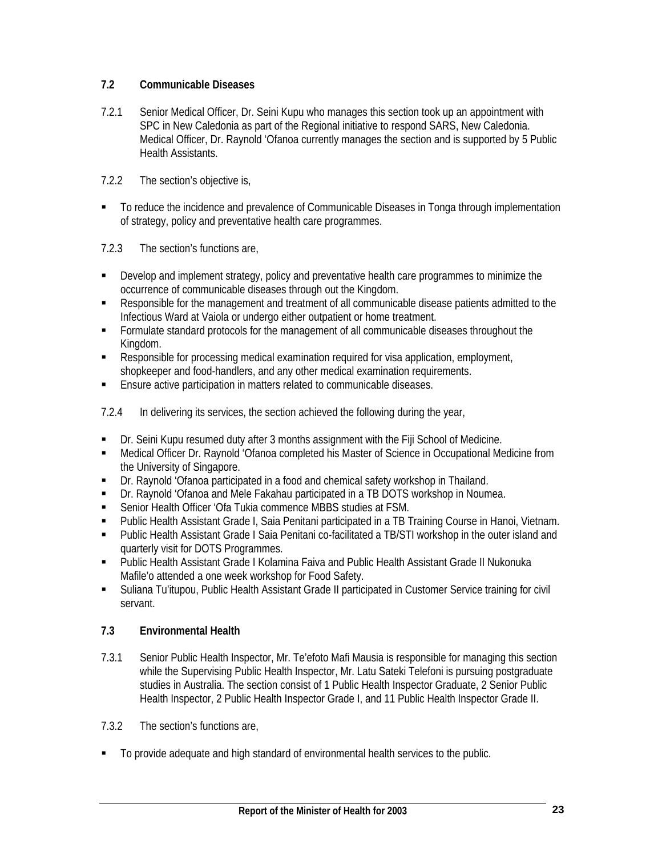## **7.2 Communicable Diseases**

- 7.2.1 Senior Medical Officer, Dr. Seini Kupu who manages this section took up an appointment with SPC in New Caledonia as part of the Regional initiative to respond SARS, New Caledonia. Medical Officer, Dr. Raynold 'Ofanoa currently manages the section and is supported by 5 Public Health Assistants.
- 7.2.2 The section's objective is,
- To reduce the incidence and prevalence of Communicable Diseases in Tonga through implementation of strategy, policy and preventative health care programmes.
- 7.2.3 The section's functions are,
- Develop and implement strategy, policy and preventative health care programmes to minimize the occurrence of communicable diseases through out the Kingdom.
- Responsible for the management and treatment of all communicable disease patients admitted to the Infectious Ward at Vaiola or undergo either outpatient or home treatment.
- Formulate standard protocols for the management of all communicable diseases throughout the Kingdom.
- Responsible for processing medical examination required for visa application, employment, shopkeeper and food-handlers, and any other medical examination requirements.
- Ensure active participation in matters related to communicable diseases.
- 7.2.4 In delivering its services, the section achieved the following during the year,
- Dr. Seini Kupu resumed duty after 3 months assignment with the Fiji School of Medicine.
- Medical Officer Dr. Raynold 'Ofanoa completed his Master of Science in Occupational Medicine from the University of Singapore.
- Dr. Raynold 'Ofanoa participated in a food and chemical safety workshop in Thailand.
- Dr. Raynold 'Ofanoa and Mele Fakahau participated in a TB DOTS workshop in Noumea.
- Senior Health Officer 'Ofa Tukia commence MBBS studies at FSM.
- Public Health Assistant Grade I, Saia Penitani participated in a TB Training Course in Hanoi, Vietnam.
- Public Health Assistant Grade I Saia Penitani co-facilitated a TB/STI workshop in the outer island and quarterly visit for DOTS Programmes.
- Public Health Assistant Grade I Kolamina Faiva and Public Health Assistant Grade II Nukonuka Mafile'o attended a one week workshop for Food Safety.
- Suliana Tu'itupou, Public Health Assistant Grade II participated in Customer Service training for civil servant.

## **7.3 Environmental Health**

- 7.3.1 Senior Public Health Inspector, Mr. Te'efoto Mafi Mausia is responsible for managing this section while the Supervising Public Health Inspector, Mr. Latu Sateki Telefoni is pursuing postgraduate studies in Australia. The section consist of 1 Public Health Inspector Graduate, 2 Senior Public Health Inspector, 2 Public Health Inspector Grade I, and 11 Public Health Inspector Grade II.
- 7.3.2 The section's functions are,
- To provide adequate and high standard of environmental health services to the public.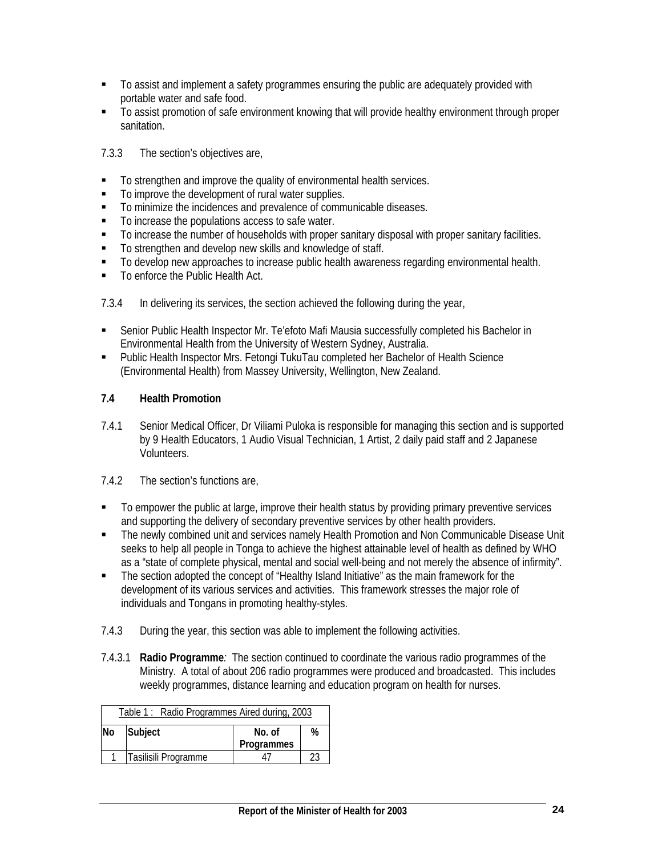- To assist and implement a safety programmes ensuring the public are adequately provided with portable water and safe food.
- To assist promotion of safe environment knowing that will provide healthy environment through proper sanitation.
- 7.3.3 The section's objectives are,
- $\blacksquare$  To strengthen and improve the quality of environmental health services.
- $\blacksquare$  To improve the development of rural water supplies.
- $\blacksquare$  To minimize the incidences and prevalence of communicable diseases.
- To increase the populations access to safe water.
- To increase the number of households with proper sanitary disposal with proper sanitary facilities.
- To strengthen and develop new skills and knowledge of staff.
- To develop new approaches to increase public health awareness regarding environmental health.
- To enforce the Public Health Act.
- 7.3.4 In delivering its services, the section achieved the following during the year,
- Senior Public Health Inspector Mr. Te'efoto Mafi Mausia successfully completed his Bachelor in Environmental Health from the University of Western Sydney, Australia.
- **Public Health Inspector Mrs. Fetongi TukuTau completed her Bachelor of Health Science** (Environmental Health) from Massey University, Wellington, New Zealand.

## **7.4 Health Promotion**

- 7.4.1 Senior Medical Officer, Dr Viliami Puloka is responsible for managing this section and is supported by 9 Health Educators, 1 Audio Visual Technician, 1 Artist, 2 daily paid staff and 2 Japanese Volunteers.
- 7.4.2 The section's functions are,
- To empower the public at large, improve their health status by providing primary preventive services and supporting the delivery of secondary preventive services by other health providers.
- **The newly combined unit and services namely Health Promotion and Non Communicable Disease Unit** seeks to help all people in Tonga to achieve the highest attainable level of health as defined by WHO as a "state of complete physical, mental and social well-being and not merely the absence of infirmity".
- The section adopted the concept of "Healthy Island Initiative" as the main framework for the development of its various services and activities. This framework stresses the major role of individuals and Tongans in promoting healthy-styles.
- 7.4.3 During the year, this section was able to implement the following activities.
- 7.4.3.1 **Radio Programme***:* The section continued to coordinate the various radio programmes of the Ministry. A total of about 206 radio programmes were produced and broadcasted. This includes weekly programmes, distance learning and education program on health for nurses.

| Table 1: Radio Programmes Aired during, 2003 |                      |        |   |  |  |  |  |  |
|----------------------------------------------|----------------------|--------|---|--|--|--|--|--|
| <b>No</b>                                    | Subject              | No. of | % |  |  |  |  |  |
|                                              | Programmes           |        |   |  |  |  |  |  |
|                                              | Tasilisili Programme |        |   |  |  |  |  |  |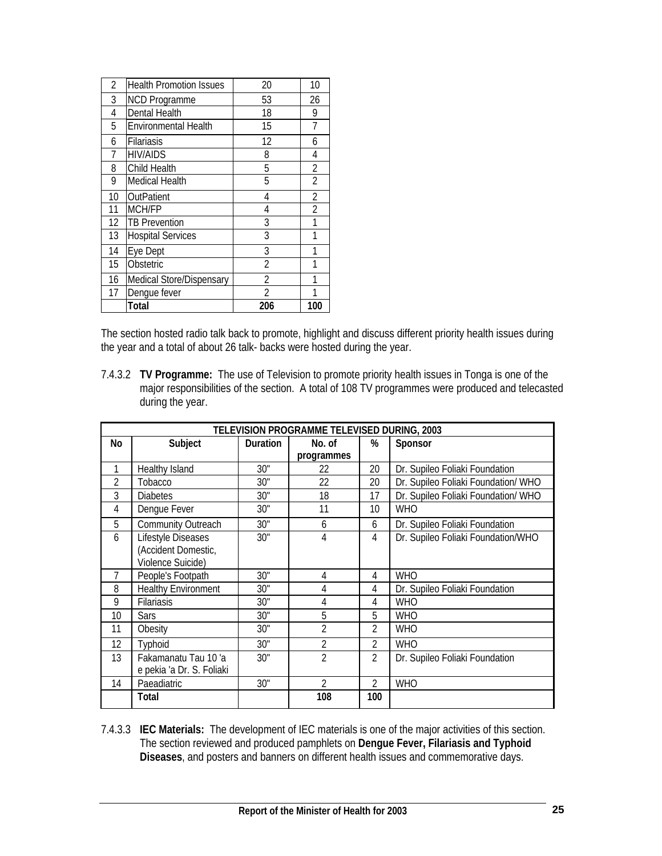| 2              | <b>Health Promotion Issues</b> | 20             | 10             |
|----------------|--------------------------------|----------------|----------------|
| 3              | <b>NCD Programme</b>           | 53             | 26             |
| 4              | Dental Health                  | 18             | 9              |
| 5              | <b>Environmental Health</b>    | 15             | 7              |
| 6              | Filariasis                     | 12             | 6              |
| $\overline{7}$ | <b>HIV/AIDS</b>                | 8              | 4              |
| 8              | Child Health                   | 5              | $\overline{2}$ |
| 9              | Medical Health                 | 5              | $\overline{2}$ |
| 10             | OutPatient                     | 4              | $\overline{2}$ |
| 11             | MCH/FP                         | 4              | $\overline{2}$ |
| 12             | <b>TB Prevention</b>           | 3              | 1              |
| 13             | <b>Hospital Services</b>       | 3              | 1              |
| 14             | Eye Dept                       | 3              | 1              |
| 15             | Obstetric                      | $\overline{2}$ | 1              |
| 16             | Medical Store/Dispensary       | $\overline{2}$ |                |
| 17             | Dengue fever                   | 2              |                |
|                | Total                          | 206            | 100            |

The section hosted radio talk back to promote, highlight and discuss different priority health issues during the year and a total of about 26 talk- backs were hosted during the year.

7.4.3.2 **TV Programme:** The use of Television to promote priority health issues in Tonga is one of the major responsibilities of the section. A total of 108 TV programmes were produced and telecasted during the year.

| TELEVISION PROGRAMME TELEVISED DURING, 2003 |                            |                 |                |                 |                                     |  |  |  |  |
|---------------------------------------------|----------------------------|-----------------|----------------|-----------------|-------------------------------------|--|--|--|--|
| No                                          | Subject                    | <b>Duration</b> | No. of         | %               | Sponsor                             |  |  |  |  |
|                                             |                            |                 | programmes     |                 |                                     |  |  |  |  |
|                                             | Healthy Island             | 30"             | 22             | 20              | Dr. Supileo Foliaki Foundation      |  |  |  |  |
| 2                                           | Tobacco                    | 30"             | 22             | 20              | Dr. Supileo Foliaki Foundation/WHO  |  |  |  |  |
| 3                                           | <b>Diabetes</b>            | 30"             | 18             | 17              | Dr. Supileo Foliaki Foundation/ WHO |  |  |  |  |
| 4                                           | Dengue Fever               | 30"             | 11             | 10 <sup>1</sup> | <b>WHO</b>                          |  |  |  |  |
| 5                                           | <b>Community Outreach</b>  | 30"             | 6              | 6               | Dr. Supileo Foliaki Foundation      |  |  |  |  |
| 6                                           | Lifestyle Diseases         | 30"             | 4              | 4               | Dr. Supileo Foliaki Foundation/WHO  |  |  |  |  |
|                                             | (Accident Domestic,        |                 |                |                 |                                     |  |  |  |  |
|                                             | Violence Suicide)          |                 |                |                 |                                     |  |  |  |  |
| 7                                           | People's Footpath          | 30"             | 4              | 4               | <b>WHO</b>                          |  |  |  |  |
| 8                                           | <b>Healthy Environment</b> | 30"             | 4              | 4               | Dr. Supileo Foliaki Foundation      |  |  |  |  |
| 9                                           | <b>Filariasis</b>          | 30"             | 4              | 4               | <b>WHO</b>                          |  |  |  |  |
| 10                                          | <b>Sars</b>                | 30"             | 5              | 5               | <b>WHO</b>                          |  |  |  |  |
| 11                                          | Obesity                    | 30"             | $\mathfrak{D}$ | $\mathfrak{D}$  | <b>WHO</b>                          |  |  |  |  |
| 12                                          | Typhoid                    | 30"             | 2              | 2               | <b>WHO</b>                          |  |  |  |  |
| 13                                          | Fakamanatu Tau 10'a        | 30"             | $\overline{2}$ | $\overline{2}$  | Dr. Supileo Foliaki Foundation      |  |  |  |  |
|                                             | e pekia 'a Dr. S. Foliaki  |                 |                |                 |                                     |  |  |  |  |
| 14                                          | Paeadiatric                | 30"             | $\mathfrak{D}$ | $\mathfrak{D}$  | <b>WHO</b>                          |  |  |  |  |
|                                             | Total                      |                 | 108            | 100             |                                     |  |  |  |  |

7.4.3.3 **IEC Materials:** The development of IEC materials is one of the major activities of this section. The section reviewed and produced pamphlets on **Dengue Fever, Filariasis and Typhoid Diseases**, and posters and banners on different health issues and commemorative days.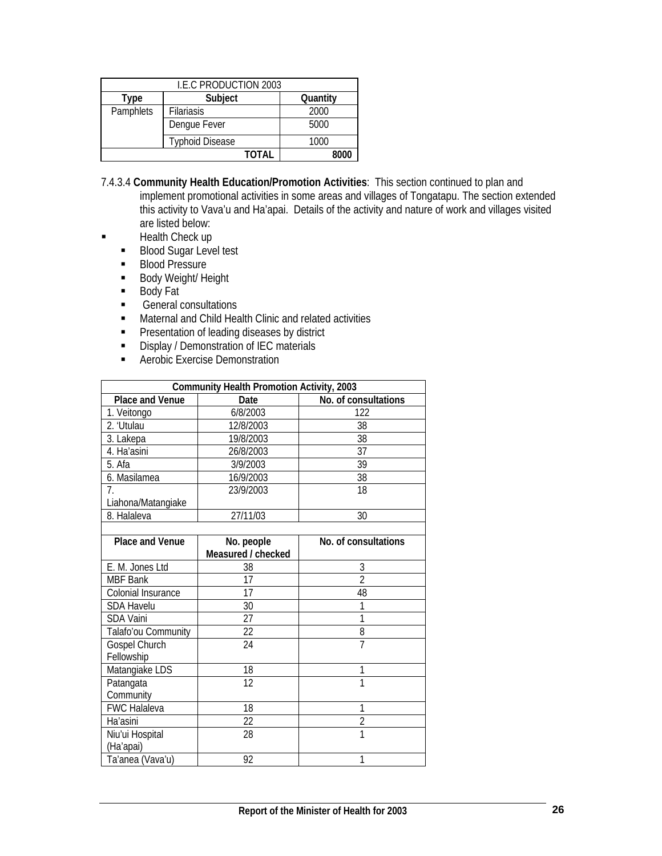| I.E.C PRODUCTION 2003 |                        |          |  |  |  |  |  |  |  |
|-----------------------|------------------------|----------|--|--|--|--|--|--|--|
| Type                  | Subject                | Quantity |  |  |  |  |  |  |  |
| Pamphlets             | <b>Filariasis</b>      | 2000     |  |  |  |  |  |  |  |
|                       | Dengue Fever           |          |  |  |  |  |  |  |  |
|                       | <b>Typhoid Disease</b> | 1000     |  |  |  |  |  |  |  |
| TOTAL<br>8000         |                        |          |  |  |  |  |  |  |  |

- 7.4.3.4 **Community Health Education/Promotion Activities**: This section continued to plan and implement promotional activities in some areas and villages of Tongatapu. The section extended this activity to Vava'u and Ha'apai. Details of the activity and nature of work and villages visited are listed below:
- **Health Check up** 
	- Blood Sugar Level test
	- **Blood Pressure**
	- **Body Weight/ Height**
	- Body Fat
	- General consultations
	- **EXECUTE:** Maternal and Child Health Clinic and related activities
	- **Presentation of leading diseases by district**
	- Display / Demonstration of IEC materials
	- **Aerobic Exercise Demonstration**

| <b>Community Health Promotion Activity, 2003</b> |                    |                      |  |  |  |  |  |  |  |
|--------------------------------------------------|--------------------|----------------------|--|--|--|--|--|--|--|
| Place and Venue                                  | Date               | No. of consultations |  |  |  |  |  |  |  |
| 1. Veitongo                                      | 6/8/2003           | 122                  |  |  |  |  |  |  |  |
| 2. 'Utulau                                       | 12/8/2003          | 38                   |  |  |  |  |  |  |  |
| 3. Lakepa                                        | 19/8/2003          | 38                   |  |  |  |  |  |  |  |
| 4. Ha'asini                                      | 26/8/2003          | 37                   |  |  |  |  |  |  |  |
| 5. Afa                                           | 3/9/2003           | 39                   |  |  |  |  |  |  |  |
| 6. Masilamea                                     | 16/9/2003          | 38                   |  |  |  |  |  |  |  |
| 7.                                               | 23/9/2003          | 18                   |  |  |  |  |  |  |  |
| Liahona/Matangiake                               |                    |                      |  |  |  |  |  |  |  |
| 8. Halaleva                                      | 27/11/03           | 30                   |  |  |  |  |  |  |  |
|                                                  |                    |                      |  |  |  |  |  |  |  |
| <b>Place and Venue</b>                           | No. people         | No. of consultations |  |  |  |  |  |  |  |
|                                                  | Measured / checked |                      |  |  |  |  |  |  |  |
| E. M. Jones Ltd                                  | 38                 | 3                    |  |  |  |  |  |  |  |
| <b>MBF Bank</b>                                  | 17                 | $\overline{2}$       |  |  |  |  |  |  |  |
| Colonial Insurance                               | 17                 | 48                   |  |  |  |  |  |  |  |
| <b>SDA Havelu</b>                                | 30                 | 1                    |  |  |  |  |  |  |  |
| <b>SDA Vaini</b>                                 | 27                 | 1                    |  |  |  |  |  |  |  |
| Talafo'ou Community                              | 22                 | 8                    |  |  |  |  |  |  |  |
| Gospel Church                                    | 24                 | $\overline{7}$       |  |  |  |  |  |  |  |
| Fellowship                                       |                    |                      |  |  |  |  |  |  |  |
| Matangiake LDS                                   | 18                 | 1                    |  |  |  |  |  |  |  |
| Patangata                                        | 12                 | 1                    |  |  |  |  |  |  |  |
| Community                                        |                    |                      |  |  |  |  |  |  |  |
| FWC Halaleva                                     | 18                 | 1                    |  |  |  |  |  |  |  |
| Ha'asini                                         | 22                 | $\overline{2}$       |  |  |  |  |  |  |  |
| Niu'ui Hospital                                  | 28                 | 1                    |  |  |  |  |  |  |  |
| (Ha'apai)                                        |                    |                      |  |  |  |  |  |  |  |
| Ta'anea (Vava'u)                                 | 92                 | 1                    |  |  |  |  |  |  |  |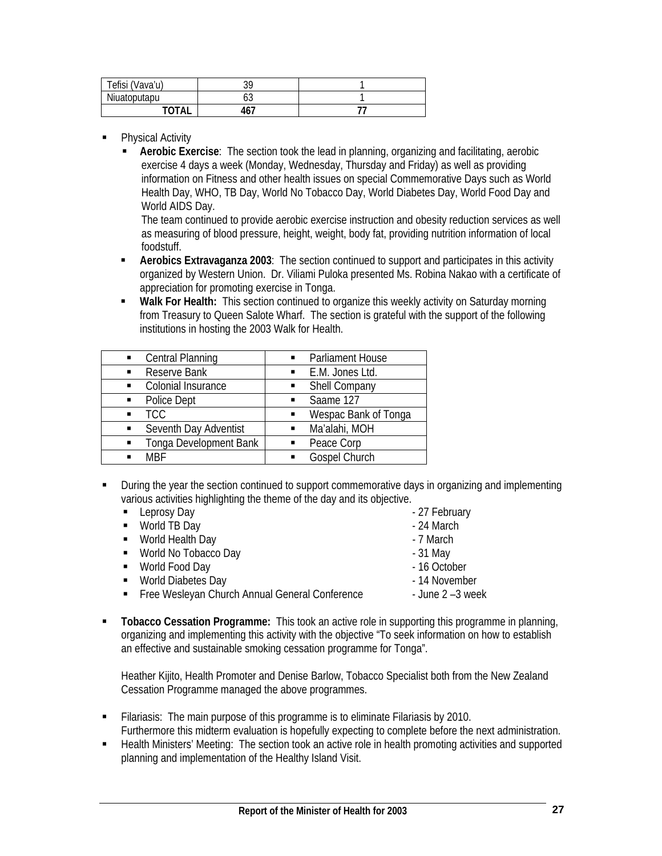| Tefisi (Vava'u) | า∩<br>5۲ |  |
|-----------------|----------|--|
| Niuatoputapu    | υυ       |  |
| ΤΩΤΔΙ           | 467      |  |

- Physical Activity
	- **Aerobic Exercise**: The section took the lead in planning, organizing and facilitating, aerobic exercise 4 days a week (Monday, Wednesday, Thursday and Friday) as well as providing information on Fitness and other health issues on special Commemorative Days such as World Health Day, WHO, TB Day, World No Tobacco Day, World Diabetes Day, World Food Day and World AIDS Day.

The team continued to provide aerobic exercise instruction and obesity reduction services as well as measuring of blood pressure, height, weight, body fat, providing nutrition information of local foodstuff.

- **Aerobics Extravaganza 2003**: The section continued to support and participates in this activity organized by Western Union. Dr. Viliami Puloka presented Ms. Robina Nakao with a certificate of appreciation for promoting exercise in Tonga.
- **Walk For Health:** This section continued to organize this weekly activity on Saturday morning from Treasury to Queen Salote Wharf. The section is grateful with the support of the following institutions in hosting the 2003 Walk for Health.

| Central Planning<br>$\blacksquare$ | Parliament House     |
|------------------------------------|----------------------|
| Reserve Bank                       | E.M. Jones Ltd.      |
| $\blacksquare$                     | $\blacksquare$       |
| Colonial Insurance                 | Shell Company        |
| $\blacksquare$                     | $\blacksquare$       |
| Police Dept                        | Saame 127            |
| $\blacksquare$                     | $\blacksquare$       |
| TCC                                | Wespac Bank of Tonga |
| $\blacksquare$                     | $\blacksquare$       |
| Seventh Day Adventist              | Ma'alahi, MOH        |
| $\blacksquare$                     | $\blacksquare$       |
| Tonga Development Bank             | Peace Corp           |
| $\blacksquare$                     | $\blacksquare$       |
| MRF                                | <b>Gospel Church</b> |
| $\blacksquare$                     | $\blacksquare$       |
|                                    |                      |

 During the year the section continued to support commemorative days in organizing and implementing various activities highlighting the theme of the day and its objective.

| • Leprosy Day                                  | - 27 February       |
|------------------------------------------------|---------------------|
| • World TB Day                                 | - 24 March          |
| • World Health Day                             | - 7 March           |
| • World No Tobacco Day                         | $-31$ May           |
| • World Food Day                               | - 16 October        |
| • World Diabetes Day                           | - 14 November       |
| Free Wesleyan Church Annual General Conference | - June $2 - 3$ week |
|                                                |                     |

 **Tobacco Cessation Programme:** This took an active role in supporting this programme in planning, organizing and implementing this activity with the objective "To seek information on how to establish an effective and sustainable smoking cessation programme for Tonga".

Heather Kijito, Health Promoter and Denise Barlow, Tobacco Specialist both from the New Zealand Cessation Programme managed the above programmes.

- Filariasis: The main purpose of this programme is to eliminate Filariasis by 2010. Furthermore this midterm evaluation is hopefully expecting to complete before the next administration.
- Health Ministers' Meeting: The section took an active role in health promoting activities and supported planning and implementation of the Healthy Island Visit.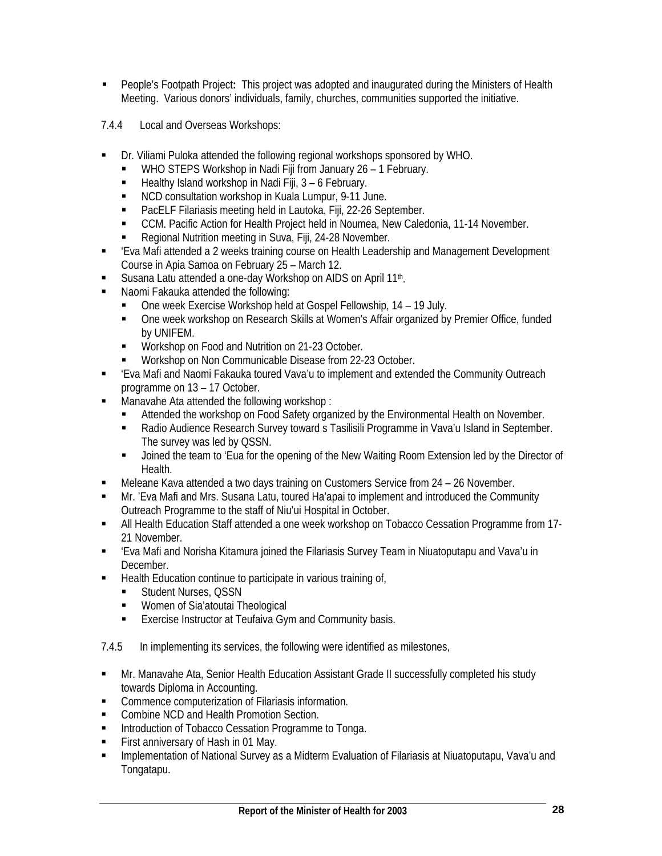- People's Footpath Project**:** This project was adopted and inaugurated during the Ministers of Health Meeting. Various donors' individuals, family, churches, communities supported the initiative.
- 7.4.4 Local and Overseas Workshops:
- Dr. Viliami Puloka attended the following regional workshops sponsored by WHO.
	- WHO STEPS Workshop in Nadi Fiji from January 26 1 February.
	- Healthy Island workshop in Nadi Fiji, 3 6 February.
	- NCD consultation workshop in Kuala Lumpur, 9-11 June.
	- PacELF Filariasis meeting held in Lautoka, Fiji, 22-26 September.
	- CCM. Pacific Action for Health Project held in Noumea, New Caledonia, 11-14 November.
	- Regional Nutrition meeting in Suva, Fiji, 24-28 November.
- 'Eva Mafi attended a 2 weeks training course on Health Leadership and Management Development Course in Apia Samoa on February 25 – March 12.
- Susana Latu attended a one-day Workshop on AIDS on April 11<sup>th</sup>.
- **Naomi Fakauka attended the following:** 
	- One week Exercise Workshop held at Gospel Fellowship, 14 19 July.
	- One week workshop on Research Skills at Women's Affair organized by Premier Office, funded by UNIFEM.
	- **Workshop on Food and Nutrition on 21-23 October.**
	- Workshop on Non Communicable Disease from 22-23 October.
- 'Eva Mafi and Naomi Fakauka toured Vava'u to implement and extended the Community Outreach programme on 13 – 17 October.
- **Manavahe Ata attended the following workshop:** 
	- Attended the workshop on Food Safety organized by the Environmental Health on November.
	- Radio Audience Research Survey toward s Tasilisili Programme in Vava'u Island in September. The survey was led by QSSN.
	- Joined the team to 'Eua for the opening of the New Waiting Room Extension led by the Director of Health.
- Meleane Kava attended a two days training on Customers Service from 24 26 November.
- Mr. 'Eva Mafi and Mrs. Susana Latu, toured Ha'apai to implement and introduced the Community Outreach Programme to the staff of Niu'ui Hospital in October.
- All Health Education Staff attended a one week workshop on Tobacco Cessation Programme from 17- 21 November.
- 'Eva Mafi and Norisha Kitamura joined the Filariasis Survey Team in Niuatoputapu and Vava'u in December.
- Health Education continue to participate in various training of,
	- Student Nurses, QSSN
	- Women of Sia'atoutai Theological
	- **Exercise Instructor at Teufaiva Gym and Community basis.**

7.4.5 In implementing its services, the following were identified as milestones,

- Mr. Manavahe Ata, Senior Health Education Assistant Grade II successfully completed his study towards Diploma in Accounting.
- **EXECOMMENCE COMPUTER COMPUTER COMPUTER** COMMENCIAL **COMPUTER**
- **EXECOMBINE NCD and Health Promotion Section.**
- **Introduction of Tobacco Cessation Programme to Tonga.**
- First anniversary of Hash in 01 May.
- **IMPLEM** Implementation of National Survey as a Midterm Evaluation of Filariasis at Niuatoputapu, Vava'u and Tongatapu.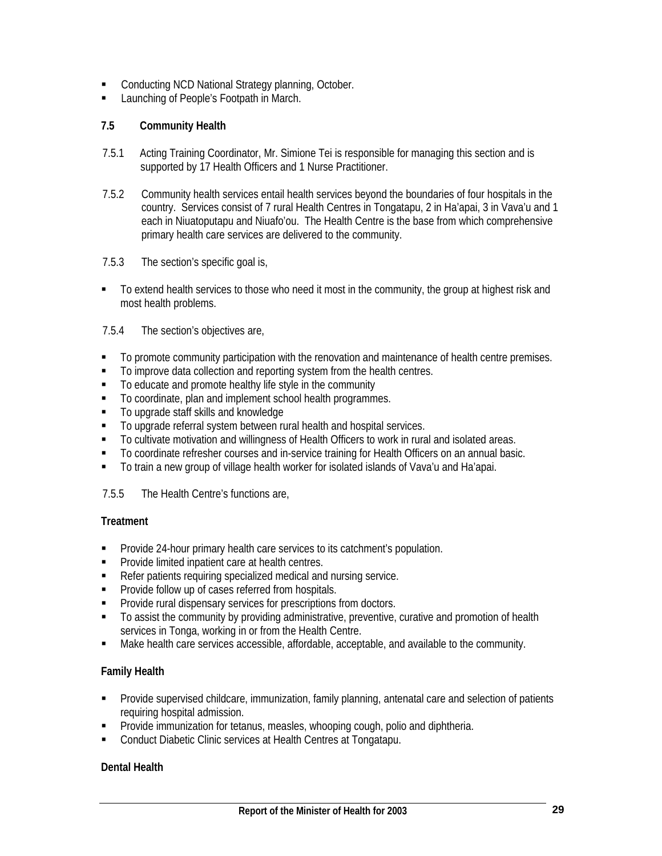- **EXECONDUCTION** NCD National Strategy planning, October.
- **Launching of People's Footpath in March.**

## **7.5 Community Health**

- 7.5.1 Acting Training Coordinator, Mr. Simione Tei is responsible for managing this section and is supported by 17 Health Officers and 1 Nurse Practitioner.
- 7.5.2 Community health services entail health services beyond the boundaries of four hospitals in the country. Services consist of 7 rural Health Centres in Tongatapu, 2 in Ha'apai, 3 in Vava'u and 1 each in Niuatoputapu and Niuafo'ou. The Health Centre is the base from which comprehensive primary health care services are delivered to the community.
- 7.5.3 The section's specific goal is,
- To extend health services to those who need it most in the community, the group at highest risk and most health problems.

## 7.5.4 The section's objectives are,

- To promote community participation with the renovation and maintenance of health centre premises.
- $\blacksquare$  To improve data collection and reporting system from the health centres.
- To educate and promote healthy life style in the community
- To coordinate, plan and implement school health programmes.
- To upgrade staff skills and knowledge
- $\blacksquare$  To upgrade referral system between rural health and hospital services.
- To cultivate motivation and willingness of Health Officers to work in rural and isolated areas.
- To coordinate refresher courses and in-service training for Health Officers on an annual basic.
- To train a new group of village health worker for isolated islands of Vava'u and Ha'apai.

## 7.5.5 The Health Centre's functions are,

## **Treatment**

- **Provide 24-hour primary health care services to its catchment's population.**
- **Provide limited inpatient care at health centres.**
- Refer patients requiring specialized medical and nursing service.
- **Provide follow up of cases referred from hospitals.**
- **Provide rural dispensary services for prescriptions from doctors.**
- $\blacksquare$  To assist the community by providing administrative, preventive, curative and promotion of health services in Tonga, working in or from the Health Centre.
- Make health care services accessible, affordable, acceptable, and available to the community.

## **Family Health**

- **Provide supervised childcare, immunization, family planning, antenatal care and selection of patients** requiring hospital admission.
- **Provide immunization for tetanus, measles, whooping cough, polio and diphtheria.**
- **Conduct Diabetic Clinic services at Health Centres at Tongatapu.**

## **Dental Health**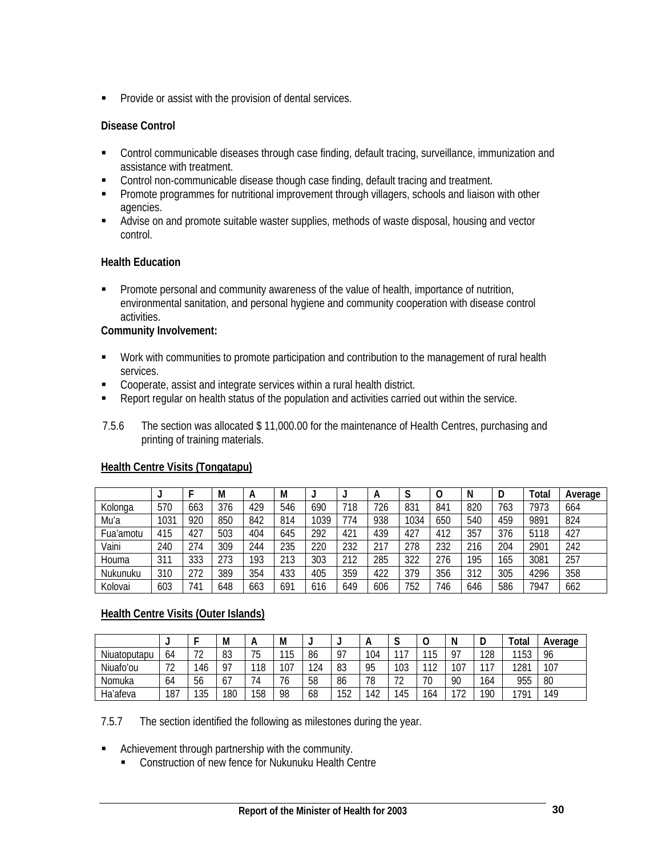**Provide or assist with the provision of dental services.** 

## **Disease Control**

- Control communicable diseases through case finding, default tracing, surveillance, immunization and assistance with treatment.
- **Control non-communicable disease though case finding, default tracing and treatment.**
- **Promote programmes for nutritional improvement through villagers, schools and liaison with other** agencies.
- **Advise on and promote suitable waster supplies, methods of waste disposal, housing and vector** control.

## **Health Education**

**Promote personal and community awareness of the value of health, importance of nutrition,** environmental sanitation, and personal hygiene and community cooperation with disease control activities.

## **Community Involvement:**

- Work with communities to promote participation and contribution to the management of rural health services.
- Cooperate, assist and integrate services within a rural health district.
- **Report regular on health status of the population and activities carried out within the service.**
- 7.5.6 The section was allocated \$ 11,000.00 for the maintenance of Health Centres, purchasing and printing of training materials.

|           | <u>Hound Ochinc Visits (Tongalapu)</u> |     |     |     |     |      |     |     |      |     |     |     |       |         |
|-----------|----------------------------------------|-----|-----|-----|-----|------|-----|-----|------|-----|-----|-----|-------|---------|
|           |                                        |     | М   | А   | М   |      |     | А   | c    | 0   | N   | D   | Total | Average |
| Kolonga   | 570                                    | 663 | 376 | 429 | 546 | 690  | 718 | 726 | 831  | 841 | 820 | 763 | 7973  | 664     |
| Mu'a      | 1031                                   | 920 | 850 | 842 | 814 | 1039 | 774 | 938 | 1034 | 650 | 540 | 459 | 9891  | 824     |
| Fua'amotu | 415                                    | 427 | 503 | 404 | 645 | 292  | 421 | 439 | 427  | 412 | 357 | 376 | 5118  | 427     |
| Vaini     | 240                                    | 274 | 309 | 244 | 235 | 220  | 232 | 217 | 278  | 232 | 216 | 204 | 2901  | 242     |
| Houma     | 311                                    | 333 | 273 | 193 | 213 | 303  | 212 | 285 | 322  | 276 | 195 | 165 | 3081  | 257     |
| Nukunuku  | 310                                    | 272 | 389 | 354 | 433 | 405  | 359 | 422 | 379  | 356 | 312 | 305 | 4296  | 358     |
| Kolovai   | 603                                    | 741 | 648 | 663 | 691 | 616  | 649 | 606 | 752  | 746 | 646 | 586 | 7947  | 662     |

## **Health Centre Visits (Tongatapu)**

## **Health Centre Visits (Outer Islands)**

|              | <b>.</b> |                                      | М         | А         | М                              |     | . . |     | u       | ◡                     | N      | u   | ™otai | Average |
|--------------|----------|--------------------------------------|-----------|-----------|--------------------------------|-----|-----|-----|---------|-----------------------|--------|-----|-------|---------|
| Niuatoputapu | 64       | $\overline{\phantom{a}}$<br><u>.</u> | 83        | 75        | <b>115</b>                     | 86  | 07  | 104 | 117     | 1 <sub>E</sub><br>ט ו | Q7     | 128 | 1153  | 96      |
| Niuafo'ou    | רד       | 46                                   | <b>Q7</b> | 110<br>ΙÖ | 107                            | 124 | 83  | 95  | 103     | $\overline{A}$        | 107    | 117 | 1281  | 107     |
| Nomuka       | 64       | 56                                   | 67        | 74        | $\overline{\phantom{a}}$<br>'6 | 58  | 86  | 78  | רד<br>້ | 70                    | 90     | 164 | 955   | 80      |
| Ha'afeva     | 187      | 135                                  | 180       | 158       | 98                             | 68  | 152 | 142 | 145     | 164                   | $\neg$ | 190 | 791   | 149     |

7.5.7 The section identified the following as milestones during the year.

- **EXEC** Achievement through partnership with the community.
	- **EXECONSTRUCTION OF THE OF A CONSTRUCT** CONSTRUCTION of new fence for Nukunuku Health Centre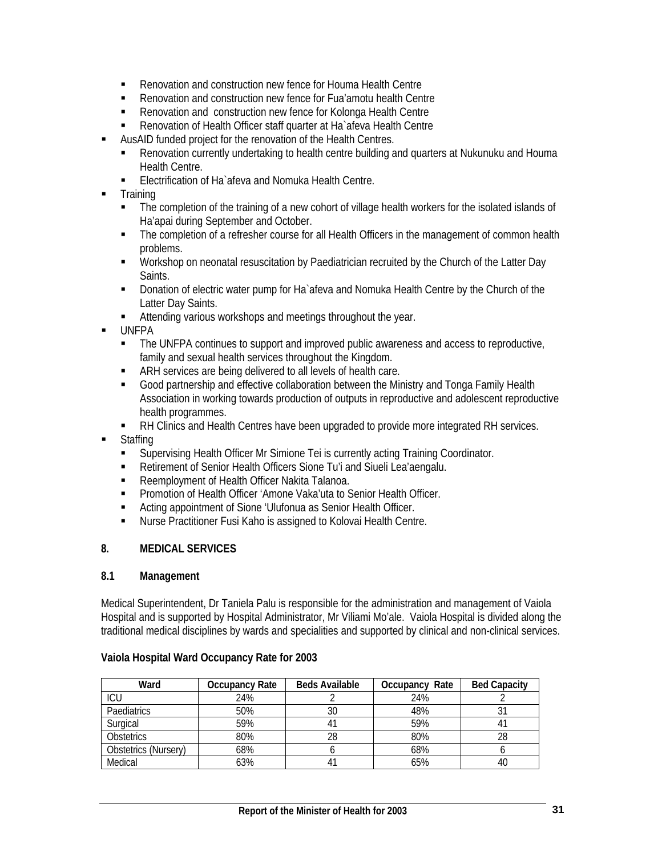- Renovation and construction new fence for Houma Health Centre
- Renovation and construction new fence for Fua'amotu health Centre
- Renovation and construction new fence for Kolonga Health Centre
- Renovation of Health Officer staff quarter at Ha`afeva Health Centre
- AusAID funded project for the renovation of the Health Centres.
	- Renovation currently undertaking to health centre building and quarters at Nukunuku and Houma Health Centre.
	- Electrification of Ha`afeva and Nomuka Health Centre.
- **Training** 
	- The completion of the training of a new cohort of village health workers for the isolated islands of Ha'apai during September and October.
	- The completion of a refresher course for all Health Officers in the management of common health problems.
	- **Workshop on neonatal resuscitation by Paediatrician recruited by the Church of the Latter Day Saints**
	- **Donation of electric water pump for Ha** afeva and Nomuka Health Centre by the Church of the Latter Day Saints.
	- Attending various workshops and meetings throughout the year.
- UNFPA
	- The UNFPA continues to support and improved public awareness and access to reproductive, family and sexual health services throughout the Kingdom.
	- ARH services are being delivered to all levels of health care.
	- Good partnership and effective collaboration between the Ministry and Tonga Family Health Association in working towards production of outputs in reproductive and adolescent reproductive health programmes.
	- RH Clinics and Health Centres have been upgraded to provide more integrated RH services.
- **Staffing** 
	- Supervising Health Officer Mr Simione Tei is currently acting Training Coordinator.
	- Retirement of Senior Health Officers Sione Tu'i and Siueli Lea'aengalu.
	- **Reemployment of Health Officer Nakita Talanoa.**
	- Promotion of Health Officer 'Amone Vaka'uta to Senior Health Officer.
	- Acting appointment of Sione 'Ulufonua as Senior Health Officer.
	- Nurse Practitioner Fusi Kaho is assigned to Kolovai Health Centre.

## **8. MEDICAL SERVICES**

#### **8.1 Management**

Medical Superintendent, Dr Taniela Palu is responsible for the administration and management of Vaiola Hospital and is supported by Hospital Administrator, Mr Viliami Mo'ale. Vaiola Hospital is divided along the traditional medical disciplines by wards and specialities and supported by clinical and non-clinical services.

#### **Vaiola Hospital Ward Occupancy Rate for 2003**

| Ward                 | Occupancy Rate | <b>Beds Available</b> | Occupancy Rate | <b>Bed Capacity</b> |
|----------------------|----------------|-----------------------|----------------|---------------------|
| ICU                  | 24%            |                       | 24%            |                     |
| Paediatrics          | 50%            | 30                    | 48%            |                     |
| Surgical             | 59%            |                       | 59%            |                     |
| <b>Obstetrics</b>    | 80%            | 28                    | 80%            |                     |
| Obstetrics (Nursery) | 68%            |                       | 68%            |                     |
| Medical              | 63%            |                       | 65%            | 40                  |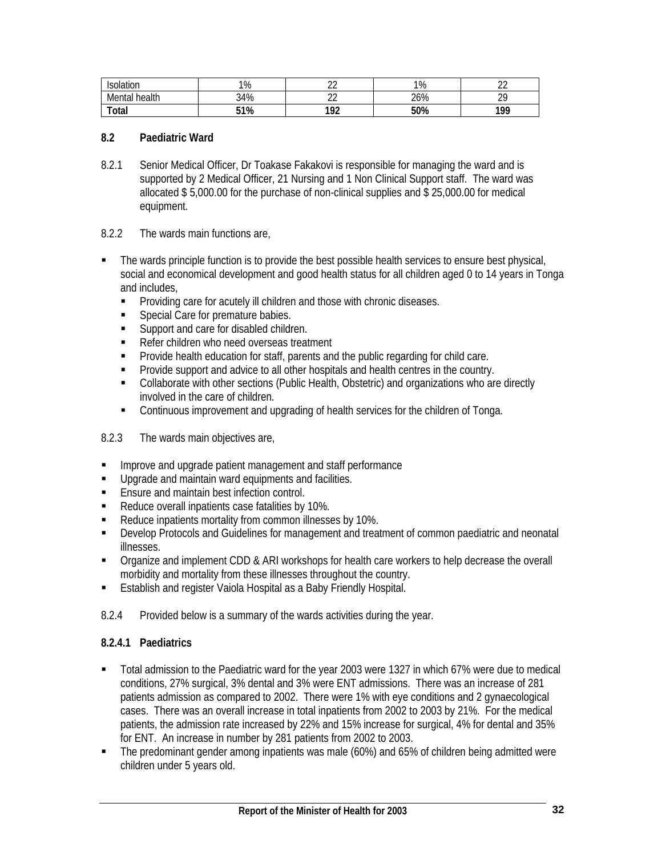| Isolation        | 1%  | $\sim$<br>-- | 1%  | $\sim$<br>-- |
|------------------|-----|--------------|-----|--------------|
| health<br>Mental | 34% | $\sim$<br>__ | 26% | ററ<br>_      |
| Total            | 51% | 102<br>--    | 50% | 100<br>.     |

#### **8.2 Paediatric Ward**

- 8.2.1 Senior Medical Officer, Dr Toakase Fakakovi is responsible for managing the ward and is supported by 2 Medical Officer, 21 Nursing and 1 Non Clinical Support staff. The ward was allocated \$ 5,000.00 for the purchase of non-clinical supplies and \$ 25,000.00 for medical equipment.
- 8.2.2 The wards main functions are,
- **The wards principle function is to provide the best possible health services to ensure best physical,** social and economical development and good health status for all children aged 0 to 14 years in Tonga and includes,
	- **Providing care for acutely ill children and those with chronic diseases.**
	- **Special Care for premature babies.**
	- Support and care for disabled children.
	- Refer children who need overseas treatment
	- **Provide health education for staff, parents and the public regarding for child care.**
	- **Provide support and advice to all other hospitals and health centres in the country.**
	- Collaborate with other sections (Public Health, Obstetric) and organizations who are directly involved in the care of children.
	- Continuous improvement and upgrading of health services for the children of Tonga.
- 8.2.3 The wards main objectives are,
- **IMPROVE and upgrade patient management and staff performance**
- **Upgrade and maintain ward equipments and facilities.**
- **Ensure and maintain best infection control.**
- Reduce overall inpatients case fatalities by 10%.
- Reduce inpatients mortality from common illnesses by 10%.
- Develop Protocols and Guidelines for management and treatment of common paediatric and neonatal illnesses.
- Organize and implement CDD & ARI workshops for health care workers to help decrease the overall morbidity and mortality from these illnesses throughout the country.
- **Establish and register Vaiola Hospital as a Baby Friendly Hospital.**
- 8.2.4 Provided below is a summary of the wards activities during the year.

## **8.2.4.1 Paediatrics**

- Total admission to the Paediatric ward for the year 2003 were 1327 in which 67% were due to medical conditions, 27% surgical, 3% dental and 3% were ENT admissions. There was an increase of 281 patients admission as compared to 2002. There were 1% with eye conditions and 2 gynaecological cases. There was an overall increase in total inpatients from 2002 to 2003 by 21%. For the medical patients, the admission rate increased by 22% and 15% increase for surgical, 4% for dental and 35% for ENT. An increase in number by 281 patients from 2002 to 2003.
- The predominant gender among inpatients was male (60%) and 65% of children being admitted were children under 5 years old.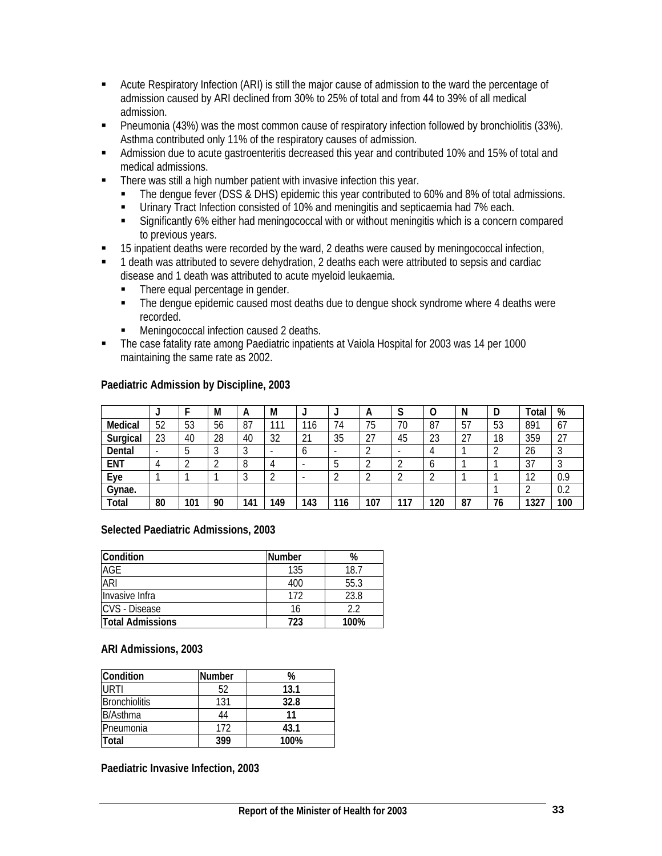- Acute Respiratory Infection (ARI) is still the major cause of admission to the ward the percentage of admission caused by ARI declined from 30% to 25% of total and from 44 to 39% of all medical admission.
- Pneumonia (43%) was the most common cause of respiratory infection followed by bronchiolitis (33%). Asthma contributed only 11% of the respiratory causes of admission.
- Admission due to acute gastroenteritis decreased this year and contributed 10% and 15% of total and medical admissions.
- **There was still a high number patient with invasive infection this year.** 
	- The dengue fever (DSS & DHS) epidemic this year contributed to 60% and 8% of total admissions.
	- Urinary Tract Infection consisted of 10% and meningitis and septicaemia had 7% each.
	- Significantly 6% either had meningococcal with or without meningitis which is a concern compared to previous years.
- 15 inpatient deaths were recorded by the ward, 2 deaths were caused by meningococcal infection,
- <sup>1</sup> 1 death was attributed to severe dehydration, 2 deaths each were attributed to sepsis and cardiac disease and 1 death was attributed to acute myeloid leukaemia.
	- There equal percentage in gender.
	- The dengue epidemic caused most deaths due to dengue shock syndrome where 4 deaths were recorded.
	- Meningococcal infection caused 2 deaths.
- The case fatality rate among Paediatric inpatients at Vaiola Hospital for 2003 was 14 per 1000 maintaining the same rate as 2002.

|            |    |     | M  | A      | M   |             |     | A   | ∼<br>J |     | Ν  |    | Total | %         |
|------------|----|-----|----|--------|-----|-------------|-----|-----|--------|-----|----|----|-------|-----------|
| Medical    | 52 | 53  | 56 | 87     | 111 | 116         | 74  | 75  | 70     | 87  | 57 | 53 | 891   | 67        |
| Surgical   | 23 | 40  | 28 | 40     | 32  | $\sim$<br>∠ | 35  | 27  | 45     | 23  | 27 | 18 | 359   | าา<br>ا ے |
| Dental     |    |     |    | ົ<br>J | -   | v           | -   |     |        |     |    |    | 26    |           |
| <b>ENT</b> |    |     |    | 8      |     | -           | O   |     |        |     |    |    | 37    |           |
| Eye        |    |     |    | ົ<br>ັ |     |             |     |     |        |     |    |    | 12    | 0.9       |
| Gynae.     |    |     |    |        |     |             |     |     |        |     |    |    |       | 0.2       |
| Total      | 80 | 101 | 90 | 141    | 149 | 143         | 116 | 107 | 117    | 120 | 87 | 76 | 1327  | 100       |

#### **Paediatric Admission by Discipline, 2003**

#### **Selected Paediatric Admissions, 2003**

| Condition               | <b>Number</b> | %    |
|-------------------------|---------------|------|
| AGE                     | 135           | 18.7 |
| <b>ARI</b>              | 400           | 55.3 |
| Invasive Infra          | 172           | 23.8 |
| CVS - Disease           |               | 2.2  |
| <b>Total Admissions</b> | 723           | 100% |

#### **ARI Admissions, 2003**

| Condition            | <b>Number</b> | %    |
|----------------------|---------------|------|
| URTI                 | 52            | 13.1 |
| <b>Bronchiolitis</b> | 131           | 32.8 |
| <b>B/Asthma</b>      | 44            |      |
| Pneumonia            | 172           | 43.1 |
| Total                | 399           | 100% |

**Paediatric Invasive Infection, 2003**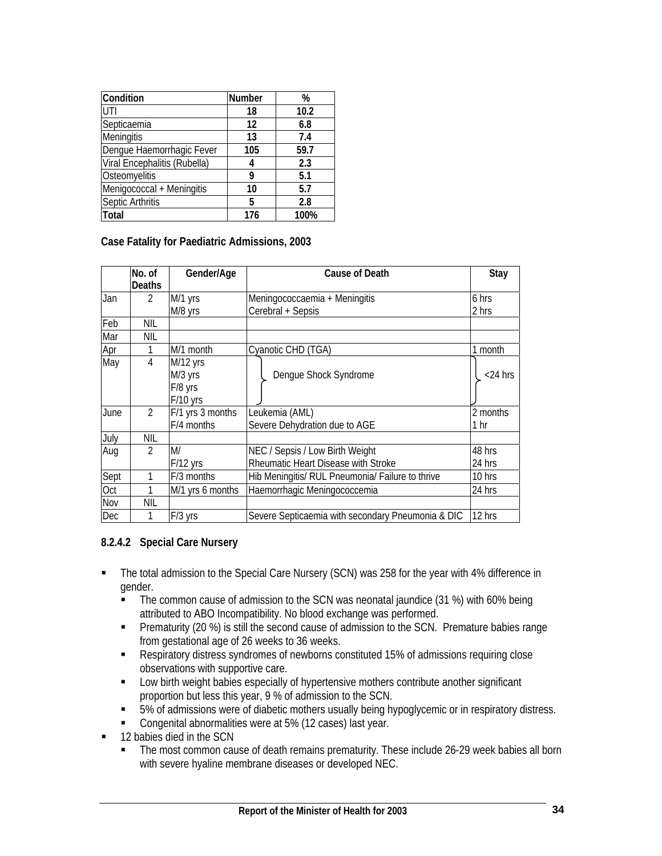| Condition                    | <b>Number</b> | %    |
|------------------------------|---------------|------|
| UTI                          | 18            | 10.2 |
| Septicaemia                  | 12            | 6.8  |
| Meningitis                   | 13            | 7.4  |
| Dengue Haemorrhagic Fever    | 105           | 59.7 |
| Viral Encephalitis (Rubella) | 4             | 2.3  |
| Osteomyelitis                | 9             | 5.1  |
| Menigococcal + Meningitis    | 10            | 5.7  |
| Septic Arthritis             | 5             | 2.8  |
| Total                        | 176           | 100% |

**Case Fatality for Paediatric Admissions, 2003** 

|      | No. of         | Gender/Age       | Cause of Death                                    | Stay       |
|------|----------------|------------------|---------------------------------------------------|------------|
|      | Deaths         |                  |                                                   |            |
| Jan  | $\mathcal{P}$  | M/1 yrs          | Meningococcaemia + Meningitis                     | 6 hrs      |
|      |                | M/8 yrs          | Cerebral + Sepsis                                 | 2 hrs      |
| Feb  | NIL            |                  |                                                   |            |
| Mar  | NIL            |                  |                                                   |            |
| Apr  |                | M/1 month        | Cyanotic CHD (TGA)                                | 1 month    |
| May  | 4              | M/12 yrs         |                                                   |            |
|      |                | M/3 yrs          | Dengue Shock Syndrome                             | $<$ 24 hrs |
|      |                | F/8 yrs          |                                                   |            |
|      |                | $F/10$ yrs       |                                                   |            |
| June | $\mathfrak{D}$ | F/1 yrs 3 months | Leukemia (AML)                                    | 2 months   |
|      |                | F/4 months       | Severe Dehydration due to AGE                     | 1 hr       |
| July | NIL            |                  |                                                   |            |
| Aug  | $\mathfrak{D}$ | M/               | NEC / Sepsis / Low Birth Weight                   | 48 hrs     |
|      |                | $F/12$ yrs       | Rheumatic Heart Disease with Stroke               | 24 hrs     |
| Sept |                | F/3 months       | Hib Meningitis/ RUL Pneumonia/ Failure to thrive  | 10 hrs     |
| Oct  |                | M/1 yrs 6 months | Haemorrhagic Meningococcemia                      | 24 hrs     |
| Nov  | <b>NIL</b>     |                  |                                                   |            |
| Dec  |                | $F/3$ yrs        | Severe Septicaemia with secondary Pneumonia & DIC | 12 hrs     |

## **8.2.4.2 Special Care Nursery**

- The total admission to the Special Care Nursery (SCN) was 258 for the year with 4% difference in gender.
	- The common cause of admission to the SCN was neonatal jaundice (31 %) with 60% being attributed to ABO Incompatibility. No blood exchange was performed.
	- **Prematurity (20 %) is still the second cause of admission to the SCN. Premature babies range** from gestational age of 26 weeks to 36 weeks.
	- Respiratory distress syndromes of newborns constituted 15% of admissions requiring close observations with supportive care.
	- **EXECT** Low birth weight babies especially of hypertensive mothers contribute another significant proportion but less this year, 9 % of admission to the SCN.
	- 5% of admissions were of diabetic mothers usually being hypoglycemic or in respiratory distress.
	- Congenital abnormalities were at 5% (12 cases) last year.
- 12 babies died in the SCN
	- The most common cause of death remains prematurity. These include 26-29 week babies all born with severe hyaline membrane diseases or developed NEC.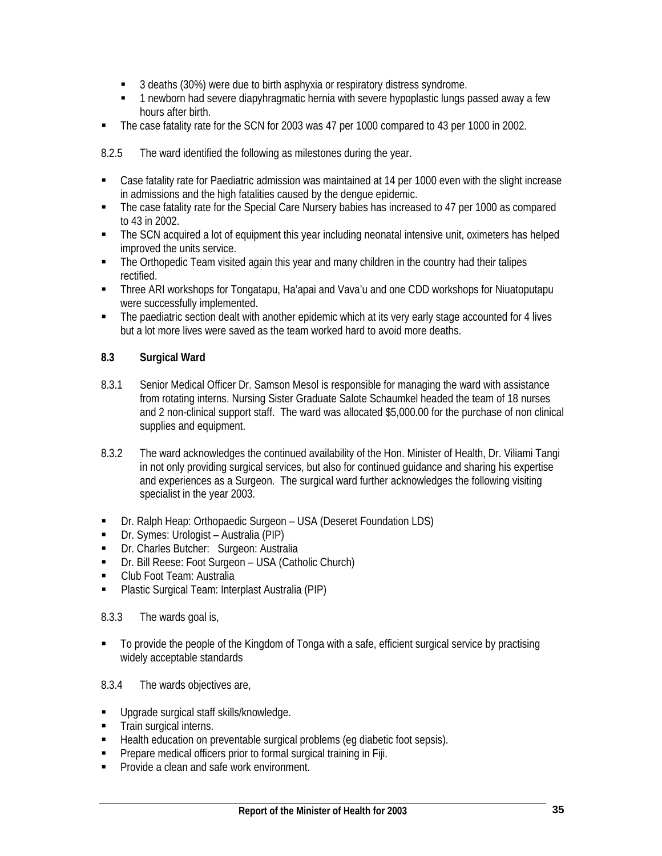- 3 deaths (30%) were due to birth asphyxia or respiratory distress syndrome.
- 1 newborn had severe diapyhragmatic hernia with severe hypoplastic lungs passed away a few hours after birth.
- The case fatality rate for the SCN for 2003 was 47 per 1000 compared to 43 per 1000 in 2002.

8.2.5 The ward identified the following as milestones during the year.

- Case fatality rate for Paediatric admission was maintained at 14 per 1000 even with the slight increase in admissions and the high fatalities caused by the dengue epidemic.
- The case fatality rate for the Special Care Nursery babies has increased to 47 per 1000 as compared to 43 in 2002.
- The SCN acquired a lot of equipment this year including neonatal intensive unit, oximeters has helped improved the units service.
- The Orthopedic Team visited again this year and many children in the country had their talipes rectified.
- **Three ARI workshops for Tongatapu, Ha'apai and Vava'u and one CDD workshops for Niuatoputapu** were successfully implemented.
- The paediatric section dealt with another epidemic which at its very early stage accounted for 4 lives but a lot more lives were saved as the team worked hard to avoid more deaths.

## **8.3 Surgical Ward**

- 8.3.1 Senior Medical Officer Dr. Samson Mesol is responsible for managing the ward with assistance from rotating interns. Nursing Sister Graduate Salote Schaumkel headed the team of 18 nurses and 2 non-clinical support staff. The ward was allocated \$5,000.00 for the purchase of non clinical supplies and equipment.
- 8.3.2 The ward acknowledges the continued availability of the Hon. Minister of Health, Dr. Viliami Tangi in not only providing surgical services, but also for continued guidance and sharing his expertise and experiences as a Surgeon. The surgical ward further acknowledges the following visiting specialist in the year 2003.
- Dr. Ralph Heap: Orthopaedic Surgeon USA (Deseret Foundation LDS)
- Dr. Symes: Urologist Australia (PIP)
- **Dr. Charles Butcher: Surgeon: Australia**
- Dr. Bill Reese: Foot Surgeon USA (Catholic Church)
- **Club Foot Team: Australia**
- **Plastic Surgical Team: Interplast Australia (PIP)**

## 8.3.3 The wards goal is,

• To provide the people of the Kingdom of Tonga with a safe, efficient surgical service by practising widely acceptable standards

## 8.3.4 The wards objectives are,

- **Upgrade surgical staff skills/knowledge.**
- **Train surgical interns.**
- Health education on preventable surgical problems (eg diabetic foot sepsis).
- **Prepare medical officers prior to formal surgical training in Fiji.**
- **Provide a clean and safe work environment.**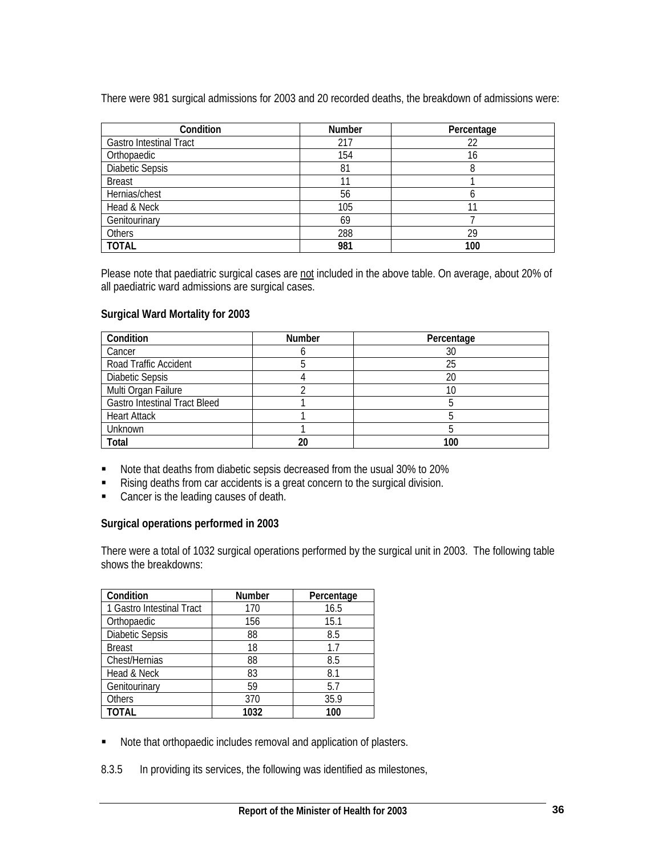There were 981 surgical admissions for 2003 and 20 recorded deaths, the breakdown of admissions were:

| Condition                      | <b>Number</b> | Percentage |
|--------------------------------|---------------|------------|
| <b>Gastro Intestinal Tract</b> | 217           | 22         |
| Orthopaedic                    | 154           | 16         |
| <b>Diabetic Sepsis</b>         | 81            |            |
| <b>Breast</b>                  |               |            |
| Hernias/chest                  | 56            |            |
| Head & Neck                    | 105           |            |
| Genitourinary                  | 69            |            |
| Others                         | 288           | 29         |
| <b>TOTAL</b>                   | 981           | 100        |

Please note that paediatric surgical cases are not included in the above table. On average, about 20% of all paediatric ward admissions are surgical cases.

## **Surgical Ward Mortality for 2003**

| Condition                            | <b>Number</b> | Percentage |
|--------------------------------------|---------------|------------|
| Cancer                               |               | 30         |
| Road Traffic Accident                |               | 25         |
| <b>Diabetic Sepsis</b>               |               | 20         |
| Multi Organ Failure                  |               | 10         |
| <b>Gastro Intestinal Tract Bleed</b> |               |            |
| <b>Heart Attack</b>                  |               |            |
| Unknown                              |               |            |
| <b>Total</b>                         | 20            | 100        |

- Note that deaths from diabetic sepsis decreased from the usual 30% to 20%
- Rising deaths from car accidents is a great concern to the surgical division.
- **Cancer is the leading causes of death.**

## **Surgical operations performed in 2003**

There were a total of 1032 surgical operations performed by the surgical unit in 2003. The following table shows the breakdowns:

| Condition                 | Number | Percentage |
|---------------------------|--------|------------|
| 1 Gastro Intestinal Tract | 170    | 16.5       |
| Orthopaedic               | 156    | 15.1       |
| <b>Diabetic Sepsis</b>    | 88     | 8.5        |
| <b>Breast</b>             | 18     | 1.7        |
| Chest/Hernias             | 88     | 8.5        |
| Head & Neck               | 83     | 8.1        |
| Genitourinary             | 59     | 5.7        |
| <b>Others</b>             | 370    | 35.9       |
| <b>TOTAL</b>              | 1032   | 100        |

- Note that orthopaedic includes removal and application of plasters.
- 8.3.5 In providing its services, the following was identified as milestones,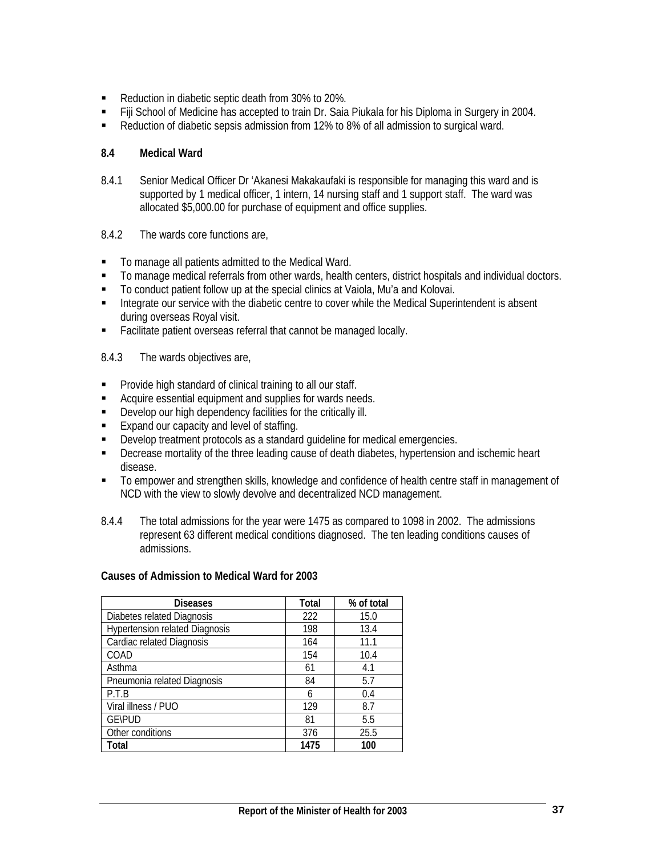- Reduction in diabetic septic death from 30% to 20%.
- **Fiji School of Medicine has accepted to train Dr. Saia Piukala for his Diploma in Surgery in 2004.**
- Reduction of diabetic sepsis admission from 12% to 8% of all admission to surgical ward.

## **8.4 Medical Ward**

- 8.4.1 Senior Medical Officer Dr 'Akanesi Makakaufaki is responsible for managing this ward and is supported by 1 medical officer, 1 intern, 14 nursing staff and 1 support staff. The ward was allocated \$5,000.00 for purchase of equipment and office supplies.
- 8.4.2 The wards core functions are,
- $\blacksquare$  To manage all patients admitted to the Medical Ward.
- To manage medical referrals from other wards, health centers, district hospitals and individual doctors.
- To conduct patient follow up at the special clinics at Vaiola, Mu'a and Kolovai.
- **Integrate our service with the diabetic centre to cover while the Medical Superintendent is absent** during overseas Royal visit.
- **Facilitate patient overseas referral that cannot be managed locally.**

8.4.3 The wards objectives are,

- **Provide high standard of clinical training to all our staff.**
- Acquire essential equipment and supplies for wards needs.
- Develop our high dependency facilities for the critically ill.
- **Expand our capacity and level of staffing.**
- Develop treatment protocols as a standard guideline for medical emergencies.
- Decrease mortality of the three leading cause of death diabetes, hypertension and ischemic heart disease.
- To empower and strengthen skills, knowledge and confidence of health centre staff in management of NCD with the view to slowly devolve and decentralized NCD management.
- 8.4.4 The total admissions for the year were 1475 as compared to 1098 in 2002. The admissions represent 63 different medical conditions diagnosed. The ten leading conditions causes of admissions.

## **Causes of Admission to Medical Ward for 2003**

| <b>Diseases</b>                       | <b>Total</b> | % of total |
|---------------------------------------|--------------|------------|
| Diabetes related Diagnosis            | 222          | 15.0       |
| <b>Hypertension related Diagnosis</b> | 198          | 13.4       |
| Cardiac related Diagnosis             | 164          | 11.1       |
| COAD                                  | 154          | 10.4       |
| Asthma                                | 61           | 4.1        |
| Pneumonia related Diagnosis           | 84           | 5.7        |
| P.T.B                                 | 6            | 0.4        |
| Viral illness / PUO                   | 129          | 8.7        |
| <b>GE\PUD</b>                         | 81           | 5.5        |
| Other conditions                      | 376          | 25.5       |
| Total                                 | 1475         | 100        |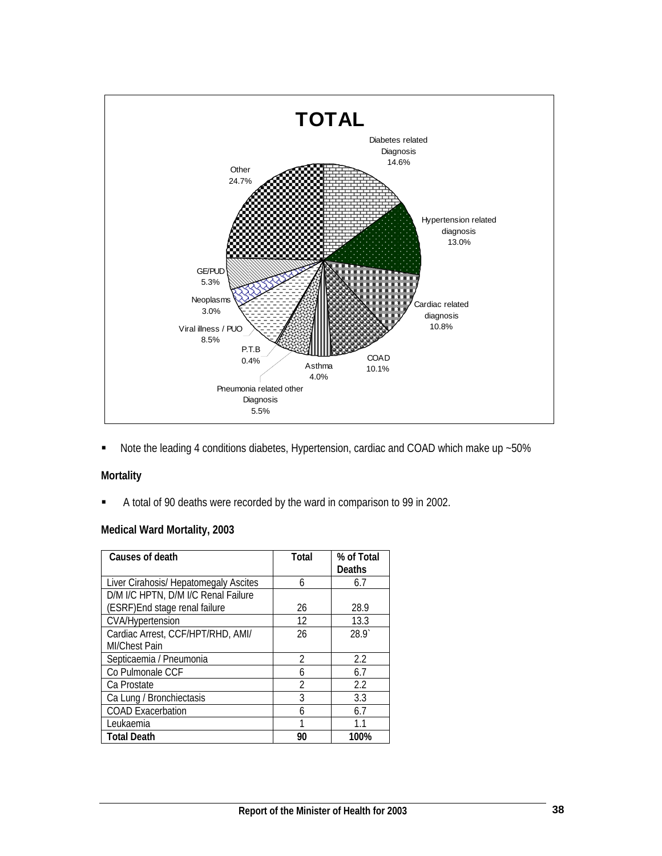

■ Note the leading 4 conditions diabetes, Hypertension, cardiac and COAD which make up ~50%

# **Mortality**

A total of 90 deaths were recorded by the ward in comparison to 99 in 2002.

## **Medical Ward Mortality, 2003**

| Causes of death                       | Total          | % of Total<br>Deaths |
|---------------------------------------|----------------|----------------------|
| Liver Cirahosis/ Hepatomegaly Ascites | 6              | 6.7                  |
| D/M I/C HPTN, D/M I/C Renal Failure   |                |                      |
| (ESRF) End stage renal failure        | 26             | 28.9                 |
| <b>CVA/Hypertension</b>               | 12             | 13.3                 |
| Cardiac Arrest, CCF/HPT/RHD, AMI/     | 26             | 28.9                 |
| <b>MI/Chest Pain</b>                  |                |                      |
| Septicaemia / Pneumonia               | $\mathfrak{D}$ | 2.2                  |
| Co Pulmonale CCF                      | 6              | 6.7                  |
| Ca Prostate                           | $\mathfrak{D}$ | 2.2                  |
| Ca Lung / Bronchiectasis              | 3              | 3.3                  |
| <b>COAD Exacerbation</b>              | 6              | 6.7                  |
| Leukaemia                             | 1              | 11                   |
| <b>Total Death</b>                    | 90             | 100%                 |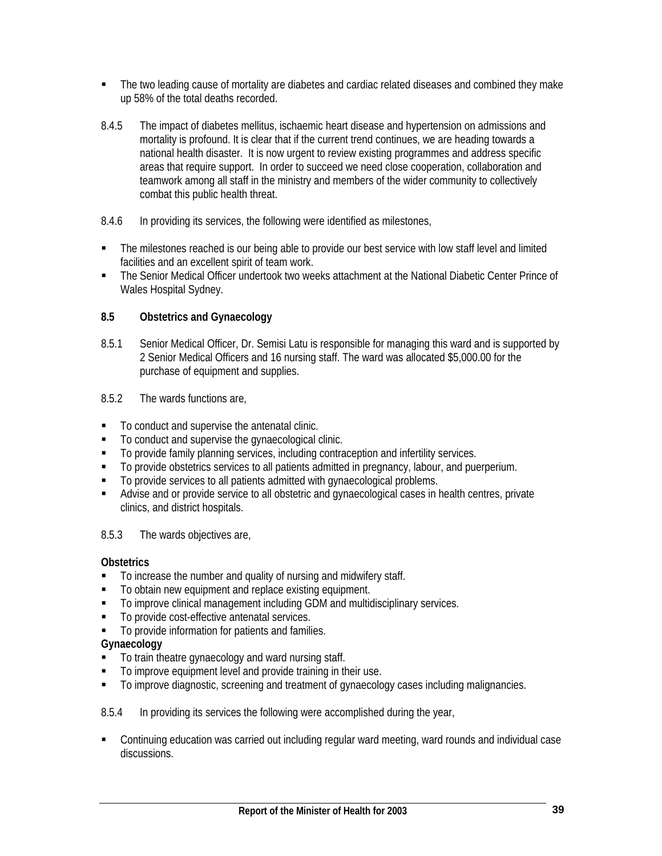- The two leading cause of mortality are diabetes and cardiac related diseases and combined they make up 58% of the total deaths recorded.
- 8.4.5 The impact of diabetes mellitus, ischaemic heart disease and hypertension on admissions and mortality is profound. It is clear that if the current trend continues, we are heading towards a national health disaster. It is now urgent to review existing programmes and address specific areas that require support. In order to succeed we need close cooperation, collaboration and teamwork among all staff in the ministry and members of the wider community to collectively combat this public health threat.
- 8.4.6 In providing its services, the following were identified as milestones,
- The milestones reached is our being able to provide our best service with low staff level and limited facilities and an excellent spirit of team work.
- The Senior Medical Officer undertook two weeks attachment at the National Diabetic Center Prince of Wales Hospital Sydney.

## **8.5 Obstetrics and Gynaecology**

- 8.5.1 Senior Medical Officer, Dr. Semisi Latu is responsible for managing this ward and is supported by 2 Senior Medical Officers and 16 nursing staff. The ward was allocated \$5,000.00 for the purchase of equipment and supplies.
- 8.5.2 The wards functions are,
- To conduct and supervise the antenatal clinic.
- $\blacksquare$  To conduct and supervise the gynaecological clinic.
- To provide family planning services, including contraception and infertility services.
- To provide obstetrics services to all patients admitted in pregnancy, labour, and puerperium.
- $\blacksquare$  To provide services to all patients admitted with gynaecological problems.
- Advise and or provide service to all obstetric and gynaecological cases in health centres, private clinics, and district hospitals.

#### 8.5.3 The wards objectives are,

#### **Obstetrics**

- $\blacksquare$  To increase the number and quality of nursing and midwifery staff.
- To obtain new equipment and replace existing equipment.
- To improve clinical management including GDM and multidisciplinary services.
- To provide cost-effective antenatal services.
- To provide information for patients and families.

#### **Gynaecology**

- $\blacksquare$  To train theatre gynaecology and ward nursing staff.
- To improve equipment level and provide training in their use.
- $\blacksquare$  To improve diagnostic, screening and treatment of gynaecology cases including malignancies.

#### 8.5.4 In providing its services the following were accomplished during the year,

 Continuing education was carried out including regular ward meeting, ward rounds and individual case discussions.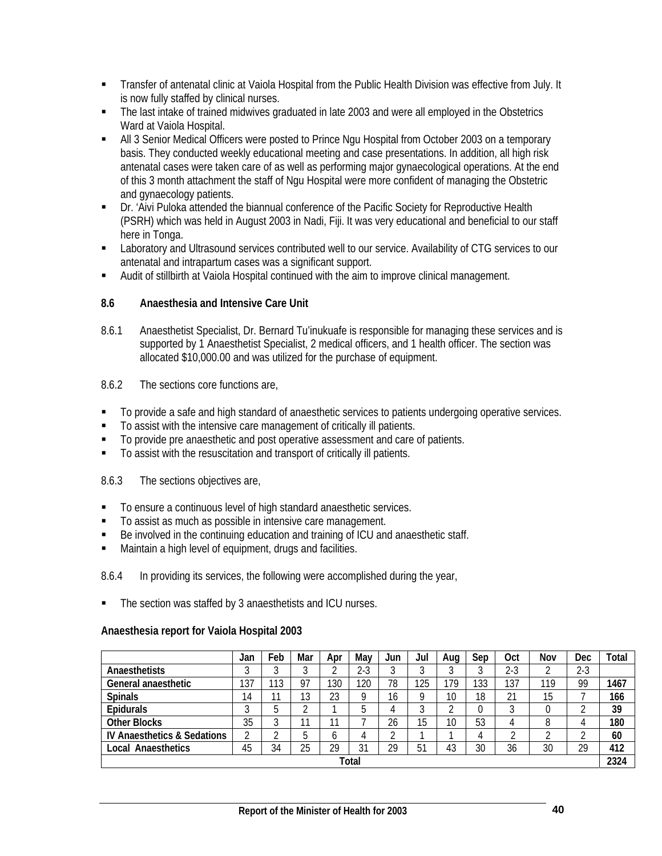- Transfer of antenatal clinic at Vaiola Hospital from the Public Health Division was effective from July. It is now fully staffed by clinical nurses.
- The last intake of trained midwives graduated in late 2003 and were all employed in the Obstetrics Ward at Vaiola Hospital.
- All 3 Senior Medical Officers were posted to Prince Ngu Hospital from October 2003 on a temporary basis. They conducted weekly educational meeting and case presentations. In addition, all high risk antenatal cases were taken care of as well as performing major gynaecological operations. At the end of this 3 month attachment the staff of Ngu Hospital were more confident of managing the Obstetric and gynaecology patients.
- Dr. 'Aivi Puloka attended the biannual conference of the Pacific Society for Reproductive Health (PSRH) which was held in August 2003 in Nadi, Fiji. It was very educational and beneficial to our staff here in Tonga.
- Laboratory and Ultrasound services contributed well to our service. Availability of CTG services to our antenatal and intrapartum cases was a significant support.
- Audit of stillbirth at Vaiola Hospital continued with the aim to improve clinical management.

## **8.6 Anaesthesia and Intensive Care Unit**

- 8.6.1 Anaesthetist Specialist, Dr. Bernard Tu'inukuafe is responsible for managing these services and is supported by 1 Anaesthetist Specialist, 2 medical officers, and 1 health officer. The section was allocated \$10,000.00 and was utilized for the purchase of equipment.
- 8.6.2 The sections core functions are,
- To provide a safe and high standard of anaesthetic services to patients undergoing operative services.
- To assist with the intensive care management of critically ill patients.
- $\blacksquare$  To provide pre anaesthetic and post operative assessment and care of patients.
- To assist with the resuscitation and transport of critically ill patients.

## 8.6.3 The sections objectives are,

- To ensure a continuous level of high standard anaesthetic services.
- To assist as much as possible in intensive care management.
- Be involved in the continuing education and training of ICU and anaesthetic staff.
- Maintain a high level of equipment, drugs and facilities.
- 8.6.4 In providing its services, the following were accomplished during the year,
- The section was staffed by 3 anaesthetists and ICU nurses.

## **Anaesthesia report for Vaiola Hospital 2003**

|                                        | Jan         | Feb    | Mar        | Apr | May   | Jun          | Jul | Aua | Sep | Oct   | Nov | Dec   | Total |
|----------------------------------------|-------------|--------|------------|-----|-------|--------------|-----|-----|-----|-------|-----|-------|-------|
| Anaesthetists                          | ◠<br>ັ      | J      |            |     | $2-3$ |              |     |     |     | $2-3$ |     | $2-3$ |       |
| General anaesthetic                    | 137         | 113    | 97         | 130 | 120   | 78           | 125 | 79  | 133 | 137   | 119 | 99    | 1467  |
| <b>Spinals</b>                         | 14          |        | 12<br>د. ا | 23  |       | $\sim$<br>١b |     | 10  | 18  | 21    | 15  |       | 166   |
| <b>Epidurals</b>                       | $\sim$<br>J | b      | $\sim$     |     |       |              |     |     |     | ົ     |     |       | 39    |
| <b>Other Blocks</b>                    | 35          | ◠<br>J |            | 11  |       | 26           | 15  | 10  | 53  | 4     |     | 4     | 180   |
| <b>IV Anaesthetics &amp; Sedations</b> | ⌒           |        | b          | b   |       |              |     |     |     | ◠     |     | ົ     | 60    |
| <b>Local Anaesthetics</b>              | 45          | 34     | 25         | 29  | 31    | 29           | 51  | 43  | 30  | 36    | 30  | 29    | 412   |
| Total                                  |             |        |            |     |       |              |     |     |     | 2324  |     |       |       |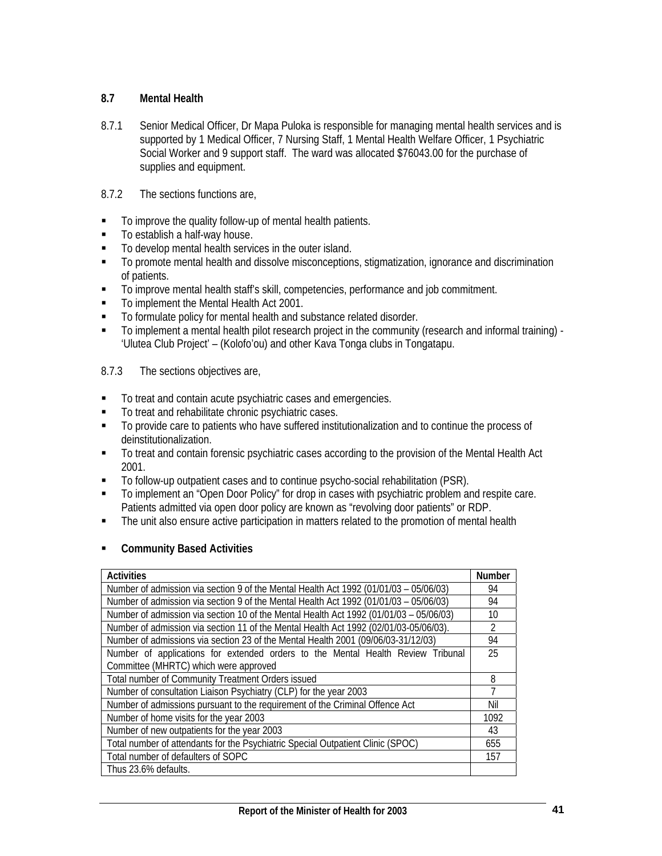## **8.7 Mental Health**

- 8.7.1 Senior Medical Officer, Dr Mapa Puloka is responsible for managing mental health services and is supported by 1 Medical Officer, 7 Nursing Staff, 1 Mental Health Welfare Officer, 1 Psychiatric Social Worker and 9 support staff. The ward was allocated \$76043.00 for the purchase of supplies and equipment.
- 8.7.2 The sections functions are,
- To improve the quality follow-up of mental health patients.
- To establish a half-way house.
- $\blacksquare$  To develop mental health services in the outer island.
- To promote mental health and dissolve misconceptions, stigmatization, ignorance and discrimination of patients.
- To improve mental health staff's skill, competencies, performance and job commitment.
- To implement the Mental Health Act 2001.
- To formulate policy for mental health and substance related disorder.
- To implement a mental health pilot research project in the community (research and informal training) 'Ulutea Club Project' – (Kolofo'ou) and other Kava Tonga clubs in Tongatapu.
- 8.7.3 The sections objectives are,
- $\blacksquare$  To treat and contain acute psychiatric cases and emergencies.
- $\blacksquare$  To treat and rehabilitate chronic psychiatric cases.
- To provide care to patients who have suffered institutionalization and to continue the process of deinstitutionalization.
- To treat and contain forensic psychiatric cases according to the provision of the Mental Health Act 2001.
- To follow-up outpatient cases and to continue psycho-social rehabilitation (PSR).
- To implement an "Open Door Policy" for drop in cases with psychiatric problem and respite care. Patients admitted via open door policy are known as "revolving door patients" or RDP.
- The unit also ensure active participation in matters related to the promotion of mental health

## **Community Based Activities**

| <b>Activities</b>                                                                      | <b>Number</b>  |
|----------------------------------------------------------------------------------------|----------------|
| Number of admission via section 9 of the Mental Health Act 1992 (01/01/03 - 05/06/03)  | 94             |
| Number of admission via section 9 of the Mental Health Act 1992 (01/01/03 - 05/06/03)  | 94             |
| Number of admission via section 10 of the Mental Health Act 1992 (01/01/03 - 05/06/03) | 10             |
| Number of admission via section 11 of the Mental Health Act 1992 (02/01/03-05/06/03).  | $\mathfrak{D}$ |
| Number of admissions via section 23 of the Mental Health 2001 (09/06/03-31/12/03)      | 94             |
| Number of applications for extended orders to the Mental Health Review Tribunal        | 25             |
| Committee (MHRTC) which were approved                                                  |                |
| Total number of Community Treatment Orders issued                                      | 8              |
| Number of consultation Liaison Psychiatry (CLP) for the year 2003                      | $\overline{7}$ |
| Number of admissions pursuant to the requirement of the Criminal Offence Act           | Nil            |
| Number of home visits for the year 2003                                                | 1092           |
| Number of new outpatients for the year 2003                                            | 43             |
| Total number of attendants for the Psychiatric Special Outpatient Clinic (SPOC)        | 655            |
| Total number of defaulters of SOPC                                                     | 157            |
| Thus 23.6% defaults.                                                                   |                |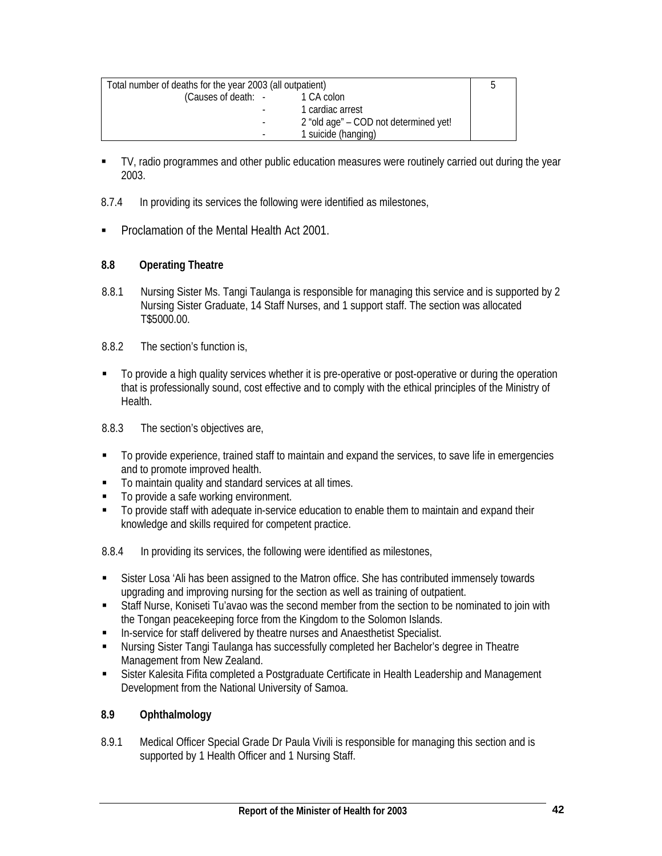| Total number of deaths for the year 2003 (all outpatient) |                                       |  |  |
|-----------------------------------------------------------|---------------------------------------|--|--|
| (Causes of death: -                                       | 1 CA colon                            |  |  |
|                                                           | 1 cardiac arrest                      |  |  |
|                                                           | 2 "old age" – COD not determined yet! |  |  |
| -                                                         | 1 suicide (hanging)                   |  |  |

- TV, radio programmes and other public education measures were routinely carried out during the year 2003.
- 8.7.4 In providing its services the following were identified as milestones,
- **Proclamation of the Mental Health Act 2001.**

### **8.8 Operating Theatre**

- 8.8.1 Nursing Sister Ms. Tangi Taulanga is responsible for managing this service and is supported by 2 Nursing Sister Graduate, 14 Staff Nurses, and 1 support staff. The section was allocated T\$5000.00.
- 8.8.2 The section's function is,
- To provide a high quality services whether it is pre-operative or post-operative or during the operation that is professionally sound, cost effective and to comply with the ethical principles of the Ministry of Health.
- 8.8.3 The section's objectives are,
- To provide experience, trained staff to maintain and expand the services, to save life in emergencies and to promote improved health.
- To maintain quality and standard services at all times.
- To provide a safe working environment.
- To provide staff with adequate in-service education to enable them to maintain and expand their knowledge and skills required for competent practice.
- 8.8.4 In providing its services, the following were identified as milestones,
- Sister Losa 'Ali has been assigned to the Matron office. She has contributed immensely towards upgrading and improving nursing for the section as well as training of outpatient.
- Staff Nurse, Koniseti Tu'avao was the second member from the section to be nominated to join with the Tongan peacekeeping force from the Kingdom to the Solomon Islands.
- In-service for staff delivered by theatre nurses and Anaesthetist Specialist.
- Nursing Sister Tangi Taulanga has successfully completed her Bachelor's degree in Theatre Management from New Zealand.
- Sister Kalesita Fifita completed a Postgraduate Certificate in Health Leadership and Management Development from the National University of Samoa.

## **8.9 Ophthalmology**

8.9.1 Medical Officer Special Grade Dr Paula Vivili is responsible for managing this section and is supported by 1 Health Officer and 1 Nursing Staff.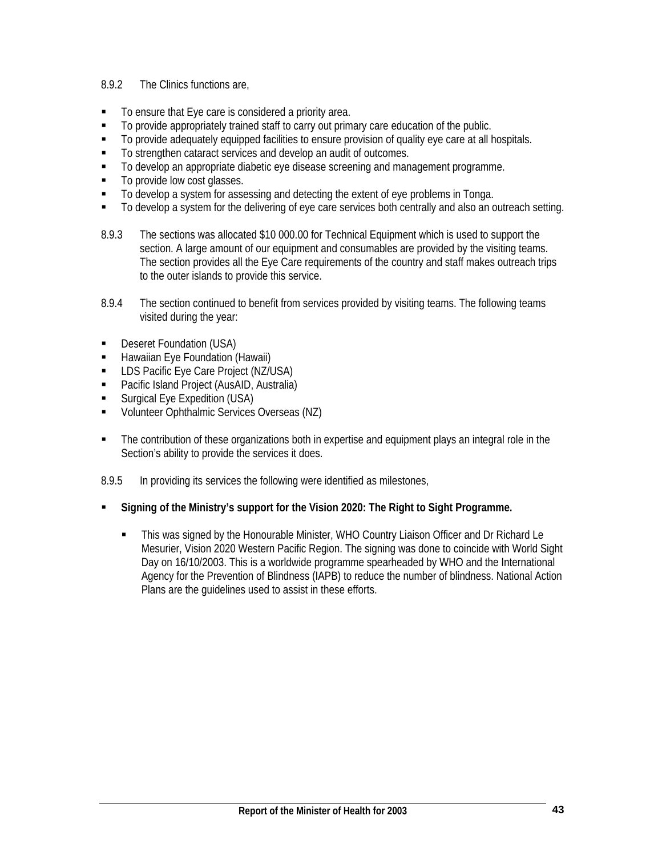## 8.9.2 The Clinics functions are,

- To ensure that Eye care is considered a priority area.
- $\blacksquare$  To provide appropriately trained staff to carry out primary care education of the public.
- To provide adequately equipped facilities to ensure provision of quality eye care at all hospitals.
- To strengthen cataract services and develop an audit of outcomes.
- $\blacksquare$  To develop an appropriate diabetic eye disease screening and management programme.
- To provide low cost glasses.
- To develop a system for assessing and detecting the extent of eye problems in Tonga.
- To develop a system for the delivering of eye care services both centrally and also an outreach setting.
- 8.9.3 The sections was allocated \$10 000.00 for Technical Equipment which is used to support the section. A large amount of our equipment and consumables are provided by the visiting teams. The section provides all the Eye Care requirements of the country and staff makes outreach trips to the outer islands to provide this service.
- 8.9.4 The section continued to benefit from services provided by visiting teams. The following teams visited during the year:
- **Deseret Foundation (USA)**
- **Hawaiian Eye Foundation (Hawaii)**
- **LDS Pacific Eye Care Project (NZ/USA)**
- Pacific Island Project (AusAID, Australia)
- Surgical Eye Expedition (USA)
- **Volunteer Ophthalmic Services Overseas (NZ)**
- The contribution of these organizations both in expertise and equipment plays an integral role in the Section's ability to provide the services it does.
- 8.9.5 In providing its services the following were identified as milestones,
- **Signing of the Ministry's support for the Vision 2020: The Right to Sight Programme.**
	- This was signed by the Honourable Minister, WHO Country Liaison Officer and Dr Richard Le Mesurier, Vision 2020 Western Pacific Region. The signing was done to coincide with World Sight Day on 16/10/2003. This is a worldwide programme spearheaded by WHO and the International Agency for the Prevention of Blindness (IAPB) to reduce the number of blindness. National Action Plans are the guidelines used to assist in these efforts.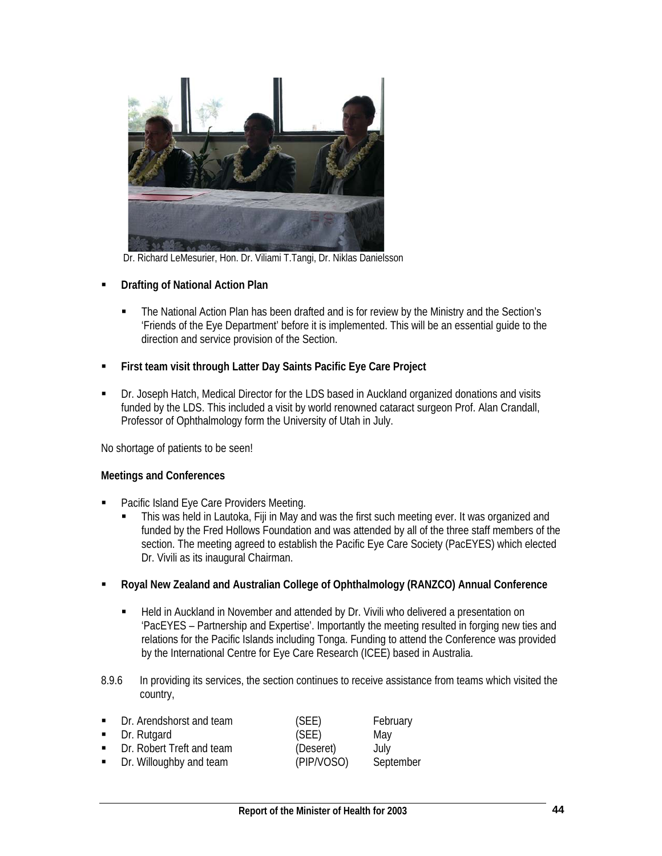

Dr. Richard LeMesurier, Hon. Dr. Viliami T.Tangi, Dr. Niklas Danielsson

- **Drafting of National Action Plan** 
	- The National Action Plan has been drafted and is for review by the Ministry and the Section's 'Friends of the Eye Department' before it is implemented. This will be an essential guide to the direction and service provision of the Section.
- **First team visit through Latter Day Saints Pacific Eye Care Project**
- Dr. Joseph Hatch, Medical Director for the LDS based in Auckland organized donations and visits funded by the LDS. This included a visit by world renowned cataract surgeon Prof. Alan Crandall, Professor of Ophthalmology form the University of Utah in July.

No shortage of patients to be seen!

## **Meetings and Conferences**

- Pacific Island Eye Care Providers Meeting.
	- This was held in Lautoka, Fiji in May and was the first such meeting ever. It was organized and funded by the Fred Hollows Foundation and was attended by all of the three staff members of the section. The meeting agreed to establish the Pacific Eye Care Society (PacEYES) which elected Dr. Vivili as its inaugural Chairman.
- **Royal New Zealand and Australian College of Ophthalmology (RANZCO) Annual Conference** 
	- Held in Auckland in November and attended by Dr. Vivili who delivered a presentation on 'PacEYES – Partnership and Expertise'. Importantly the meeting resulted in forging new ties and relations for the Pacific Islands including Tonga. Funding to attend the Conference was provided by the International Centre for Eye Care Research (ICEE) based in Australia.
- 8.9.6 In providing its services, the section continues to receive assistance from teams which visited the country,

|                             | • Dr. Arendshorst and team  | (SEE)      | February  |
|-----------------------------|-----------------------------|------------|-----------|
|                             | $\blacksquare$ Dr. Rutgard  | (SEE)      | May       |
|                             | • Dr. Robert Treft and team | (Deseret)  | July      |
| $\mathbf{u}$ , $\mathbf{u}$ | Dr. Willoughby and team     | (PIP/VOSO) | September |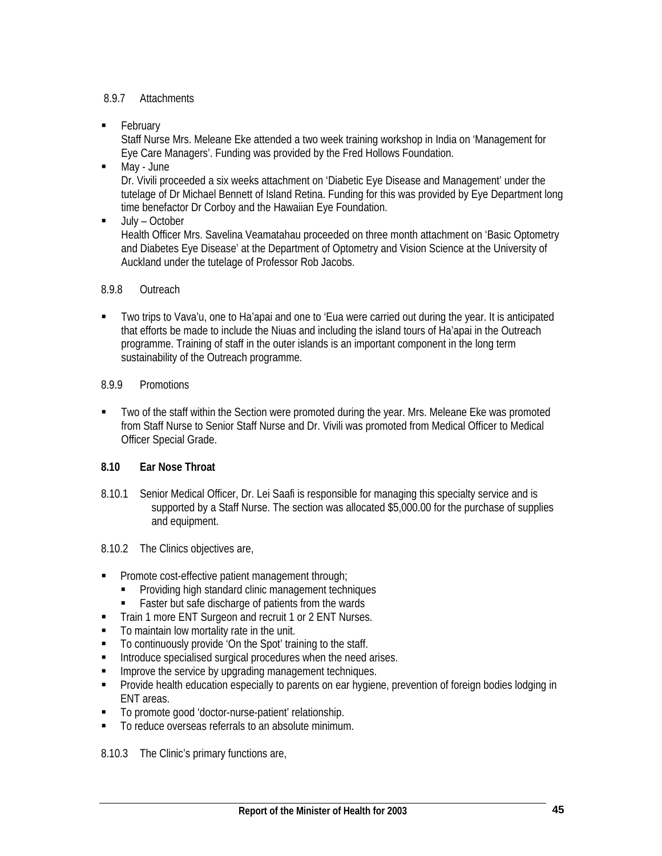## 8.9.7 Attachments

**February** 

Staff Nurse Mrs. Meleane Eke attended a two week training workshop in India on 'Management for Eye Care Managers'. Funding was provided by the Fred Hollows Foundation.

May - June

Dr. Vivili proceeded a six weeks attachment on 'Diabetic Eye Disease and Management' under the tutelage of Dr Michael Bennett of Island Retina. Funding for this was provided by Eye Department long time benefactor Dr Corboy and the Hawaiian Eye Foundation.

**July – October** 

Health Officer Mrs. Savelina Veamatahau proceeded on three month attachment on 'Basic Optometry and Diabetes Eye Disease' at the Department of Optometry and Vision Science at the University of Auckland under the tutelage of Professor Rob Jacobs.

## 8.9.8 Outreach

- Two trips to Vava'u, one to Ha'apai and one to 'Eua were carried out during the year. It is anticipated that efforts be made to include the Niuas and including the island tours of Ha'apai in the Outreach programme. Training of staff in the outer islands is an important component in the long term sustainability of the Outreach programme.
- 8.9.9 Promotions
- Two of the staff within the Section were promoted during the year. Mrs. Meleane Eke was promoted from Staff Nurse to Senior Staff Nurse and Dr. Vivili was promoted from Medical Officer to Medical Officer Special Grade.

## **8.10 Ear Nose Throat**

- 8.10.1 Senior Medical Officer, Dr. Lei Saafi is responsible for managing this specialty service and is supported by a Staff Nurse. The section was allocated \$5,000.00 for the purchase of supplies and equipment.
- 8.10.2 The Clinics objectives are,
- **Promote cost-effective patient management through;** 
	- Providing high standard clinic management techniques
	- Faster but safe discharge of patients from the wards
- Train 1 more ENT Surgeon and recruit 1 or 2 ENT Nurses.
- To maintain low mortality rate in the unit.
- To continuously provide 'On the Spot' training to the staff.
- **Introduce specialised surgical procedures when the need arises.**
- **IMPROVE the service by upgrading management techniques.**
- **Provide health education especially to parents on ear hygiene, prevention of foreign bodies lodging in** ENT areas.
- To promote good 'doctor-nurse-patient' relationship.
- $\blacksquare$  To reduce overseas referrals to an absolute minimum.

8.10.3 The Clinic's primary functions are,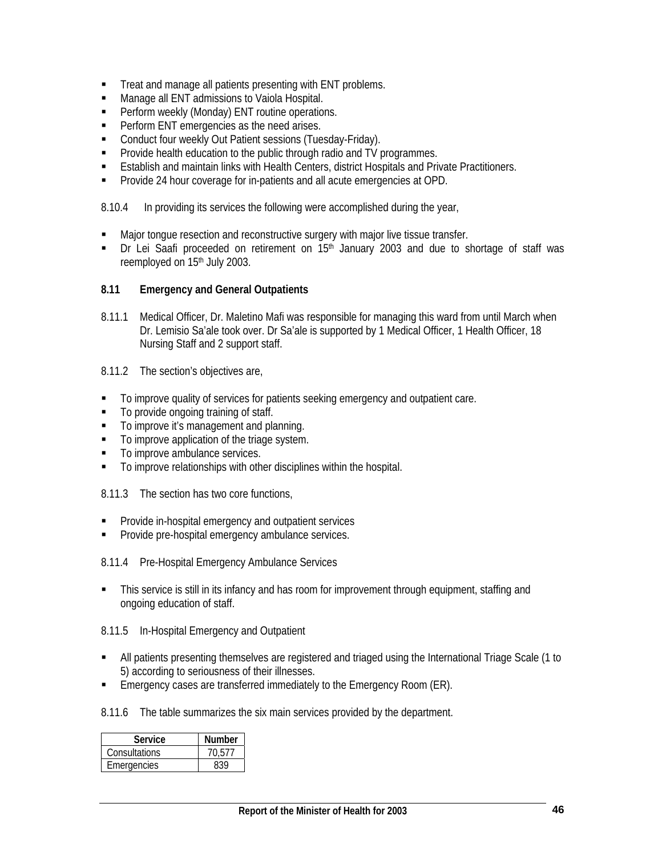- Treat and manage all patients presenting with ENT problems.
- **Manage all ENT admissions to Vaiola Hospital.**
- **Perform weekly (Monday) ENT routine operations.**
- **Perform ENT emergencies as the need arises.**
- Conduct four weekly Out Patient sessions (Tuesday-Friday).
- **Provide health education to the public through radio and TV programmes.**
- **Establish and maintain links with Health Centers, district Hospitals and Private Practitioners.**
- **Provide 24 hour coverage for in-patients and all acute emergencies at OPD.**

8.10.4 In providing its services the following were accomplished during the year,

- **Major tongue resection and reconstructive surgery with major live tissue transfer.**
- Dr Lei Saafi proceeded on retirement on 15<sup>th</sup> January 2003 and due to shortage of staff was reemployed on 15<sup>th</sup> July 2003.

### **8.11 Emergency and General Outpatients**

- 8.11.1 Medical Officer, Dr. Maletino Mafi was responsible for managing this ward from until March when Dr. Lemisio Sa'ale took over. Dr Sa'ale is supported by 1 Medical Officer, 1 Health Officer, 18 Nursing Staff and 2 support staff.
- 8.11.2 The section's objectives are,
- To improve quality of services for patients seeking emergency and outpatient care.
- To provide ongoing training of staff.
- To improve it's management and planning.
- $\blacksquare$  To improve application of the triage system.
- To improve ambulance services.
- To improve relationships with other disciplines within the hospital.

8.11.3 The section has two core functions,

- **Provide in-hospital emergency and outpatient services**
- **Provide pre-hospital emergency ambulance services.**
- 8.11.4 Pre-Hospital Emergency Ambulance Services
- This service is still in its infancy and has room for improvement through equipment, staffing and ongoing education of staff.

8.11.5 In-Hospital Emergency and Outpatient

- All patients presenting themselves are registered and triaged using the International Triage Scale (1 to 5) according to seriousness of their illnesses.
- Emergency cases are transferred immediately to the Emergency Room (ER).
- 8.11.6 The table summarizes the six main services provided by the department.

| Service       | <b>Number</b> |
|---------------|---------------|
| Consultations | 70.577        |
| Emergencies   | <b>430</b>    |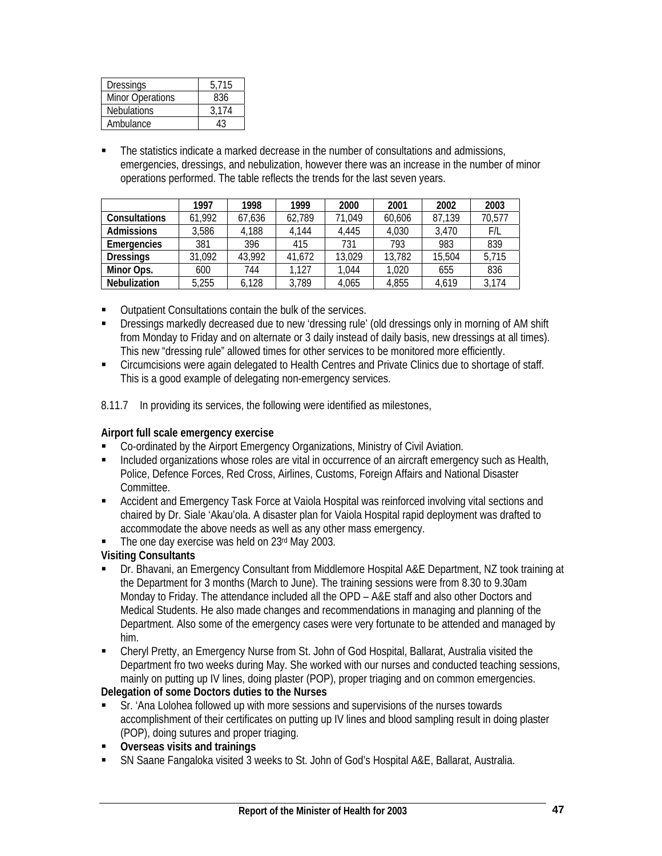| Dressings               | 5.715 |
|-------------------------|-------|
| <b>Minor Operations</b> | 836   |
| <b>Nebulations</b>      | 3.174 |
| Ambulance               |       |

 The statistics indicate a marked decrease in the number of consultations and admissions, emergencies, dressings, and nebulization, however there was an increase in the number of minor operations performed. The table reflects the trends for the last seven years.

|                      | 1997   | 1998   | 1999   | 2000   | 2001   | 2002   | 2003   |
|----------------------|--------|--------|--------|--------|--------|--------|--------|
| <b>Consultations</b> | 61,992 | 67,636 | 62,789 | 71,049 | 60,606 | 87,139 | 70,577 |
| <b>Admissions</b>    | 3,586  | 4,188  | 4.144  | 4.445  | 4.030  | 3.470  | F/L    |
| Emergencies          | 381    | 396    | 415    | 731    | 793    | 983    | 839    |
| <b>Dressings</b>     | 31,092 | 43,992 | 41,672 | 13,029 | 13,782 | 15,504 | 5,715  |
| Minor Ops.           | 600    | 744    | 1,127  | 1,044  | 1.020  | 655    | 836    |
| Nebulization         | 5,255  | 6.128  | 3,789  | 4.065  | 4,855  | 4.619  | 3,174  |

- Outpatient Consultations contain the bulk of the services.
- Dressings markedly decreased due to new 'dressing rule' (old dressings only in morning of AM shift from Monday to Friday and on alternate or 3 daily instead of daily basis, new dressings at all times). This new "dressing rule" allowed times for other services to be monitored more efficiently.
- Circumcisions were again delegated to Health Centres and Private Clinics due to shortage of staff. This is a good example of delegating non-emergency services.
- 8.11.7 In providing its services, the following were identified as milestones,

## **Airport full scale emergency exercise**

- Co-ordinated by the Airport Emergency Organizations, Ministry of Civil Aviation.
- Included organizations whose roles are vital in occurrence of an aircraft emergency such as Health, Police, Defence Forces, Red Cross, Airlines, Customs, Foreign Affairs and National Disaster Committee.
- Accident and Emergency Task Force at Vaiola Hospital was reinforced involving vital sections and chaired by Dr. Siale 'Akau'ola. A disaster plan for Vaiola Hospital rapid deployment was drafted to accommodate the above needs as well as any other mass emergency.
- $\blacksquare$  The one day exercise was held on 23 $rd$  May 2003.

# **Visiting Consultants**

- Dr. Bhavani, an Emergency Consultant from Middlemore Hospital A&E Department, NZ took training at the Department for 3 months (March to June). The training sessions were from 8.30 to 9.30am Monday to Friday. The attendance included all the OPD – A&E staff and also other Doctors and Medical Students. He also made changes and recommendations in managing and planning of the Department. Also some of the emergency cases were very fortunate to be attended and managed by him.
- Cheryl Pretty, an Emergency Nurse from St. John of God Hospital, Ballarat, Australia visited the Department fro two weeks during May. She worked with our nurses and conducted teaching sessions, mainly on putting up IV lines, doing plaster (POP), proper triaging and on common emergencies.

# **Delegation of some Doctors duties to the Nurses**

- Sr. 'Ana Lolohea followed up with more sessions and supervisions of the nurses towards accomplishment of their certificates on putting up IV lines and blood sampling result in doing plaster (POP), doing sutures and proper triaging.
- **Overseas visits and trainings**
- SN Saane Fangaloka visited 3 weeks to St. John of God's Hospital A&E, Ballarat, Australia.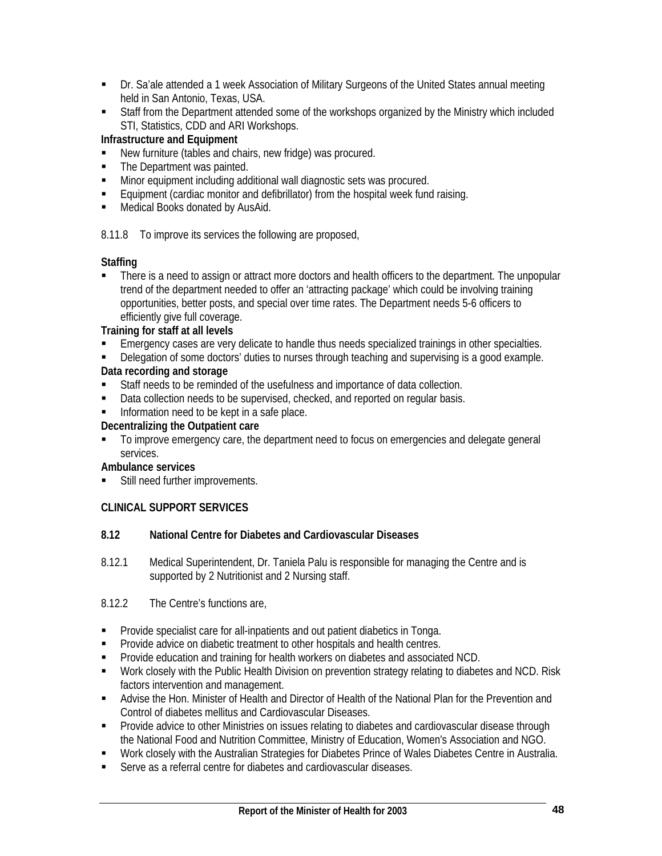- Dr. Sa'ale attended a 1 week Association of Military Surgeons of the United States annual meeting held in San Antonio, Texas, USA.
- **Staff from the Department attended some of the workshops organized by the Ministry which included** STI, Statistics, CDD and ARI Workshops.

## **Infrastructure and Equipment**

- New furniture (tables and chairs, new fridge) was procured.
- The Department was painted.
- Minor equipment including additional wall diagnostic sets was procured.<br>
Faujoment (cardiac monitor and defibrillator) from the bosnital week function
- Equipment (cardiac monitor and defibrillator) from the hospital week fund raising.
- **Medical Books donated by AusAid.**

8.11.8 To improve its services the following are proposed,

## **Staffing**

 There is a need to assign or attract more doctors and health officers to the department. The unpopular trend of the department needed to offer an 'attracting package' which could be involving training opportunities, better posts, and special over time rates. The Department needs 5-6 officers to efficiently give full coverage.

## **Training for staff at all levels**

- Emergency cases are very delicate to handle thus needs specialized trainings in other specialties.
- Delegation of some doctors' duties to nurses through teaching and supervising is a good example.

## **Data recording and storage**

- Staff needs to be reminded of the usefulness and importance of data collection.
- Data collection needs to be supervised, checked, and reported on regular basis.
- **Information need to be kept in a safe place.**

## **Decentralizing the Outpatient care**

 $\blacksquare$  To improve emergency care, the department need to focus on emergencies and delegate general services.

## **Ambulance services**

**Still need further improvements.** 

# **CLINICAL SUPPORT SERVICES**

## **8.12 National Centre for Diabetes and Cardiovascular Diseases**

8.12.1 Medical Superintendent, Dr. Taniela Palu is responsible for managing the Centre and is supported by 2 Nutritionist and 2 Nursing staff.

## 8.12.2 The Centre's functions are,

- **Provide specialist care for all-inpatients and out patient diabetics in Tonga.**
- **Provide advice on diabetic treatment to other hospitals and health centres.**
- **Provide education and training for health workers on diabetes and associated NCD.**
- Work closely with the Public Health Division on prevention strategy relating to diabetes and NCD. Risk factors intervention and management.
- Advise the Hon. Minister of Health and Director of Health of the National Plan for the Prevention and Control of diabetes mellitus and Cardiovascular Diseases.
- **Provide advice to other Ministries on issues relating to diabetes and cardiovascular disease through** the National Food and Nutrition Committee, Ministry of Education, Women's Association and NGO.
- Work closely with the Australian Strategies for Diabetes Prince of Wales Diabetes Centre in Australia.
- Serve as a referral centre for diabetes and cardiovascular diseases.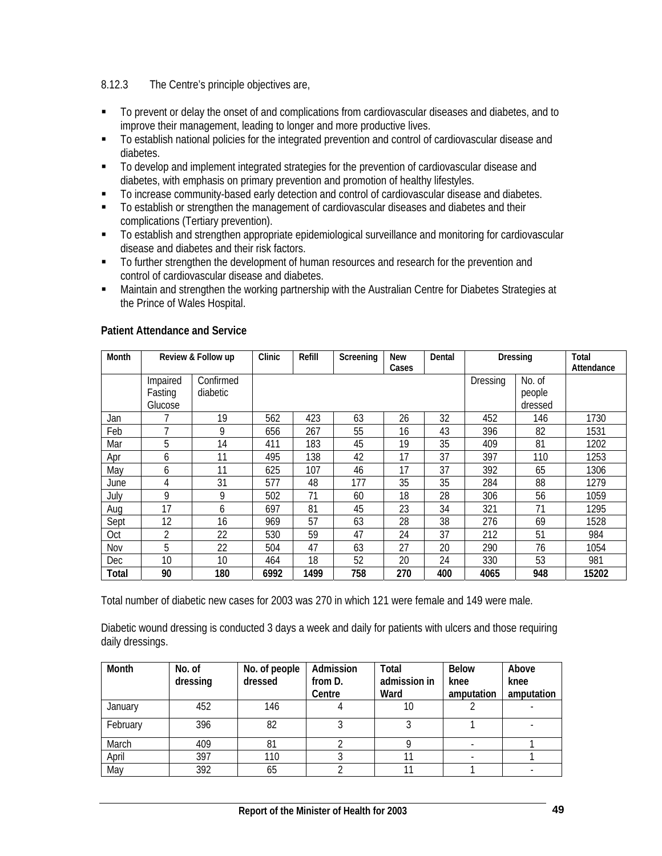## 8.12.3 The Centre's principle objectives are,

- To prevent or delay the onset of and complications from cardiovascular diseases and diabetes, and to improve their management, leading to longer and more productive lives.
- To establish national policies for the integrated prevention and control of cardiovascular disease and diabetes.
- $\blacksquare$  To develop and implement integrated strategies for the prevention of cardiovascular disease and diabetes, with emphasis on primary prevention and promotion of healthy lifestyles.
- To increase community-based early detection and control of cardiovascular disease and diabetes.
- To establish or strengthen the management of cardiovascular diseases and diabetes and their complications (Tertiary prevention).
- To establish and strengthen appropriate epidemiological surveillance and monitoring for cardiovascular disease and diabetes and their risk factors.
- To further strengthen the development of human resources and research for the prevention and control of cardiovascular disease and diabetes.
- Maintain and strengthen the working partnership with the Australian Centre for Diabetes Strategies at the Prince of Wales Hospital.

| Month |                                | Review & Follow up    | Clinic | Refill | Screening | <b>New</b><br>Cases | Dental | Dressing |                             | Total<br>Attendance |
|-------|--------------------------------|-----------------------|--------|--------|-----------|---------------------|--------|----------|-----------------------------|---------------------|
|       | Impaired<br>Fasting<br>Glucose | Confirmed<br>diabetic |        |        |           |                     |        | Dressing | No. of<br>people<br>dressed |                     |
| Jan   |                                | 19                    | 562    | 423    | 63        | 26                  | 32     | 452      | 146                         | 1730                |
| Feb   |                                | 9                     | 656    | 267    | 55        | 16                  | 43     | 396      | 82                          | 1531                |
| Mar   | 5                              | 14                    | 411    | 183    | 45        | 19                  | 35     | 409      | 81                          | 1202                |
| Apr   | 6                              | 11                    | 495    | 138    | 42        | 17                  | 37     | 397      | 110                         | 1253                |
| May   | 6                              | 11                    | 625    | 107    | 46        | 17                  | 37     | 392      | 65                          | 1306                |
| June  | 4                              | 31                    | 577    | 48     | 177       | 35                  | 35     | 284      | 88                          | 1279                |
| July  | 9                              | 9                     | 502    | 71     | 60        | 18                  | 28     | 306      | 56                          | 1059                |
| Aug   | 17                             | 6                     | 697    | 81     | 45        | 23                  | 34     | 321      | 71                          | 1295                |
| Sept  | 12                             | 16                    | 969    | 57     | 63        | 28                  | 38     | 276      | 69                          | 1528                |
| Oct   | 2                              | 22                    | 530    | 59     | 47        | 24                  | 37     | 212      | 51                          | 984                 |
| Nov   | 5                              | 22                    | 504    | 47     | 63        | 27                  | 20     | 290      | 76                          | 1054                |
| Dec   | 10                             | 10                    | 464    | 18     | 52        | 20                  | 24     | 330      | 53                          | 981                 |
| Total | 90                             | 180                   | 6992   | 1499   | 758       | 270                 | 400    | 4065     | 948                         | 15202               |

### **Patient Attendance and Service**

Total number of diabetic new cases for 2003 was 270 in which 121 were female and 149 were male.

Diabetic wound dressing is conducted 3 days a week and daily for patients with ulcers and those requiring daily dressings.

| Month    | No. of<br>dressing | No. of people<br>dressed | Admission<br>from D.<br>Centre | <b>Total</b><br>admission in<br>Ward | <b>Below</b><br>knee<br>amputation | Above<br>knee<br>amputation |
|----------|--------------------|--------------------------|--------------------------------|--------------------------------------|------------------------------------|-----------------------------|
| January  | 452                | 146                      |                                | 10                                   |                                    |                             |
| February | 396                | 82                       |                                |                                      |                                    |                             |
| March    | 409                | 81                       |                                |                                      |                                    |                             |
| April    | 397                | 110                      |                                |                                      |                                    |                             |
| May      | 392                | 65                       |                                |                                      |                                    |                             |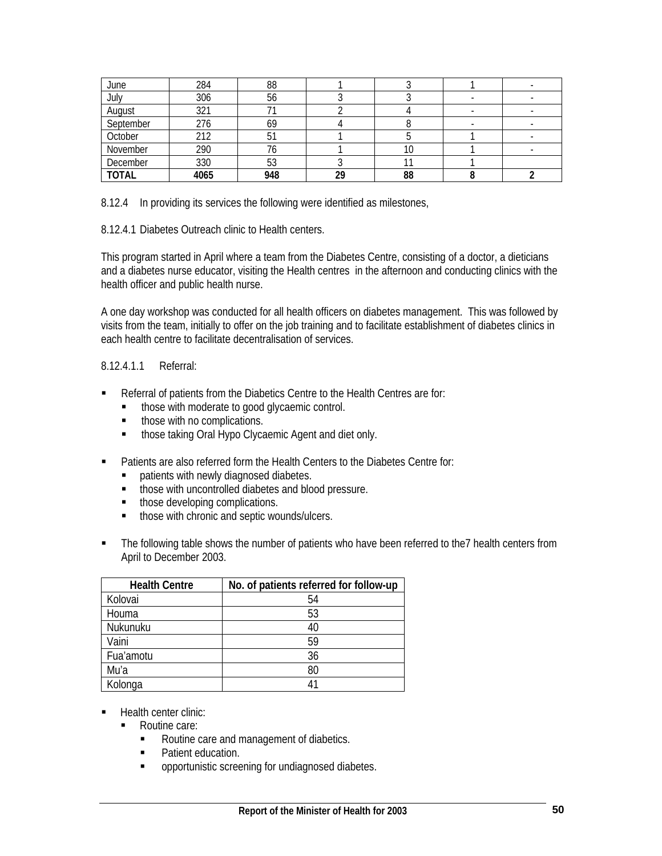| June         | 284  | 88  |    |    |  |
|--------------|------|-----|----|----|--|
| July         | 306  | 56  |    |    |  |
| August       | 321  |     |    |    |  |
| September    | 276  | 69  |    |    |  |
| October      | 212  |     |    |    |  |
| November     | 290  | 76  |    | 0  |  |
| December     | 330  | 53  |    |    |  |
| <b>TOTAL</b> | 4065 | 948 | 29 | 88 |  |

8.12.4 In providing its services the following were identified as milestones,

8.12.4.1 Diabetes Outreach clinic to Health centers.

This program started in April where a team from the Diabetes Centre, consisting of a doctor, a dieticians and a diabetes nurse educator, visiting the Health centres in the afternoon and conducting clinics with the health officer and public health nurse.

A one day workshop was conducted for all health officers on diabetes management. This was followed by visits from the team, initially to offer on the job training and to facilitate establishment of diabetes clinics in each health centre to facilitate decentralisation of services.

## 8.12.4.1.1 Referral:

- Referral of patients from the Diabetics Centre to the Health Centres are for:
	- $\blacksquare$  those with moderate to good glycaemic control.
	- **•** those with no complications.
	- **those taking Oral Hypo Clycaemic Agent and diet only.**
- Patients are also referred form the Health Centers to the Diabetes Centre for:
	- **•** patients with newly diagnosed diabetes.
	- those with uncontrolled diabetes and blood pressure.
	- those developing complications.
	- **those with chronic and septic wounds/ulcers.**
- The following table shows the number of patients who have been referred to the7 health centers from April to December 2003.

| <b>Health Centre</b> | No. of patients referred for follow-up |
|----------------------|----------------------------------------|
| Kolovai              | 54                                     |
| Houma                | 53                                     |
| Nukunuku             | 40                                     |
| Vaini                | 59                                     |
| Fua'amotu            | 36                                     |
| Mu'a                 | 80                                     |
| Kolonga              | 41                                     |

- **Health center clinic:** 
	- Routine care:
		- Routine care and management of diabetics.
		- Patient education.
		- **•** opportunistic screening for undiagnosed diabetes.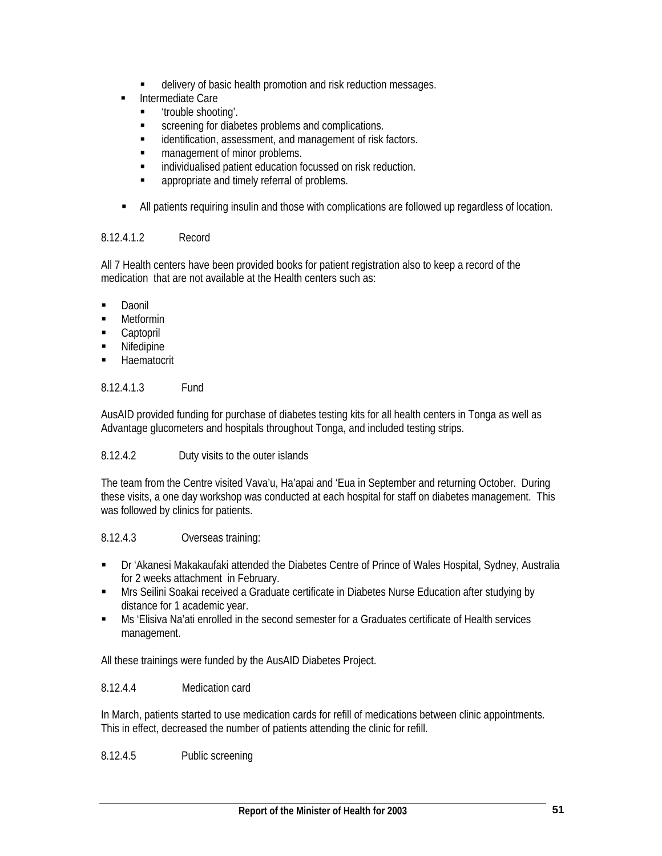- delivery of basic health promotion and risk reduction messages.
- Intermediate Care
	- 'trouble shooting'.
	- **EXECUTE:** Screening for diabetes problems and complications.
	- **EXECT** identification, assessment, and management of risk factors.
	- **management of minor problems.**
	- **EXECUTE:** individualised patient education focussed on risk reduction.
	- appropriate and timely referral of problems.
- All patients requiring insulin and those with complications are followed up regardless of location.

## 8.12.4.1.2 Record

All 7 Health centers have been provided books for patient registration also to keep a record of the medication that are not available at the Health centers such as:

- **Daonil**
- **-** Metformin
- **Captopril**
- **Nifedipine**
- **Haematocrit**

## 8.12.4.1.3 Fund

AusAID provided funding for purchase of diabetes testing kits for all health centers in Tonga as well as Advantage glucometers and hospitals throughout Tonga, and included testing strips.

## 8.12.4.2 Duty visits to the outer islands

The team from the Centre visited Vava'u, Ha'apai and 'Eua in September and returning October. During these visits, a one day workshop was conducted at each hospital for staff on diabetes management. This was followed by clinics for patients.

## 8.12.4.3 Overseas training:

- Dr 'Akanesi Makakaufaki attended the Diabetes Centre of Prince of Wales Hospital, Sydney, Australia for 2 weeks attachment in February.
- **Mrs Seilini Soakai received a Graduate certificate in Diabetes Nurse Education after studying by** distance for 1 academic year.
- Ms 'Elisiva Na'ati enrolled in the second semester for a Graduates certificate of Health services management.

All these trainings were funded by the AusAID Diabetes Project.

## 8.12.4.4 Medication card

In March, patients started to use medication cards for refill of medications between clinic appointments. This in effect, decreased the number of patients attending the clinic for refill.

## 8.12.4.5 Public screening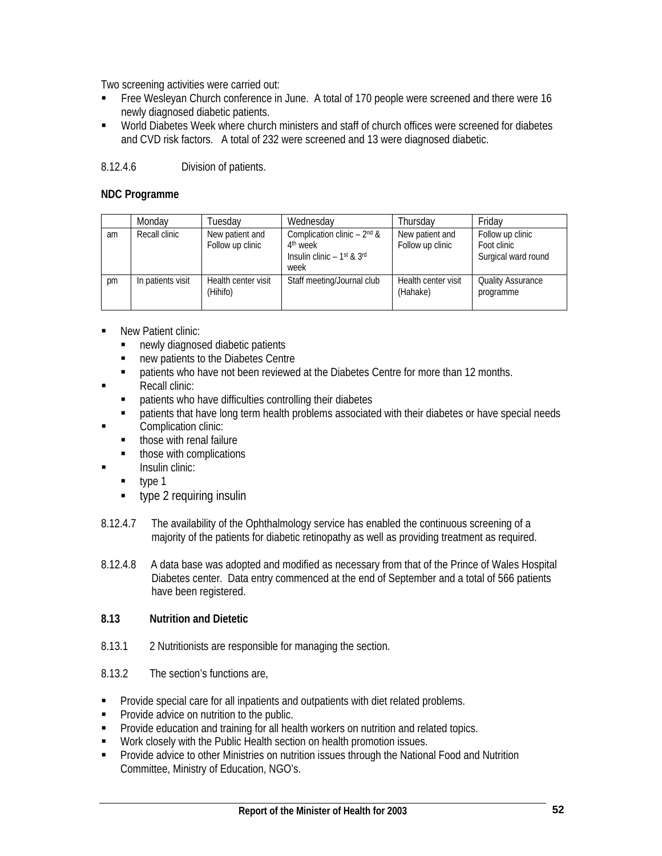Two screening activities were carried out:

- Free Wesleyan Church conference in June. A total of 170 people were screened and there were 16 newly diagnosed diabetic patients.
- World Diabetes Week where church ministers and staff of church offices were screened for diabetes and CVD risk factors. A total of 232 were screened and 13 were diagnosed diabetic.

# 8.12.4.6 Division of patients.

## **NDC Programme**

|    | Monday            | Tuesdav                             | Wednesday                                                                                                              | Thursday                            | Friday                                                 |
|----|-------------------|-------------------------------------|------------------------------------------------------------------------------------------------------------------------|-------------------------------------|--------------------------------------------------------|
| am | Recall clinic     | New patient and<br>Follow up clinic | Complication clinic $-2^{nd}$ &<br>4 <sup>th</sup> week<br>Insulin clinic $-1$ <sup>st</sup> & 3 <sup>rd</sup><br>week | New patient and<br>Follow up clinic | Follow up clinic<br>Foot clinic<br>Surgical ward round |
| pm | In patients visit | Health center visit<br>(Hihifo)     | Staff meeting/Journal club                                                                                             | Health center visit<br>(Hahake)     | <b>Quality Assurance</b><br>programme                  |

- New Patient clinic:
	- newly diagnosed diabetic patients
	- new patients to the Diabetes Centre
	- patients who have not been reviewed at the Diabetes Centre for more than 12 months.
- Recall clinic:
	- patients who have difficulties controlling their diabetes
- patients that have long term health problems associated with their diabetes or have special needs **Complication clinic:** 
	- those with renal failure
	- those with complications
- $\blacksquare$  Insulin clinic:
	- $\blacksquare$  type 1
	- **type 2 requiring insulin**
- 8.12.4.7 The availability of the Ophthalmology service has enabled the continuous screening of a majority of the patients for diabetic retinopathy as well as providing treatment as required.
- 8.12.4.8 A data base was adopted and modified as necessary from that of the Prince of Wales Hospital Diabetes center. Data entry commenced at the end of September and a total of 566 patients have been registered.

## **8.13 Nutrition and Dietetic**

- 8.13.1 2 Nutritionists are responsible for managing the section.
- 8.13.2 The section's functions are,
- **Provide special care for all inpatients and outpatients with diet related problems.**
- **Provide advice on nutrition to the public.**
- **Provide education and training for all health workers on nutrition and related topics.**
- **Work closely with the Public Health section on health promotion issues.**
- **Provide advice to other Ministries on nutrition issues through the National Food and Nutrition** Committee, Ministry of Education, NGO's.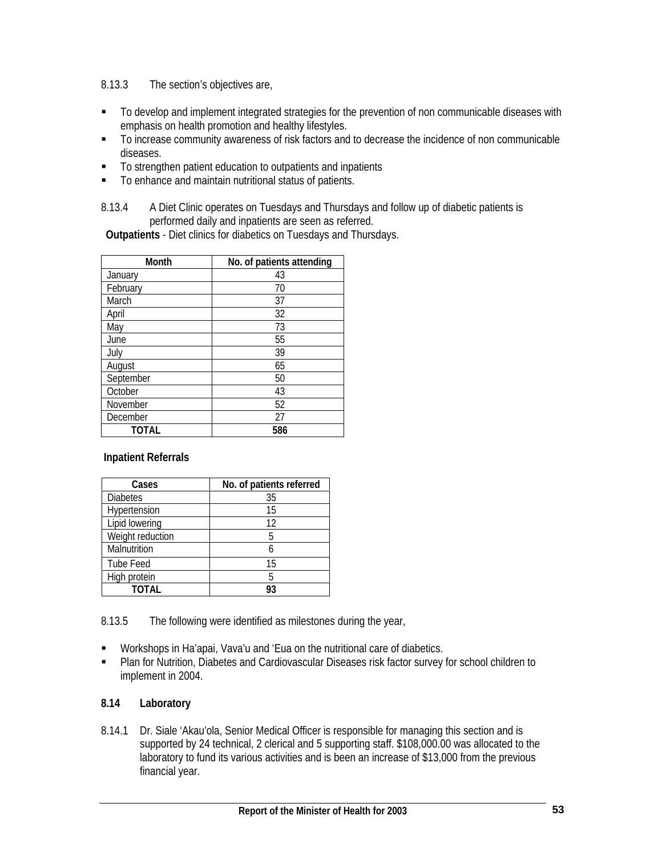8.13.3 The section's objectives are,

- To develop and implement integrated strategies for the prevention of non communicable diseases with emphasis on health promotion and healthy lifestyles.
- To increase community awareness of risk factors and to decrease the incidence of non communicable diseases.
- To strengthen patient education to outpatients and inpatients
- To enhance and maintain nutritional status of patients.
- 8.13.4 A Diet Clinic operates on Tuesdays and Thursdays and follow up of diabetic patients is performed daily and inpatients are seen as referred.

**Outpatients** - Diet clinics for diabetics on Tuesdays and Thursdays.

| Month     | No. of patients attending |
|-----------|---------------------------|
| January   | 43                        |
| February  | 70                        |
| March     | 37                        |
| April     | 32                        |
| May       | 73                        |
| June      | 55                        |
| July      | 39                        |
| August    | 65                        |
| September | 50                        |
| October   | 43                        |
| November  | 52                        |
| December  | 27                        |
| TOTAL     | 586                       |

## **Inpatient Referrals**

| Cases            | No. of patients referred |
|------------------|--------------------------|
| <b>Diabetes</b>  | 35                       |
| Hypertension     | 15                       |
| Lipid lowering   | 12                       |
| Weight reduction | 5                        |
| Malnutrition     |                          |
| Tube Feed        | 15                       |
| High protein     | 5                        |
| TOTAL            |                          |

8.13.5 The following were identified as milestones during the year,

- Workshops in Ha'apai, Vava'u and 'Eua on the nutritional care of diabetics.
- Plan for Nutrition, Diabetes and Cardiovascular Diseases risk factor survey for school children to implement in 2004.

## **8.14 Laboratory**

8.14.1 Dr. Siale 'Akau'ola, Senior Medical Officer is responsible for managing this section and is supported by 24 technical, 2 clerical and 5 supporting staff. \$108,000.00 was allocated to the laboratory to fund its various activities and is been an increase of \$13,000 from the previous financial year.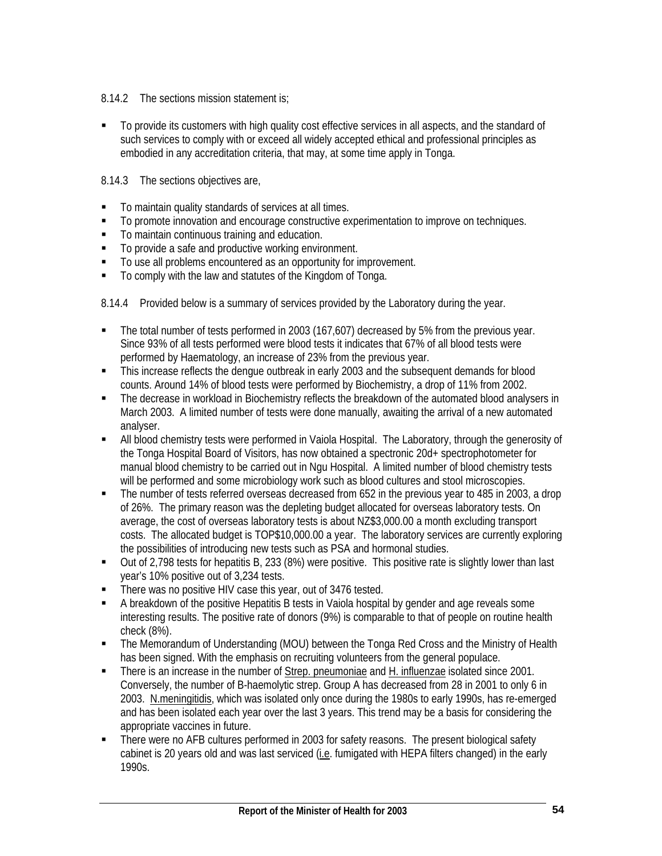## 8.14.2 The sections mission statement is;

 To provide its customers with high quality cost effective services in all aspects, and the standard of such services to comply with or exceed all widely accepted ethical and professional principles as embodied in any accreditation criteria, that may, at some time apply in Tonga.

## 8.14.3 The sections objectives are,

- To maintain quality standards of services at all times.
- To promote innovation and encourage constructive experimentation to improve on techniques.
- $\blacksquare$  To maintain continuous training and education.
- To provide a safe and productive working environment.
- $\blacksquare$  To use all problems encountered as an opportunity for improvement.
- To comply with the law and statutes of the Kingdom of Tonga.

8.14.4 Provided below is a summary of services provided by the Laboratory during the year.

- The total number of tests performed in 2003 (167,607) decreased by 5% from the previous year. Since 93% of all tests performed were blood tests it indicates that 67% of all blood tests were performed by Haematology, an increase of 23% from the previous year.
- This increase reflects the dengue outbreak in early 2003 and the subsequent demands for blood counts. Around 14% of blood tests were performed by Biochemistry, a drop of 11% from 2002.
- The decrease in workload in Biochemistry reflects the breakdown of the automated blood analysers in March 2003. A limited number of tests were done manually, awaiting the arrival of a new automated analyser.
- All blood chemistry tests were performed in Vaiola Hospital. The Laboratory, through the generosity of the Tonga Hospital Board of Visitors, has now obtained a spectronic 20d+ spectrophotometer for manual blood chemistry to be carried out in Ngu Hospital. A limited number of blood chemistry tests will be performed and some microbiology work such as blood cultures and stool microscopies.
- The number of tests referred overseas decreased from 652 in the previous year to 485 in 2003, a drop of 26%. The primary reason was the depleting budget allocated for overseas laboratory tests. On average, the cost of overseas laboratory tests is about NZ\$3,000.00 a month excluding transport costs. The allocated budget is TOP\$10,000.00 a year. The laboratory services are currently exploring the possibilities of introducing new tests such as PSA and hormonal studies.
- Out of 2,798 tests for hepatitis B, 233 (8%) were positive. This positive rate is slightly lower than last year's 10% positive out of 3,234 tests.
- There was no positive HIV case this year, out of 3476 tested.
- A breakdown of the positive Hepatitis B tests in Vaiola hospital by gender and age reveals some interesting results. The positive rate of donors (9%) is comparable to that of people on routine health check (8%).
- The Memorandum of Understanding (MOU) between the Tonga Red Cross and the Ministry of Health has been signed. With the emphasis on recruiting volunteers from the general populace.
- There is an increase in the number of Strep. pneumoniae and H. influenzae isolated since 2001. Conversely, the number of B-haemolytic strep. Group A has decreased from 28 in 2001 to only 6 in 2003. N.meningitidis, which was isolated only once during the 1980s to early 1990s, has re-emerged and has been isolated each year over the last 3 years. This trend may be a basis for considering the appropriate vaccines in future.
- There were no AFB cultures performed in 2003 for safety reasons. The present biological safety cabinet is 20 years old and was last serviced (i.e. fumigated with HEPA filters changed) in the early 1990s.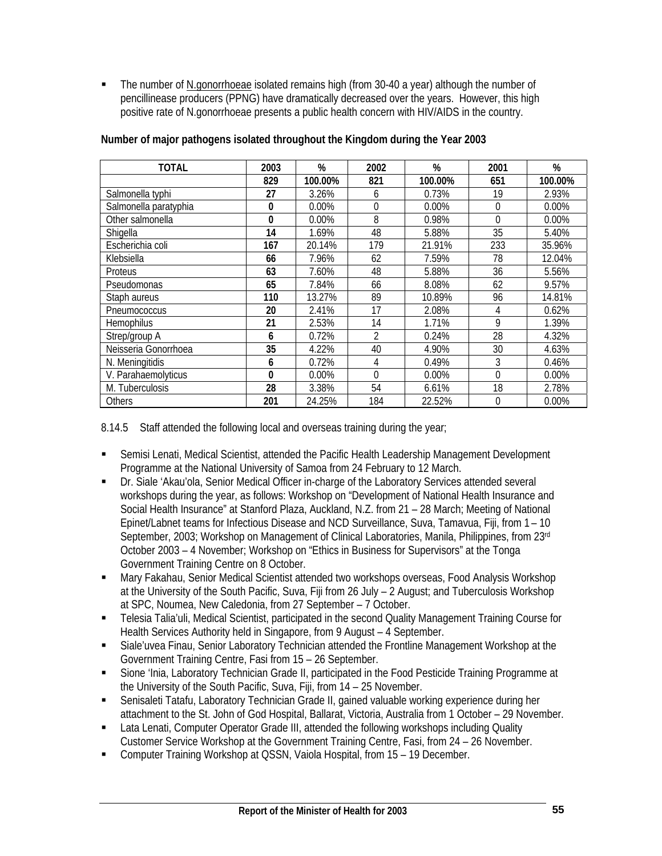The number of N.gonorrhoeae isolated remains high (from 30-40 a year) although the number of pencillinease producers (PPNG) have dramatically decreased over the years. However, this high positive rate of N.gonorrhoeae presents a public health concern with HIV/AIDS in the country.

| <b>TOTAL</b>          | 2003 | %       | 2002           | %       | 2001 | %       |
|-----------------------|------|---------|----------------|---------|------|---------|
|                       | 829  | 100.00% | 821            | 100.00% | 651  | 100.00% |
| Salmonella typhi      | 27   | 3.26%   | 6              | 0.73%   | 19   | 2.93%   |
| Salmonella paratyphia | 0    | 0.00%   | $\theta$       | 0.00%   | 0    | 0.00%   |
| Other salmonella      | 0    | 0.00%   | 8              | 0.98%   | 0    | 0.00%   |
| Shigella              | 14   | 1.69%   | 48             | 5.88%   | 35   | 5.40%   |
| Escherichia coli      | 167  | 20.14%  | 179            | 21.91%  | 233  | 35.96%  |
| Klebsiella            | 66   | 7.96%   | 62             | 7.59%   | 78   | 12.04%  |
| Proteus               | 63   | 7.60%   | 48             | 5.88%   | 36   | 5.56%   |
| Pseudomonas           | 65   | 7.84%   | 66             | 8.08%   | 62   | 9.57%   |
| Staph aureus          | 110  | 13.27%  | 89             | 10.89%  | 96   | 14.81%  |
| Pneumococcus          | 20   | 2.41%   | 17             | 2.08%   | 4    | 0.62%   |
| Hemophilus            | 21   | 2.53%   | 14             | 1.71%   | 9    | 1.39%   |
| Strep/group A         | 6    | 0.72%   | $\overline{2}$ | 0.24%   | 28   | 4.32%   |
| Neisseria Gonorrhoea  | 35   | 4.22%   | 40             | 4.90%   | 30   | 4.63%   |
| N. Meningitidis       | 6    | 0.72%   | 4              | 0.49%   | 3    | 0.46%   |
| V. Parahaemolyticus   | 0    | 0.00%   | $\Omega$       | 0.00%   | 0    | 0.00%   |
| M. Tuberculosis       | 28   | 3.38%   | 54             | 6.61%   | 18   | 2.78%   |
| <b>Others</b>         | 201  | 24.25%  | 184            | 22.52%  | 0    | 0.00%   |

### **Number of major pathogens isolated throughout the Kingdom during the Year 2003**

8.14.5 Staff attended the following local and overseas training during the year;

- Semisi Lenati, Medical Scientist, attended the Pacific Health Leadership Management Development Programme at the National University of Samoa from 24 February to 12 March.
- Dr. Siale 'Akau'ola, Senior Medical Officer in-charge of the Laboratory Services attended several workshops during the year, as follows: Workshop on "Development of National Health Insurance and Social Health Insurance" at Stanford Plaza, Auckland, N.Z. from 21 – 28 March; Meeting of National Epinet/Labnet teams for Infectious Disease and NCD Surveillance, Suva, Tamavua, Fiji, from 1 – 10 September, 2003; Workshop on Management of Clinical Laboratories, Manila, Philippines, from 23rd October 2003 – 4 November; Workshop on "Ethics in Business for Supervisors" at the Tonga Government Training Centre on 8 October.
- Mary Fakahau, Senior Medical Scientist attended two workshops overseas, Food Analysis Workshop at the University of the South Pacific, Suva, Fiji from 26 July – 2 August; and Tuberculosis Workshop at SPC, Noumea, New Caledonia, from 27 September – 7 October.
- Telesia Talia'uli, Medical Scientist, participated in the second Quality Management Training Course for Health Services Authority held in Singapore, from 9 August – 4 September.
- Siale'uvea Finau, Senior Laboratory Technician attended the Frontline Management Workshop at the Government Training Centre, Fasi from 15 – 26 September.
- Sione 'Inia, Laboratory Technician Grade II, participated in the Food Pesticide Training Programme at the University of the South Pacific, Suva, Fiji, from 14 – 25 November.
- Senisaleti Tatafu, Laboratory Technician Grade II, gained valuable working experience during her attachment to the St. John of God Hospital, Ballarat, Victoria, Australia from 1 October – 29 November.
- Lata Lenati, Computer Operator Grade III, attended the following workshops including Quality Customer Service Workshop at the Government Training Centre, Fasi, from 24 – 26 November.
- Computer Training Workshop at QSSN, Vaiola Hospital, from 15 19 December.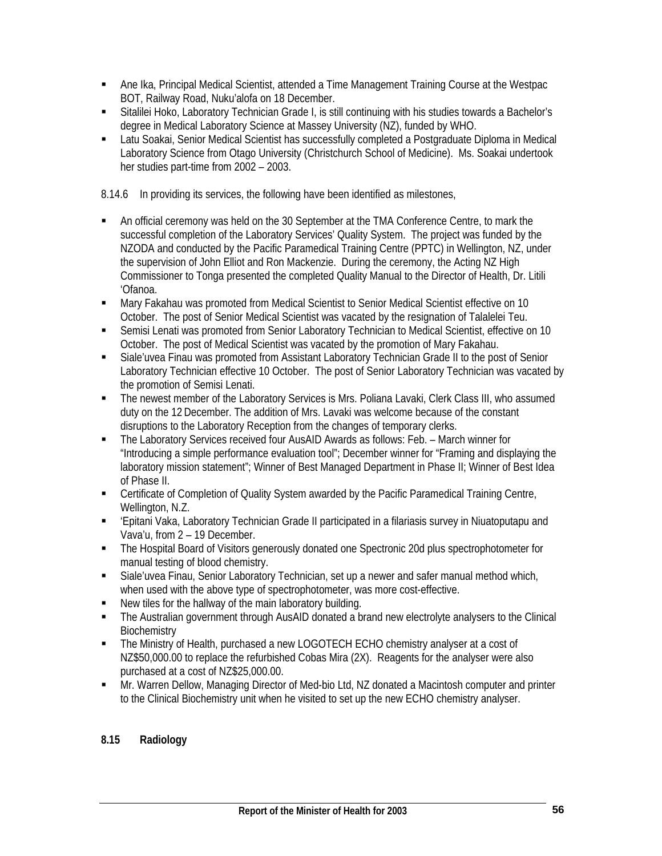- Ane Ika, Principal Medical Scientist, attended a Time Management Training Course at the Westpac BOT, Railway Road, Nuku'alofa on 18 December.
- Sitalilei Hoko, Laboratory Technician Grade I, is still continuing with his studies towards a Bachelor's degree in Medical Laboratory Science at Massey University (NZ), funded by WHO.
- Latu Soakai, Senior Medical Scientist has successfully completed a Postgraduate Diploma in Medical Laboratory Science from Otago University (Christchurch School of Medicine). Ms. Soakai undertook her studies part-time from 2002 – 2003.

8.14.6 In providing its services, the following have been identified as milestones,

- An official ceremony was held on the 30 September at the TMA Conference Centre, to mark the successful completion of the Laboratory Services' Quality System. The project was funded by the NZODA and conducted by the Pacific Paramedical Training Centre (PPTC) in Wellington, NZ, under the supervision of John Elliot and Ron Mackenzie. During the ceremony, the Acting NZ High Commissioner to Tonga presented the completed Quality Manual to the Director of Health, Dr. Litili 'Ofanoa.
- Mary Fakahau was promoted from Medical Scientist to Senior Medical Scientist effective on 10 October. The post of Senior Medical Scientist was vacated by the resignation of Talalelei Teu.
- Semisi Lenati was promoted from Senior Laboratory Technician to Medical Scientist, effective on 10 October. The post of Medical Scientist was vacated by the promotion of Mary Fakahau.
- Siale'uvea Finau was promoted from Assistant Laboratory Technician Grade II to the post of Senior Laboratory Technician effective 10 October. The post of Senior Laboratory Technician was vacated by the promotion of Semisi Lenati.
- The newest member of the Laboratory Services is Mrs. Poliana Lavaki, Clerk Class III, who assumed duty on the 12 December. The addition of Mrs. Lavaki was welcome because of the constant disruptions to the Laboratory Reception from the changes of temporary clerks.
- The Laboratory Services received four AusAID Awards as follows: Feb. March winner for "Introducing a simple performance evaluation tool"; December winner for "Framing and displaying the laboratory mission statement"; Winner of Best Managed Department in Phase II; Winner of Best Idea of Phase II.
- Certificate of Completion of Quality System awarded by the Pacific Paramedical Training Centre, Wellington, N.Z.
- 'Epitani Vaka, Laboratory Technician Grade II participated in a filariasis survey in Niuatoputapu and Vava'u, from 2 – 19 December.
- The Hospital Board of Visitors generously donated one Spectronic 20d plus spectrophotometer for manual testing of blood chemistry.
- Siale'uvea Finau, Senior Laboratory Technician, set up a newer and safer manual method which, when used with the above type of spectrophotometer, was more cost-effective.
- New tiles for the hallway of the main laboratory building.
- The Australian government through AusAID donated a brand new electrolyte analysers to the Clinical **Biochemistry**
- The Ministry of Health, purchased a new LOGOTECH ECHO chemistry analyser at a cost of NZ\$50,000.00 to replace the refurbished Cobas Mira (2X). Reagents for the analyser were also purchased at a cost of NZ\$25,000.00.
- Mr. Warren Dellow, Managing Director of Med-bio Ltd, NZ donated a Macintosh computer and printer to the Clinical Biochemistry unit when he visited to set up the new ECHO chemistry analyser.

# **8.15 Radiology**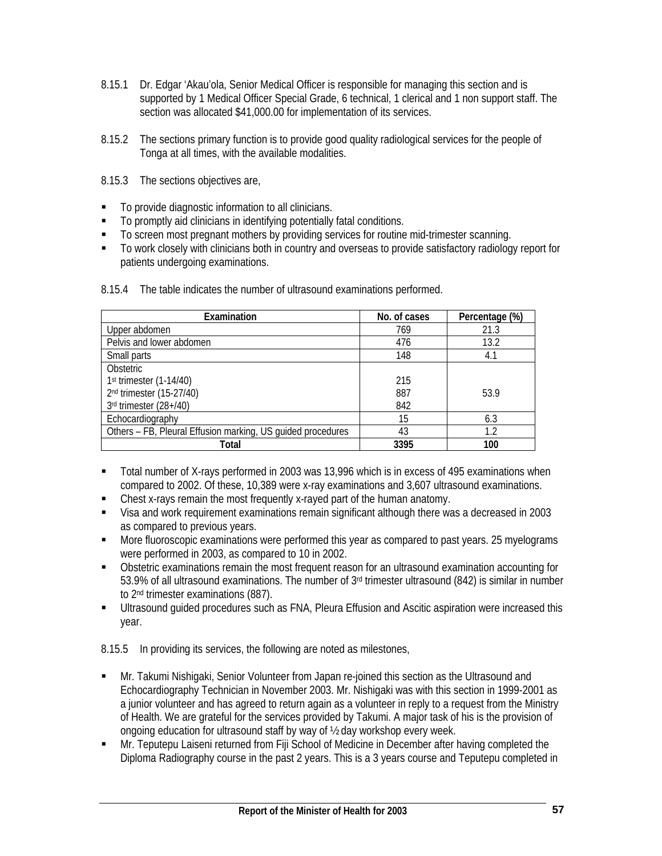- 8.15.1 Dr. Edgar 'Akau'ola, Senior Medical Officer is responsible for managing this section and is supported by 1 Medical Officer Special Grade, 6 technical, 1 clerical and 1 non support staff. The section was allocated \$41,000.00 for implementation of its services.
- 8.15.2 The sections primary function is to provide good quality radiological services for the people of Tonga at all times, with the available modalities.
- 8.15.3 The sections objectives are,
- To provide diagnostic information to all clinicians.
- To promptly aid clinicians in identifying potentially fatal conditions.
- To screen most pregnant mothers by providing services for routine mid-trimester scanning.
- To work closely with clinicians both in country and overseas to provide satisfactory radiology report for patients undergoing examinations.

| Examination                                                 | No. of cases | Percentage (%) |
|-------------------------------------------------------------|--------------|----------------|
| Upper abdomen                                               | 769          | 21.3           |
| Pelvis and lower abdomen                                    | 476          | 13.2           |
| Small parts                                                 | 148          | 4.1            |
| <b>Obstetric</b>                                            |              |                |
| 1st trimester (1-14/40)                                     | 215          |                |
| 2nd trimester (15-27/40)                                    | 887          | 53.9           |
| 3rd trimester (28+/40)                                      | 842          |                |
| Echocardiography                                            | 15           | 6.3            |
| Others - FB, Pleural Effusion marking, US guided procedures | 43           | 1.2            |
| Total                                                       | 3395         | 100            |

8.15.4 The table indicates the number of ultrasound examinations performed.

- Total number of X-rays performed in 2003 was 13,996 which is in excess of 495 examinations when compared to 2002. Of these, 10,389 were x-ray examinations and 3,607 ultrasound examinations.
- Chest x-rays remain the most frequently x-rayed part of the human anatomy.
- Visa and work requirement examinations remain significant although there was a decreased in 2003 as compared to previous years.
- **More fluoroscopic examinations were performed this year as compared to past years. 25 myelograms** were performed in 2003, as compared to 10 in 2002.
- Obstetric examinations remain the most frequent reason for an ultrasound examination accounting for 53.9% of all ultrasound examinations. The number of 3rd trimester ultrasound (842) is similar in number to 2nd trimester examinations (887).
- Ultrasound guided procedures such as FNA, Pleura Effusion and Ascitic aspiration were increased this year.

8.15.5 In providing its services, the following are noted as milestones,

- Mr. Takumi Nishigaki, Senior Volunteer from Japan re-joined this section as the Ultrasound and Echocardiography Technician in November 2003. Mr. Nishigaki was with this section in 1999-2001 as a junior volunteer and has agreed to return again as a volunteer in reply to a request from the Ministry of Health. We are grateful for the services provided by Takumi. A major task of his is the provision of ongoing education for ultrasound staff by way of ½ day workshop every week.
- Mr. Teputepu Laiseni returned from Fiji School of Medicine in December after having completed the Diploma Radiography course in the past 2 years. This is a 3 years course and Teputepu completed in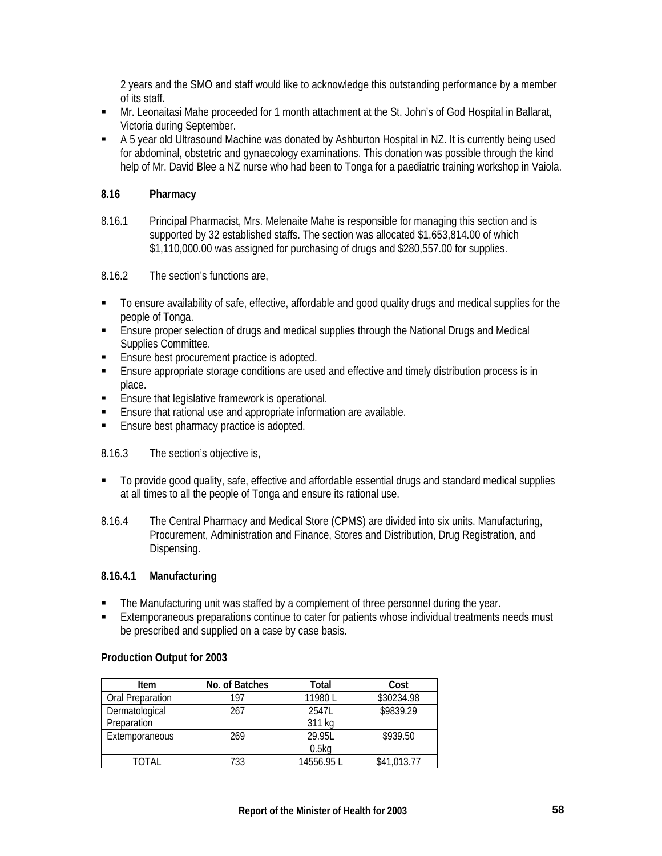2 years and the SMO and staff would like to acknowledge this outstanding performance by a member of its staff.

- Mr. Leonaitasi Mahe proceeded for 1 month attachment at the St. John's of God Hospital in Ballarat, Victoria during September.
- A 5 year old Ultrasound Machine was donated by Ashburton Hospital in NZ. It is currently being used for abdominal, obstetric and gynaecology examinations. This donation was possible through the kind help of Mr. David Blee a NZ nurse who had been to Tonga for a paediatric training workshop in Vaiola.

## **8.16 Pharmacy**

8.16.1 Principal Pharmacist, Mrs. Melenaite Mahe is responsible for managing this section and is supported by 32 established staffs. The section was allocated \$1,653,814.00 of which \$1,110,000.00 was assigned for purchasing of drugs and \$280,557.00 for supplies.

8.16.2 The section's functions are,

- To ensure availability of safe, effective, affordable and good quality drugs and medical supplies for the people of Tonga.
- **Ensure proper selection of drugs and medical supplies through the National Drugs and Medical** Supplies Committee.
- **Ensure best procurement practice is adopted.**
- Ensure appropriate storage conditions are used and effective and timely distribution process is in place.
- **Ensure that legislative framework is operational.**
- Ensure that rational use and appropriate information are available.
- **Ensure best pharmacy practice is adopted.**

## 8.16.3 The section's objective is,

- $\blacksquare$  To provide good quality, safe, effective and affordable essential drugs and standard medical supplies at all times to all the people of Tonga and ensure its rational use.
- 8.16.4 The Central Pharmacy and Medical Store (CPMS) are divided into six units. Manufacturing, Procurement, Administration and Finance, Stores and Distribution, Drug Registration, and Dispensing.

# **8.16.4.1 Manufacturing**

- The Manufacturing unit was staffed by a complement of three personnel during the year.
- Extemporaneous preparations continue to cater for patients whose individual treatments needs must be prescribed and supplied on a case by case basis.

## **Production Output for 2003**

| Item             | No. of Batches | Total             | Cost        |
|------------------|----------------|-------------------|-------------|
| Oral Preparation | 197            | 11980L            | \$30234.98  |
| Dermatological   | 267            | 2547L             | \$9839.29   |
| Preparation      |                | 311 kg            |             |
| Extemporaneous   | 269            | 29.951            | \$939.50    |
|                  |                | 0.5 <sub>kq</sub> |             |
| TOTAL            | 733            | 14556.95 L        | \$41,013.77 |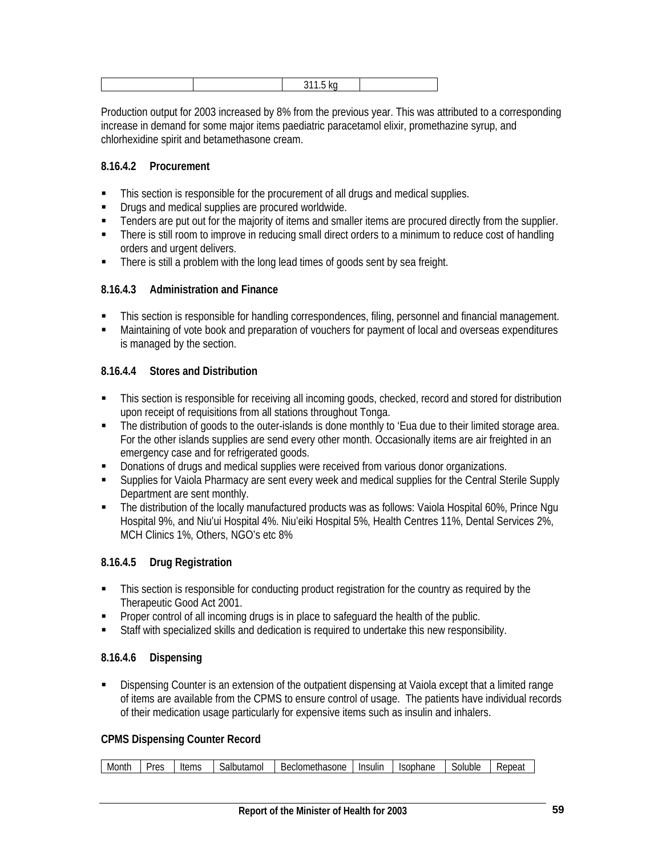Production output for 2003 increased by 8% from the previous year. This was attributed to a corresponding increase in demand for some major items paediatric paracetamol elixir, promethazine syrup, and chlorhexidine spirit and betamethasone cream.

# **8.16.4.2 Procurement**

- **This section is responsible for the procurement of all drugs and medical supplies.**
- **Drugs and medical supplies are procured worldwide.**
- **Tenders are put out for the majority of items and smaller items are procured directly from the supplier.**
- There is still room to improve in reducing small direct orders to a minimum to reduce cost of handling orders and urgent delivers.
- There is still a problem with the long lead times of goods sent by sea freight.

## **8.16.4.3 Administration and Finance**

- This section is responsible for handling correspondences, filing, personnel and financial management.
- Maintaining of vote book and preparation of vouchers for payment of local and overseas expenditures is managed by the section.

# **8.16.4.4 Stores and Distribution**

- This section is responsible for receiving all incoming goods, checked, record and stored for distribution upon receipt of requisitions from all stations throughout Tonga.
- The distribution of goods to the outer-islands is done monthly to 'Eua due to their limited storage area. For the other islands supplies are send every other month. Occasionally items are air freighted in an emergency case and for refrigerated goods.
- **Donations of drugs and medical supplies were received from various donor organizations.**
- Supplies for Vaiola Pharmacy are sent every week and medical supplies for the Central Sterile Supply Department are sent monthly.
- The distribution of the locally manufactured products was as follows: Vaiola Hospital 60%, Prince Ngu Hospital 9%, and Niu'ui Hospital 4%. Niu'eiki Hospital 5%, Health Centres 11%, Dental Services 2%, MCH Clinics 1%, Others, NGO's etc 8%

# **8.16.4.5 Drug Registration**

- **This section is responsible for conducting product registration for the country as required by the** Therapeutic Good Act 2001.
- Proper control of all incoming drugs is in place to safeguard the health of the public.
- Staff with specialized skills and dedication is required to undertake this new responsibility.

# **8.16.4.6 Dispensing**

 Dispensing Counter is an extension of the outpatient dispensing at Vaiola except that a limited range of items are available from the CPMS to ensure control of usage. The patients have individual records of their medication usage particularly for expensive items such as insulin and inhalers.

## **CPMS Dispensing Counter Record**

| Montr | Dr∆c<br>ົບພ | $. \cap mc$<br>נטווס | salbutamol | السمست والمسالم والمنا<br>Beclometh<br>nasone | Insulin | Isophane | Soluble | .<br>epea |
|-------|-------------|----------------------|------------|-----------------------------------------------|---------|----------|---------|-----------|
|-------|-------------|----------------------|------------|-----------------------------------------------|---------|----------|---------|-----------|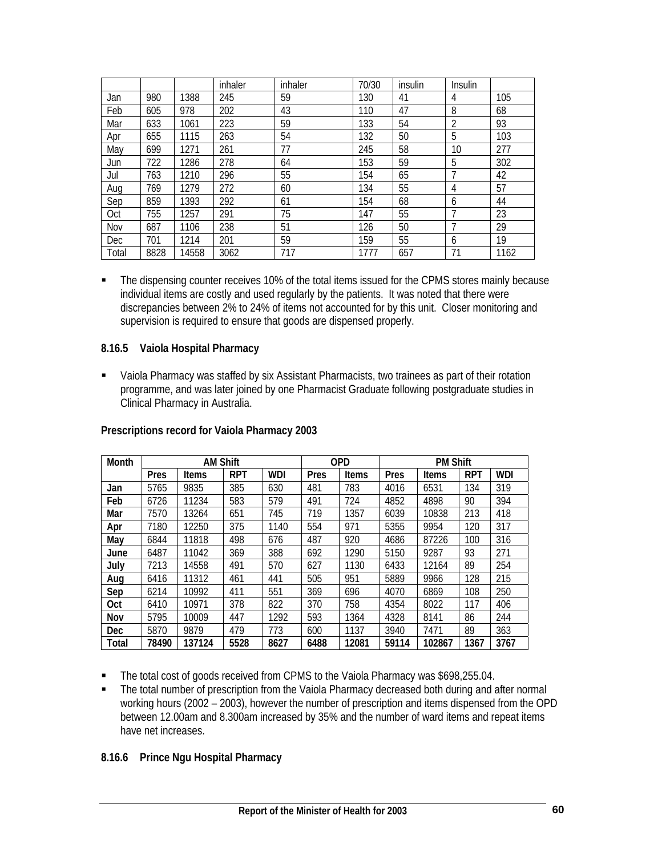|            |      |       | inhaler | inhaler | 70/30 | insulin | Insulin |      |
|------------|------|-------|---------|---------|-------|---------|---------|------|
| Jan        | 980  | 1388  | 245     | 59      | 130   | 41      | 4       | 105  |
| Feb        | 605  | 978   | 202     | 43      | 110   | 47      | 8       | 68   |
| Mar        | 633  | 1061  | 223     | 59      | 133   | 54      | 2       | 93   |
| Apr        | 655  | 1115  | 263     | 54      | 132   | 50      | 5       | 103  |
| May        | 699  | 1271  | 261     | 77      | 245   | 58      | 10      | 277  |
| Jun        | 722  | 1286  | 278     | 64      | 153   | 59      | 5       | 302  |
| Jul        | 763  | 1210  | 296     | 55      | 154   | 65      | 7       | 42   |
| Aug        | 769  | 1279  | 272     | 60      | 134   | 55      | 4       | 57   |
| Sep        | 859  | 1393  | 292     | 61      | 154   | 68      | 6       | 44   |
| Oct        | 755  | 1257  | 291     | 75      | 147   | 55      | 7       | 23   |
| Nov        | 687  | 1106  | 238     | 51      | 126   | 50      | 7       | 29   |
| <b>Dec</b> | 701  | 1214  | 201     | 59      | 159   | 55      | 6       | 19   |
| Total      | 8828 | 14558 | 3062    | 717     | 1777  | 657     | 71      | 1162 |

• The dispensing counter receives 10% of the total items issued for the CPMS stores mainly because individual items are costly and used regularly by the patients. It was noted that there were discrepancies between 2% to 24% of items not accounted for by this unit. Closer monitoring and supervision is required to ensure that goods are dispensed properly.

### **8.16.5 Vaiola Hospital Pharmacy**

 Vaiola Pharmacy was staffed by six Assistant Pharmacists, two trainees as part of their rotation programme, and was later joined by one Pharmacist Graduate following postgraduate studies in Clinical Pharmacy in Australia.

| Month        |       | <b>AM Shift</b> |            |      | <b>OPD</b> |       |       | <b>PM Shift</b> |            |            |
|--------------|-------|-----------------|------------|------|------------|-------|-------|-----------------|------------|------------|
|              | Pres  | <b>Items</b>    | <b>RPT</b> | WDI  | Pres       | Items | Pres  | <b>Items</b>    | <b>RPT</b> | <b>WDI</b> |
| Jan          | 5765  | 9835            | 385        | 630  | 481        | 783   | 4016  | 6531            | 134        | 319        |
| Feb          | 6726  | 11234           | 583        | 579  | 491        | 724   | 4852  | 4898            | 90         | 394        |
| Mar          | 7570  | 13264           | 651        | 745  | 719        | 1357  | 6039  | 10838           | 213        | 418        |
| Apr          | 7180  | 12250           | 375        | 1140 | 554        | 971   | 5355  | 9954            | 120        | 317        |
| Mav          | 6844  | 11818           | 498        | 676  | 487        | 920   | 4686  | 87226           | 100        | 316        |
| June         | 6487  | 11042           | 369        | 388  | 692        | 1290  | 5150  | 9287            | 93         | 271        |
| July         | 7213  | 14558           | 491        | 570  | 627        | 1130  | 6433  | 12164           | 89         | 254        |
| Aug          | 6416  | 11312           | 461        | 441  | 505        | 951   | 5889  | 9966            | 128        | 215        |
| Sep          | 6214  | 10992           | 411        | 551  | 369        | 696   | 4070  | 6869            | 108        | 250        |
| <b>Oct</b>   | 6410  | 10971           | 378        | 822  | 370        | 758   | 4354  | 8022            | 117        | 406        |
| Nov          | 5795  | 10009           | 447        | 1292 | 593        | 1364  | 4328  | 8141            | 86         | 244        |
| <b>Dec</b>   | 5870  | 9879            | 479        | 773  | 600        | 1137  | 3940  | 7471            | 89         | 363        |
| <b>Total</b> | 78490 | 137124          | 5528       | 8627 | 6488       | 12081 | 59114 | 102867          | 1367       | 3767       |

## **Prescriptions record for Vaiola Pharmacy 2003**

- The total cost of goods received from CPMS to the Vaiola Pharmacy was \$698,255.04.
- The total number of prescription from the Vaiola Pharmacy decreased both during and after normal working hours (2002 – 2003), however the number of prescription and items dispensed from the OPD between 12.00am and 8.300am increased by 35% and the number of ward items and repeat items have net increases.

## **8.16.6 Prince Ngu Hospital Pharmacy**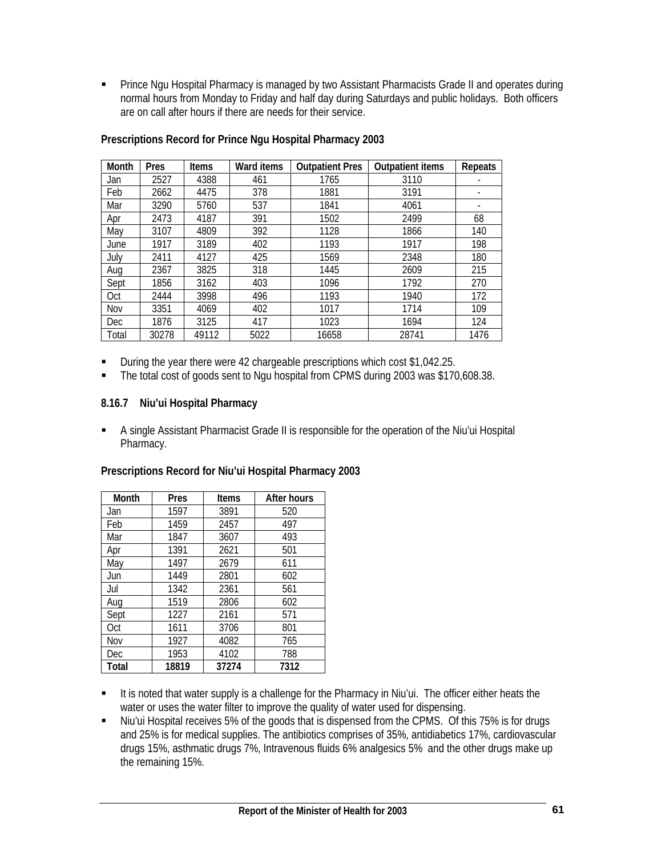**Prince Ngu Hospital Pharmacy is managed by two Assistant Pharmacists Grade II and operates during** normal hours from Monday to Friday and half day during Saturdays and public holidays. Both officers are on call after hours if there are needs for their service.

| Month | Pres  | <b>Items</b> | Ward items | <b>Outpatient Pres</b> | <b>Outpatient items</b> | Repeats |
|-------|-------|--------------|------------|------------------------|-------------------------|---------|
| Jan   | 2527  | 4388         | 461        | 1765                   | 3110                    |         |
| Feb   | 2662  | 4475         | 378        | 1881                   | 3191                    |         |
| Mar   | 3290  | 5760         | 537        | 1841                   | 4061                    | -       |
| Apr   | 2473  | 4187         | 391        | 1502                   | 2499                    | 68      |
| May   | 3107  | 4809         | 392        | 1128                   | 1866                    | 140     |
| June  | 1917  | 3189         | 402        | 1193                   | 1917                    | 198     |
| Julv  | 2411  | 4127         | 425        | 1569                   | 2348                    | 180     |
| Aug   | 2367  | 3825         | 318        | 1445                   | 2609                    | 215     |
| Sept  | 1856  | 3162         | 403        | 1096                   | 1792                    | 270     |
| Oct   | 2444  | 3998         | 496        | 1193                   | 1940                    | 172     |
| Nov   | 3351  | 4069         | 402        | 1017                   | 1714                    | 109     |
| Dec   | 1876  | 3125         | 417        | 1023                   | 1694                    | 124     |
| Total | 30278 | 49112        | 5022       | 16658                  | 28741                   | 1476    |

#### **Prescriptions Record for Prince Ngu Hospital Pharmacy 2003**

- During the year there were 42 chargeable prescriptions which cost \$1,042.25.
- The total cost of goods sent to Ngu hospital from CPMS during 2003 was \$170,608.38.

### **8.16.7 Niu'ui Hospital Pharmacy**

 A single Assistant Pharmacist Grade II is responsible for the operation of the Niu'ui Hospital Pharmacy.

| Month | Pres  | <b>Items</b> | After hours |
|-------|-------|--------------|-------------|
| Jan   | 1597  | 3891         | 520         |
| Feb   | 1459  | 2457         | 497         |
| Mar   | 1847  | 3607         | 493         |
| Apr   | 1391  | 2621         | 501         |
| May   | 1497  | 2679         | 611         |
| Jun   | 1449  | 2801         | 602         |
| Jul   | 1342  | 2361         | 561         |
| Aug   | 1519  | 2806         | 602         |
| Sept  | 1227  | 2161         | 571         |
| Oct   | 1611  | 3706         | 801         |
| Nov   | 1927  | 4082         | 765         |
| Dec   | 1953  | 4102         | 788         |
| Total | 18819 | 37274        | 7312        |

#### **Prescriptions Record for Niu'ui Hospital Pharmacy 2003**

- It is noted that water supply is a challenge for the Pharmacy in Niu'ui. The officer either heats the water or uses the water filter to improve the quality of water used for dispensing.
- Niu'ui Hospital receives 5% of the goods that is dispensed from the CPMS. Of this 75% is for drugs and 25% is for medical supplies. The antibiotics comprises of 35%, antidiabetics 17%, cardiovascular drugs 15%, asthmatic drugs 7%, Intravenous fluids 6% analgesics 5% and the other drugs make up the remaining 15%.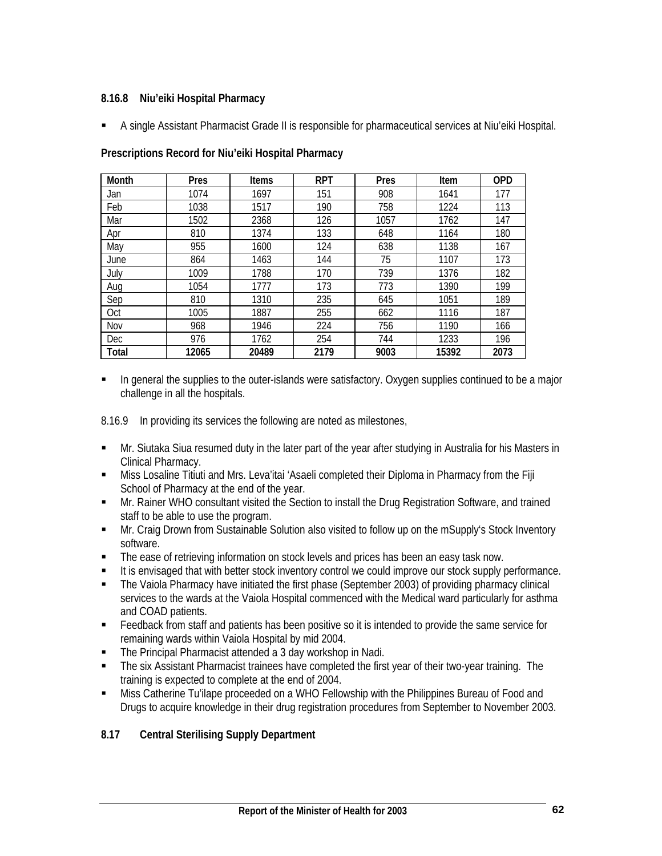## **8.16.8 Niu'eiki Hospital Pharmacy**

A single Assistant Pharmacist Grade II is responsible for pharmaceutical services at Niu'eiki Hospital.

| Month      | Pres  | <b>Items</b> | <b>RPT</b> | Pres | Item  | <b>OPD</b> |
|------------|-------|--------------|------------|------|-------|------------|
| Jan        | 1074  | 1697         | 151        | 908  | 1641  | 177        |
| Feb        | 1038  | 1517         | 190        | 758  | 1224  | 113        |
| Mar        | 1502  | 2368         | 126        | 1057 | 1762  | 147        |
| Apr        | 810   | 1374         | 133        | 648  | 1164  | 180        |
| May        | 955   | 1600         | 124        | 638  | 1138  | 167        |
| June       | 864   | 1463         | 144        | 75   | 1107  | 173        |
| July       | 1009  | 1788         | 170        | 739  | 1376  | 182        |
| Aug        | 1054  | 1777         | 173        | 773  | 1390  | 199        |
| Sep        | 810   | 1310         | 235        | 645  | 1051  | 189        |
| Oct        | 1005  | 1887         | 255        | 662  | 1116  | 187        |
| Nov        | 968   | 1946         | 224        | 756  | 1190  | 166        |
| <b>Dec</b> | 976   | 1762         | 254        | 744  | 1233  | 196        |
| Total      | 12065 | 20489        | 2179       | 9003 | 15392 | 2073       |

### **Prescriptions Record for Niu'eiki Hospital Pharmacy**

**In general the supplies to the outer-islands were satisfactory. Oxygen supplies continued to be a major** challenge in all the hospitals.

8.16.9 In providing its services the following are noted as milestones,

- Mr. Siutaka Siua resumed duty in the later part of the year after studying in Australia for his Masters in Clinical Pharmacy.
- **Miss Losaline Titiuti and Mrs. Leva'itai 'Asaeli completed their Diploma in Pharmacy from the Fiji** School of Pharmacy at the end of the year.
- **Mr. Rainer WHO consultant visited the Section to install the Drug Registration Software, and trained** staff to be able to use the program.
- Mr. Craig Drown from Sustainable Solution also visited to follow up on the mSupply's Stock Inventory software.
- The ease of retrieving information on stock levels and prices has been an easy task now.
- It is envisaged that with better stock inventory control we could improve our stock supply performance.
- The Vaiola Pharmacy have initiated the first phase (September 2003) of providing pharmacy clinical services to the wards at the Vaiola Hospital commenced with the Medical ward particularly for asthma and COAD patients.
- Feedback from staff and patients has been positive so it is intended to provide the same service for remaining wards within Vaiola Hospital by mid 2004.
- The Principal Pharmacist attended a 3 day workshop in Nadi.
- The six Assistant Pharmacist trainees have completed the first year of their two-year training. The training is expected to complete at the end of 2004.
- Miss Catherine Tu'ilape proceeded on a WHO Fellowship with the Philippines Bureau of Food and Drugs to acquire knowledge in their drug registration procedures from September to November 2003.

# **8.17 Central Sterilising Supply Department**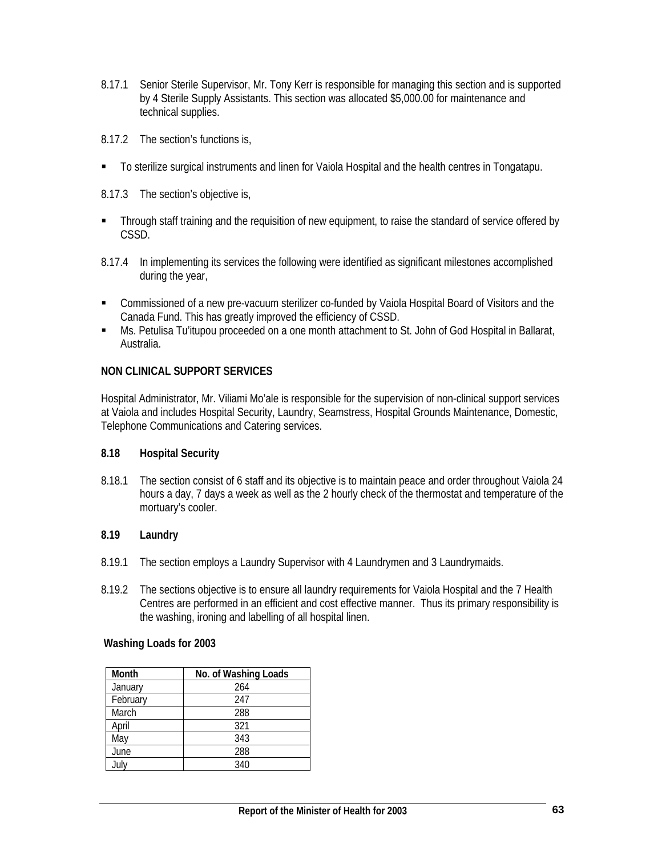- 8.17.1 Senior Sterile Supervisor, Mr. Tony Kerr is responsible for managing this section and is supported by 4 Sterile Supply Assistants. This section was allocated \$5,000.00 for maintenance and technical supplies.
- 8.17.2 The section's functions is,
- To sterilize surgical instruments and linen for Vaiola Hospital and the health centres in Tongatapu.
- 8.17.3 The section's objective is,
- **Through staff training and the requisition of new equipment, to raise the standard of service offered by** CSSD.
- 8.17.4 In implementing its services the following were identified as significant milestones accomplished during the year,
- Commissioned of a new pre-vacuum sterilizer co-funded by Vaiola Hospital Board of Visitors and the Canada Fund. This has greatly improved the efficiency of CSSD.
- Ms. Petulisa Tu'itupou proceeded on a one month attachment to St. John of God Hospital in Ballarat, Australia.

## **NON CLINICAL SUPPORT SERVICES**

Hospital Administrator, Mr. Viliami Mo'ale is responsible for the supervision of non-clinical support services at Vaiola and includes Hospital Security, Laundry, Seamstress, Hospital Grounds Maintenance, Domestic, Telephone Communications and Catering services.

#### **8.18 Hospital Security**

8.18.1 The section consist of 6 staff and its objective is to maintain peace and order throughout Vaiola 24 hours a day, 7 days a week as well as the 2 hourly check of the thermostat and temperature of the mortuary's cooler.

### **8.19 Laundry**

- 8.19.1 The section employs a Laundry Supervisor with 4 Laundrymen and 3 Laundrymaids.
- 8.19.2 The sections objective is to ensure all laundry requirements for Vaiola Hospital and the 7 Health Centres are performed in an efficient and cost effective manner. Thus its primary responsibility is the washing, ironing and labelling of all hospital linen.

#### **Washing Loads for 2003**

| Month    | No. of Washing Loads |  |  |
|----------|----------------------|--|--|
| January  | 264                  |  |  |
| February | 247                  |  |  |
| March    | 288                  |  |  |
| April    | 321                  |  |  |
| May      | 343                  |  |  |
| June     | 288                  |  |  |
| July     | 340                  |  |  |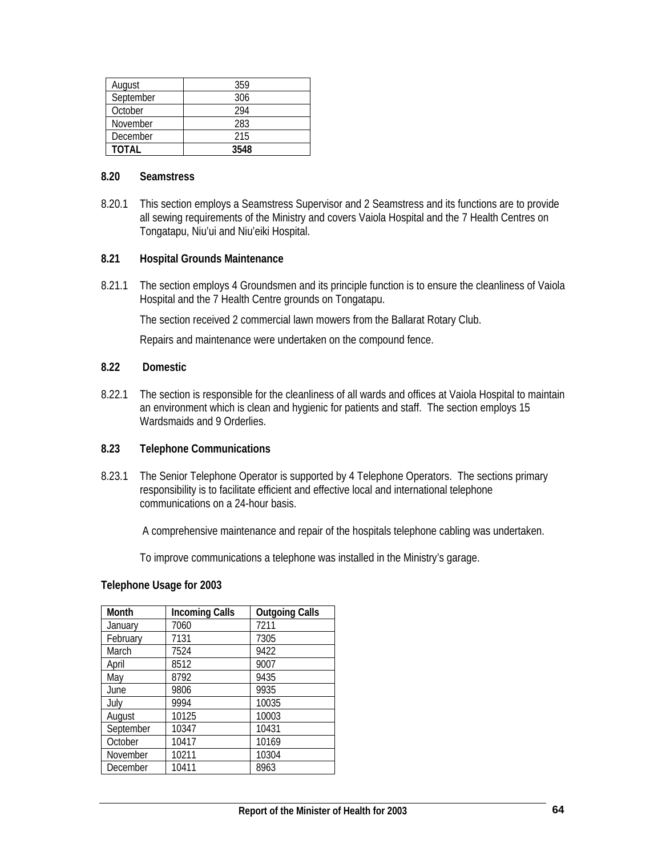| August    | 359  |
|-----------|------|
| September | 306  |
| October   | 294  |
| November  | 283  |
| December  | 215  |
| TOTAL     | 3548 |

#### **8.20 Seamstress**

8.20.1 This section employs a Seamstress Supervisor and 2 Seamstress and its functions are to provide all sewing requirements of the Ministry and covers Vaiola Hospital and the 7 Health Centres on Tongatapu, Niu'ui and Niu'eiki Hospital.

### **8.21 Hospital Grounds Maintenance**

8.21.1 The section employs 4 Groundsmen and its principle function is to ensure the cleanliness of Vaiola Hospital and the 7 Health Centre grounds on Tongatapu.

The section received 2 commercial lawn mowers from the Ballarat Rotary Club.

Repairs and maintenance were undertaken on the compound fence.

#### **8.22 Domestic**

8.22.1 The section is responsible for the cleanliness of all wards and offices at Vaiola Hospital to maintain an environment which is clean and hygienic for patients and staff. The section employs 15 Wardsmaids and 9 Orderlies.

#### **8.23 Telephone Communications**

8.23.1 The Senior Telephone Operator is supported by 4 Telephone Operators. The sections primary responsibility is to facilitate efficient and effective local and international telephone communications on a 24-hour basis.

A comprehensive maintenance and repair of the hospitals telephone cabling was undertaken.

To improve communications a telephone was installed in the Ministry's garage.

#### **Telephone Usage for 2003**

| Month     | <b>Incoming Calls</b> | <b>Outgoing Calls</b> |
|-----------|-----------------------|-----------------------|
| January   | 7060                  | 7211                  |
| February  | 7131                  | 7305                  |
| March     | 7524                  | 9422                  |
| April     | 8512                  | 9007                  |
| May       | 8792                  | 9435                  |
| June      | 9806                  | 9935                  |
| July      | 9994                  | 10035                 |
| August    | 10125                 | 10003                 |
| September | 10347                 | 10431                 |
| October   | 10417                 | 10169                 |
| November  | 10211                 | 10304                 |
| December  | 10411                 | 8963                  |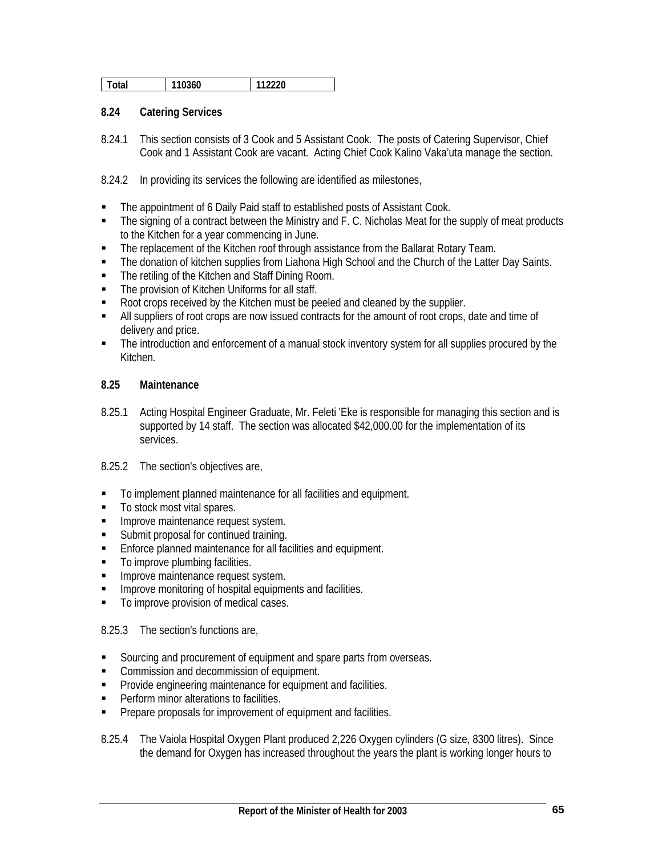| 112220<br>110360<br>otal |
|--------------------------|
|--------------------------|

#### **8.24 Catering Services**

8.24.1 This section consists of 3 Cook and 5 Assistant Cook. The posts of Catering Supervisor, Chief Cook and 1 Assistant Cook are vacant. Acting Chief Cook Kalino Vaka'uta manage the section.

8.24.2 In providing its services the following are identified as milestones,

- The appointment of 6 Daily Paid staff to established posts of Assistant Cook.
- The signing of a contract between the Ministry and F. C. Nicholas Meat for the supply of meat products to the Kitchen for a year commencing in June.
- **The replacement of the Kitchen roof through assistance from the Ballarat Rotary Team.**
- The donation of kitchen supplies from Liahona High School and the Church of the Latter Day Saints.
- The retiling of the Kitchen and Staff Dining Room.
- The provision of Kitchen Uniforms for all staff.
- Root crops received by the Kitchen must be peeled and cleaned by the supplier.
- All suppliers of root crops are now issued contracts for the amount of root crops, date and time of delivery and price.
- The introduction and enforcement of a manual stock inventory system for all supplies procured by the Kitchen.

#### **8.25 Maintenance**

- 8.25.1 Acting Hospital Engineer Graduate, Mr. Feleti 'Eke is responsible for managing this section and is supported by 14 staff. The section was allocated \$42,000.00 for the implementation of its services.
- 8.25.2 The section's objectives are,
- To implement planned maintenance for all facilities and equipment.
- To stock most vital spares.
- **Improve maintenance request system.**
- **Submit proposal for continued training.**
- **Enforce planned maintenance for all facilities and equipment.**
- To improve plumbing facilities.
- **IMPROVE MAINTED MANUARY EXPLORER FIGURE 1999**
- **IMPROVE MONITORY IN A LOCAL EXAM** equipments and facilities.
- $\blacksquare$  To improve provision of medical cases.

8.25.3 The section's functions are,

- Sourcing and procurement of equipment and spare parts from overseas.
- **Commission and decommission of equipment.**
- **Provide engineering maintenance for equipment and facilities.**
- **Perform minor alterations to facilities.**
- **Prepare proposals for improvement of equipment and facilities.**

8.25.4 The Vaiola Hospital Oxygen Plant produced 2,226 Oxygen cylinders (G size, 8300 litres). Since the demand for Oxygen has increased throughout the years the plant is working longer hours to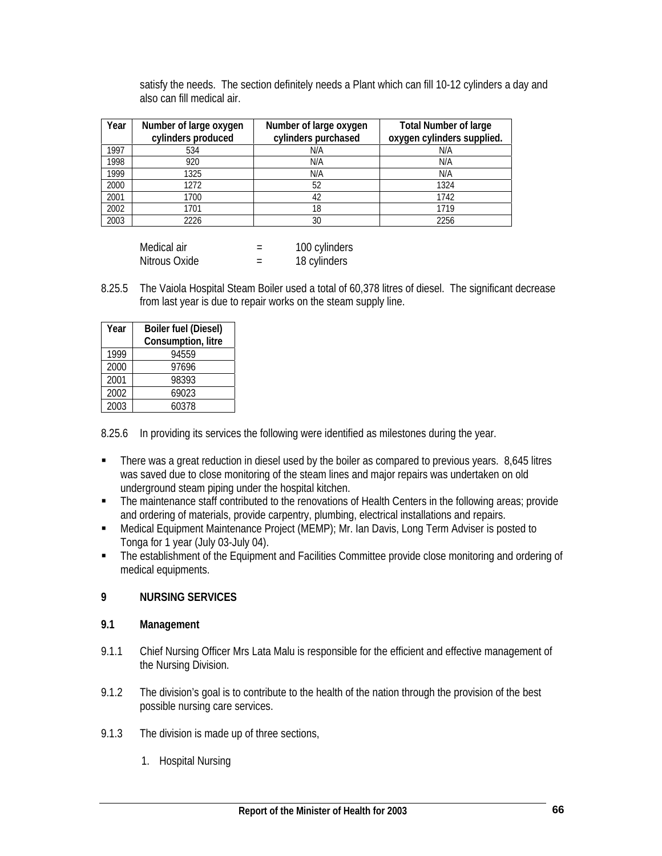| Year | Number of large oxygen<br>cylinders produced | Number of large oxygen<br>cylinders purchased | <b>Total Number of large</b><br>oxygen cylinders supplied. |
|------|----------------------------------------------|-----------------------------------------------|------------------------------------------------------------|
| 1997 | 534                                          | N/A                                           | N/A                                                        |
| 1998 | 920                                          | N/A                                           | N/A                                                        |
| 1999 | 1325                                         | N/A                                           | N/A                                                        |
| 2000 | 1272                                         | 52                                            | 1324                                                       |
| 2001 | 1700                                         | 42                                            | 1742                                                       |
| 2002 | 1701                                         | 18                                            | 1719                                                       |
| 2003 | 2226                                         | 30                                            | 2256                                                       |

satisfy the needs. The section definitely needs a Plant which can fill 10-12 cylinders a day and also can fill medical air.

| Medical air   |                          | 100 cylinders |
|---------------|--------------------------|---------------|
| Nitrous Oxide | $\overline{\phantom{a}}$ | 18 cylinders  |

8.25.5 The Vaiola Hospital Steam Boiler used a total of 60,378 litres of diesel. The significant decrease from last year is due to repair works on the steam supply line.

| Year | <b>Boiler fuel (Diesel)</b><br>Consumption, litre |
|------|---------------------------------------------------|
| 1999 | 94559                                             |
| 2000 | 97696                                             |
| 2001 | 98393                                             |
| 2002 | 69023                                             |
| 2003 | 60378                                             |

8.25.6 In providing its services the following were identified as milestones during the year.

- There was a great reduction in diesel used by the boiler as compared to previous years. 8,645 litres was saved due to close monitoring of the steam lines and major repairs was undertaken on old underground steam piping under the hospital kitchen.
- The maintenance staff contributed to the renovations of Health Centers in the following areas; provide and ordering of materials, provide carpentry, plumbing, electrical installations and repairs.
- Medical Equipment Maintenance Project (MEMP); Mr. Ian Davis, Long Term Adviser is posted to Tonga for 1 year (July 03-July 04).
- The establishment of the Equipment and Facilities Committee provide close monitoring and ordering of medical equipments.

## **9 NURSING SERVICES**

## **9.1 Management**

- 9.1.1 Chief Nursing Officer Mrs Lata Malu is responsible for the efficient and effective management of the Nursing Division.
- 9.1.2 The division's goal is to contribute to the health of the nation through the provision of the best possible nursing care services.
- 9.1.3 The division is made up of three sections,
	- 1. Hospital Nursing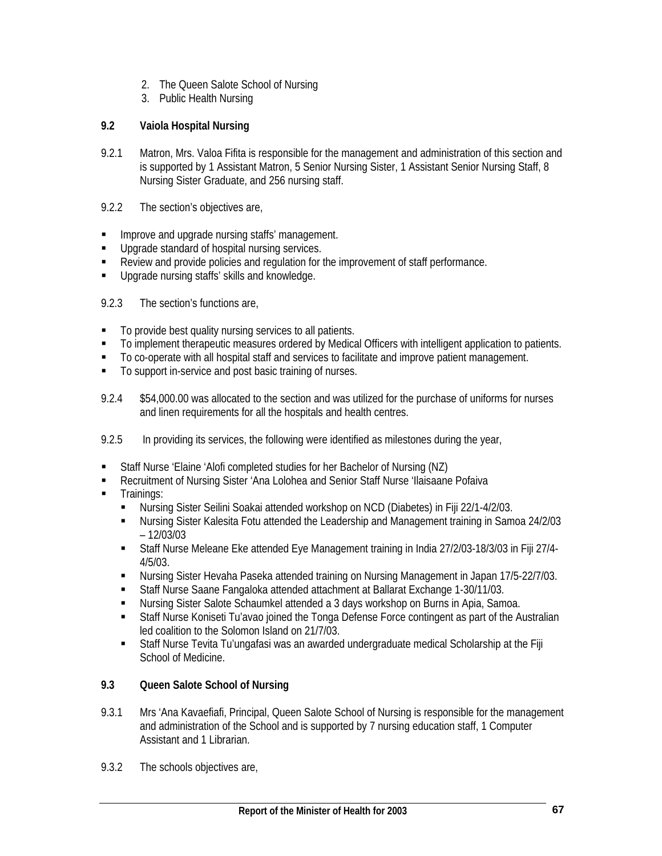- 2. The Queen Salote School of Nursing
- 3. Public Health Nursing

## **9.2 Vaiola Hospital Nursing**

- 9.2.1 Matron, Mrs. Valoa Fifita is responsible for the management and administration of this section and is supported by 1 Assistant Matron, 5 Senior Nursing Sister, 1 Assistant Senior Nursing Staff, 8 Nursing Sister Graduate, and 256 nursing staff.
- 9.2.2 The section's objectives are,
- **IMPROVE and upgrade nursing staffs' management.**
- **Upgrade standard of hospital nursing services.**
- Review and provide policies and regulation for the improvement of staff performance.
- **Upgrade nursing staffs' skills and knowledge.**
- 9.2.3 The section's functions are,
- $\blacksquare$  To provide best quality nursing services to all patients.
- To implement therapeutic measures ordered by Medical Officers with intelligent application to patients.
- To co-operate with all hospital staff and services to facilitate and improve patient management.
- To support in-service and post basic training of nurses.
- 9.2.4 \$54,000.00 was allocated to the section and was utilized for the purchase of uniforms for nurses and linen requirements for all the hospitals and health centres.
- 9.2.5 In providing its services, the following were identified as milestones during the year,
- Staff Nurse 'Elaine 'Alofi completed studies for her Bachelor of Nursing (NZ)
- Recruitment of Nursing Sister 'Ana Lolohea and Senior Staff Nurse 'Ilaisaane Pofaiva
- **Trainings:** 
	- Nursing Sister Seilini Soakai attended workshop on NCD (Diabetes) in Fiji 22/1-4/2/03.
	- Nursing Sister Kalesita Fotu attended the Leadership and Management training in Samoa 24/2/03 – 12/03/03
	- Staff Nurse Meleane Eke attended Eye Management training in India 27/2/03-18/3/03 in Fiji 27/4- 4/5/03.
	- Nursing Sister Hevaha Paseka attended training on Nursing Management in Japan 17/5-22/7/03.
	- Staff Nurse Saane Fangaloka attended attachment at Ballarat Exchange 1-30/11/03.
	- Nursing Sister Salote Schaumkel attended a 3 days workshop on Burns in Apia, Samoa.
	- Staff Nurse Koniseti Tu'avao joined the Tonga Defense Force contingent as part of the Australian led coalition to the Solomon Island on 21/7/03.
	- Staff Nurse Tevita Tu'ungafasi was an awarded undergraduate medical Scholarship at the Fiji School of Medicine.

## **9.3 Queen Salote School of Nursing**

- 9.3.1 Mrs 'Ana Kavaefiafi, Principal, Queen Salote School of Nursing is responsible for the management and administration of the School and is supported by 7 nursing education staff, 1 Computer Assistant and 1 Librarian.
- 9.3.2 The schools objectives are,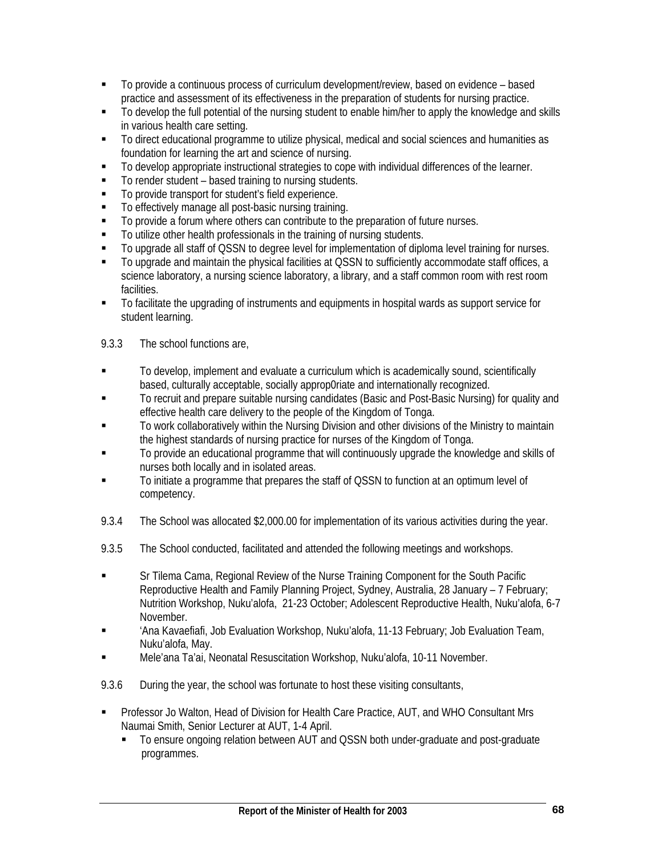- To provide a continuous process of curriculum development/review, based on evidence based practice and assessment of its effectiveness in the preparation of students for nursing practice.
- To develop the full potential of the nursing student to enable him/her to apply the knowledge and skills in various health care setting.
- To direct educational programme to utilize physical, medical and social sciences and humanities as foundation for learning the art and science of nursing.
- $\blacksquare$  To develop appropriate instructional strategies to cope with individual differences of the learner.
- To render student based training to nursing students.
- To provide transport for student's field experience.
- To effectively manage all post-basic nursing training.
- $\blacksquare$  To provide a forum where others can contribute to the preparation of future nurses.
- To utilize other health professionals in the training of nursing students.
- To upgrade all staff of QSSN to degree level for implementation of diploma level training for nurses.
- To upgrade and maintain the physical facilities at QSSN to sufficiently accommodate staff offices, a science laboratory, a nursing science laboratory, a library, and a staff common room with rest room facilities.
- To facilitate the upgrading of instruments and equipments in hospital wards as support service for student learning.
- 9.3.3 The school functions are,
- To develop, implement and evaluate a curriculum which is academically sound, scientifically based, culturally acceptable, socially approp0riate and internationally recognized.
- To recruit and prepare suitable nursing candidates (Basic and Post-Basic Nursing) for quality and effective health care delivery to the people of the Kingdom of Tonga.
- To work collaboratively within the Nursing Division and other divisions of the Ministry to maintain the highest standards of nursing practice for nurses of the Kingdom of Tonga.
- To provide an educational programme that will continuously upgrade the knowledge and skills of nurses both locally and in isolated areas.
- To initiate a programme that prepares the staff of QSSN to function at an optimum level of competency.
- 9.3.4 The School was allocated \$2,000.00 for implementation of its various activities during the year.
- 9.3.5 The School conducted, facilitated and attended the following meetings and workshops.
- Sr Tilema Cama, Regional Review of the Nurse Training Component for the South Pacific Reproductive Health and Family Planning Project, Sydney, Australia, 28 January – 7 February; Nutrition Workshop, Nuku'alofa, 21-23 October; Adolescent Reproductive Health, Nuku'alofa, 6-7 November.
- 'Ana Kavaefiafi, Job Evaluation Workshop, Nuku'alofa, 11-13 February; Job Evaluation Team, Nuku'alofa, May.
- Mele'ana Ta'ai, Neonatal Resuscitation Workshop, Nuku'alofa, 10-11 November.
- 9.3.6 During the year, the school was fortunate to host these visiting consultants,
- Professor Jo Walton, Head of Division for Health Care Practice, AUT, and WHO Consultant Mrs Naumai Smith, Senior Lecturer at AUT, 1-4 April.
	- To ensure ongoing relation between AUT and QSSN both under-graduate and post-graduate programmes.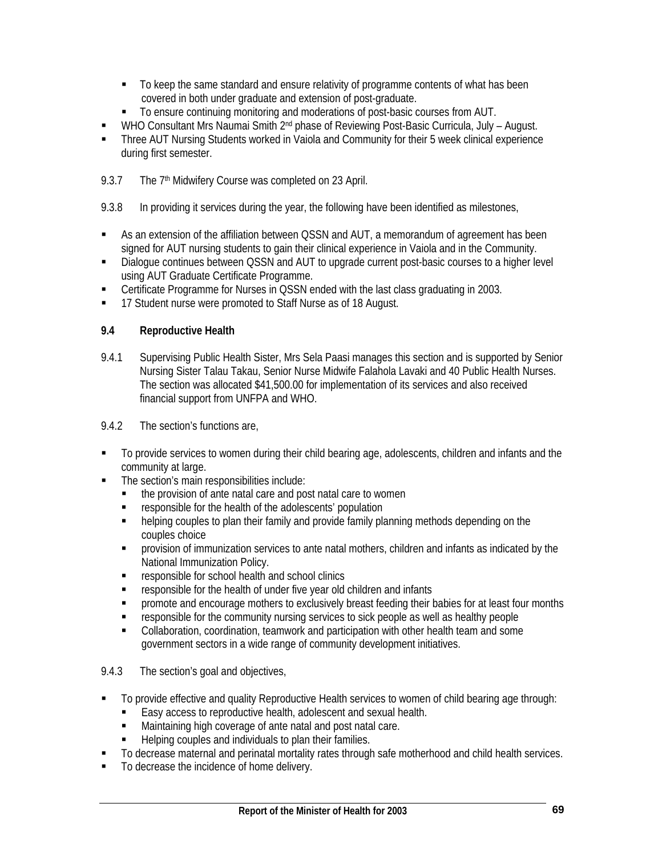- To keep the same standard and ensure relativity of programme contents of what has been covered in both under graduate and extension of post-graduate.
- To ensure continuing monitoring and moderations of post-basic courses from AUT.
- WHO Consultant Mrs Naumai Smith 2nd phase of Reviewing Post-Basic Curricula, July August.
- Three AUT Nursing Students worked in Vaiola and Community for their 5 week clinical experience during first semester.
- 9.3.7 The 7<sup>th</sup> Midwifery Course was completed on 23 April.
- 9.3.8 In providing it services during the year, the following have been identified as milestones,
- As an extension of the affiliation between QSSN and AUT, a memorandum of agreement has been signed for AUT nursing students to gain their clinical experience in Vaiola and in the Community.
- Dialogue continues between QSSN and AUT to upgrade current post-basic courses to a higher level using AUT Graduate Certificate Programme.
- Certificate Programme for Nurses in QSSN ended with the last class graduating in 2003.
- 17 Student nurse were promoted to Staff Nurse as of 18 August.

## **9.4 Reproductive Health**

- 9.4.1 Supervising Public Health Sister, Mrs Sela Paasi manages this section and is supported by Senior Nursing Sister Talau Takau, Senior Nurse Midwife Falahola Lavaki and 40 Public Health Nurses. The section was allocated \$41,500.00 for implementation of its services and also received financial support from UNFPA and WHO.
- 9.4.2 The section's functions are,
- To provide services to women during their child bearing age, adolescents, children and infants and the community at large.
- The section's main responsibilities include:
	- the provision of ante natal care and post natal care to women
	- **F** responsible for the health of the adolescents' population
	- helping couples to plan their family and provide family planning methods depending on the couples choice
	- provision of immunization services to ante natal mothers, children and infants as indicated by the National Immunization Policy.
	- **F** responsible for school health and school clinics
	- responsible for the health of under five year old children and infants
	- promote and encourage mothers to exclusively breast feeding their babies for at least four months
	- responsible for the community nursing services to sick people as well as healthy people
	- Collaboration, coordination, teamwork and participation with other health team and some government sectors in a wide range of community development initiatives.

## 9.4.3 The section's goal and objectives,

- To provide effective and quality Reproductive Health services to women of child bearing age through:
	- Easy access to reproductive health, adolescent and sexual health.
	- Maintaining high coverage of ante natal and post natal care.
	- Helping couples and individuals to plan their families.
- $\blacksquare$  To decrease maternal and perinatal mortality rates through safe motherhood and child health services.
- To decrease the incidence of home delivery.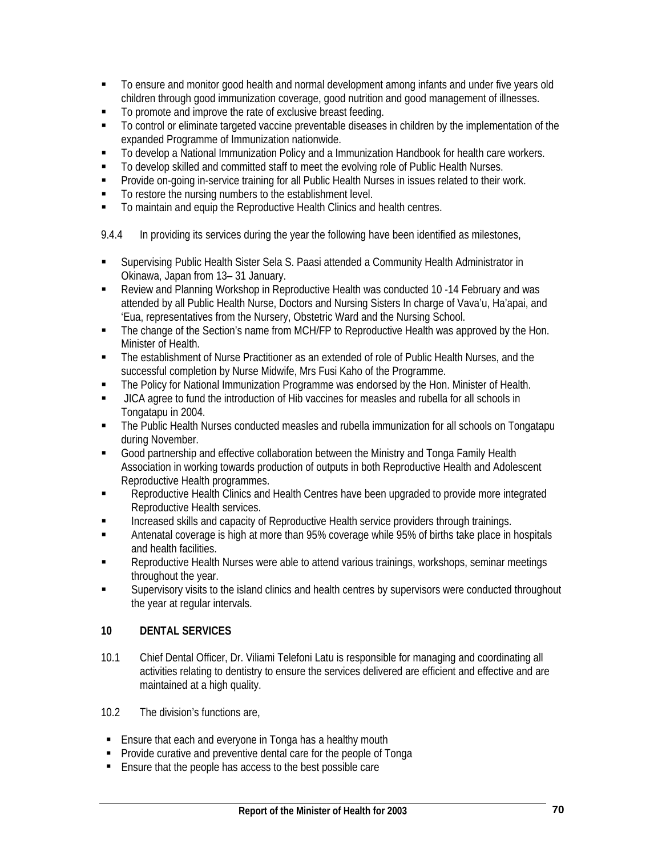- To ensure and monitor good health and normal development among infants and under five years old children through good immunization coverage, good nutrition and good management of illnesses.
- $\blacksquare$  To promote and improve the rate of exclusive breast feeding.
- To control or eliminate targeted vaccine preventable diseases in children by the implementation of the expanded Programme of Immunization nationwide.
- To develop a National Immunization Policy and a Immunization Handbook for health care workers.
- To develop skilled and committed staff to meet the evolving role of Public Health Nurses.
- Provide on-going in-service training for all Public Health Nurses in issues related to their work.
- To restore the nursing numbers to the establishment level.
- To maintain and equip the Reproductive Health Clinics and health centres.
- 9.4.4 In providing its services during the year the following have been identified as milestones,
- Supervising Public Health Sister Sela S. Paasi attended a Community Health Administrator in Okinawa, Japan from 13– 31 January.
- Review and Planning Workshop in Reproductive Health was conducted 10 -14 February and was attended by all Public Health Nurse, Doctors and Nursing Sisters In charge of Vava'u, Ha'apai, and 'Eua, representatives from the Nursery, Obstetric Ward and the Nursing School.
- The change of the Section's name from MCH/FP to Reproductive Health was approved by the Hon. Minister of Health.
- The establishment of Nurse Practitioner as an extended of role of Public Health Nurses, and the successful completion by Nurse Midwife, Mrs Fusi Kaho of the Programme.
- The Policy for National Immunization Programme was endorsed by the Hon. Minister of Health.
- JICA agree to fund the introduction of Hib vaccines for measles and rubella for all schools in Tongatapu in 2004.
- The Public Health Nurses conducted measles and rubella immunization for all schools on Tongatapu during November.
- Good partnership and effective collaboration between the Ministry and Tonga Family Health Association in working towards production of outputs in both Reproductive Health and Adolescent Reproductive Health programmes.
- **Reproductive Health Clinics and Health Centres have been upgraded to provide more integrated** Reproductive Health services.
- Increased skills and capacity of Reproductive Health service providers through trainings.
- Antenatal coverage is high at more than 95% coverage while 95% of births take place in hospitals and health facilities.
- Reproductive Health Nurses were able to attend various trainings, workshops, seminar meetings throughout the year.
- Supervisory visits to the island clinics and health centres by supervisors were conducted throughout the year at regular intervals.

# **10 DENTAL SERVICES**

- 10.1 Chief Dental Officer, Dr. Viliami Telefoni Latu is responsible for managing and coordinating all activities relating to dentistry to ensure the services delivered are efficient and effective and are maintained at a high quality.
- 10.2 The division's functions are,
- **Ensure that each and everyone in Tonga has a healthy mouth**
- **Provide curative and preventive dental care for the people of Tonga**
- Ensure that the people has access to the best possible care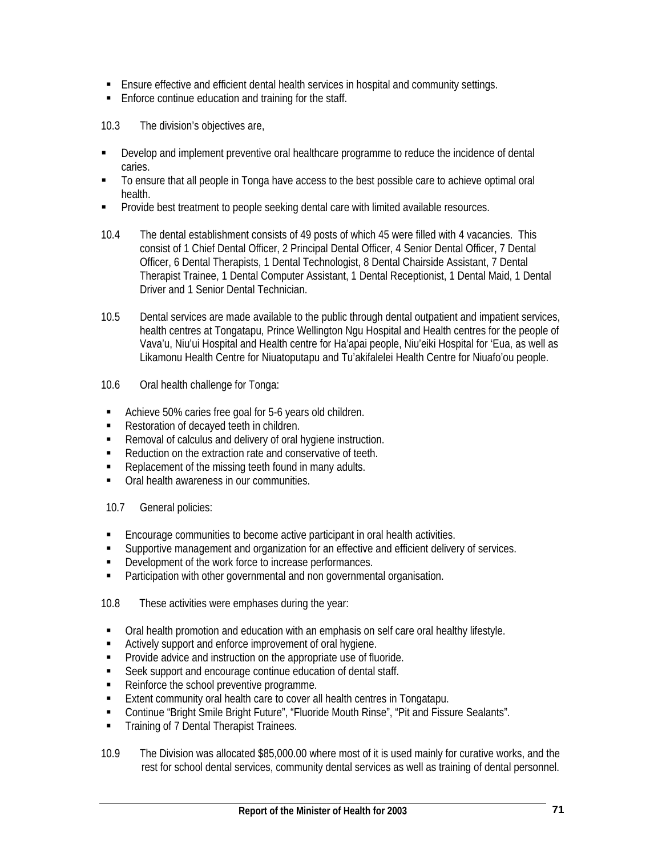- Ensure effective and efficient dental health services in hospital and community settings.
- **Enforce continue education and training for the staff.**

10.3 The division's objectives are,

- Develop and implement preventive oral healthcare programme to reduce the incidence of dental caries.
- To ensure that all people in Tonga have access to the best possible care to achieve optimal oral health.
- **Provide best treatment to people seeking dental care with limited available resources.**
- 10.4 The dental establishment consists of 49 posts of which 45 were filled with 4 vacancies. This consist of 1 Chief Dental Officer, 2 Principal Dental Officer, 4 Senior Dental Officer, 7 Dental Officer, 6 Dental Therapists, 1 Dental Technologist, 8 Dental Chairside Assistant, 7 Dental Therapist Trainee, 1 Dental Computer Assistant, 1 Dental Receptionist, 1 Dental Maid, 1 Dental Driver and 1 Senior Dental Technician.
- 10.5 Dental services are made available to the public through dental outpatient and impatient services, health centres at Tongatapu, Prince Wellington Ngu Hospital and Health centres for the people of Vava'u, Niu'ui Hospital and Health centre for Ha'apai people, Niu'eiki Hospital for 'Eua, as well as Likamonu Health Centre for Niuatoputapu and Tu'akifalelei Health Centre for Niuafo'ou people.
- 10.6 Oral health challenge for Tonga:
- Achieve 50% caries free goal for 5-6 years old children.
- Restoration of decayed teeth in children.
- Removal of calculus and delivery of oral hygiene instruction.
- Reduction on the extraction rate and conservative of teeth.
- Replacement of the missing teeth found in many adults.
- Oral health awareness in our communities.
- 10.7 General policies:
- **Encourage communities to become active participant in oral health activities.**
- Supportive management and organization for an effective and efficient delivery of services.
- Development of the work force to increase performances.
- **Participation with other governmental and non governmental organisation.**

10.8 These activities were emphases during the year:

- Oral health promotion and education with an emphasis on self care oral healthy lifestyle.
- Actively support and enforce improvement of oral hygiene.
- **Provide advice and instruction on the appropriate use of fluoride.**
- Seek support and encourage continue education of dental staff.
- Reinforce the school preventive programme.
- **Extent community oral health care to cover all health centres in Tongatapu.**
- Continue "Bright Smile Bright Future", "Fluoride Mouth Rinse", "Pit and Fissure Sealants".
- **Training of 7 Dental Therapist Trainees.**
- 10.9 The Division was allocated \$85,000.00 where most of it is used mainly for curative works, and the rest for school dental services, community dental services as well as training of dental personnel.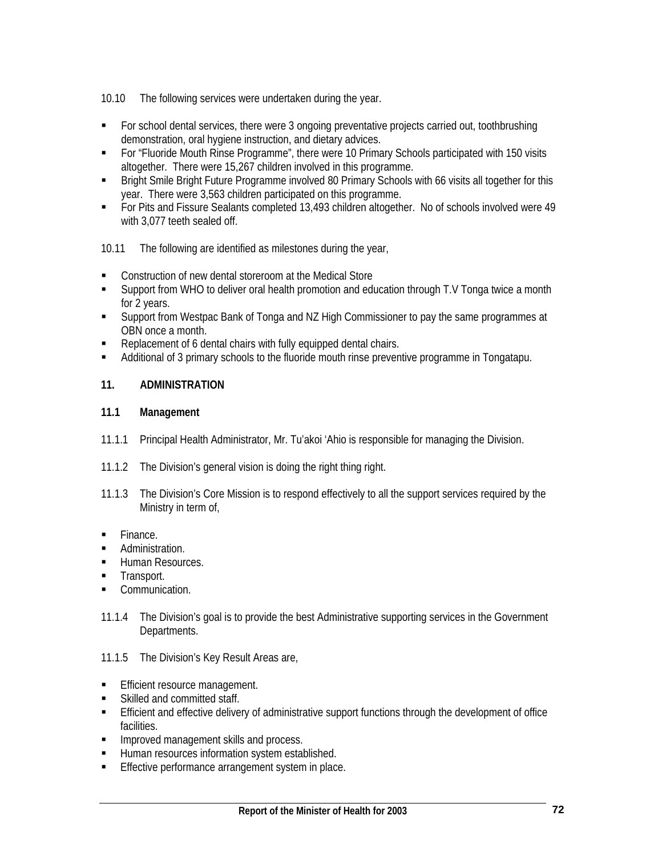10.10 The following services were undertaken during the year.

- For school dental services, there were 3 ongoing preventative projects carried out, toothbrushing demonstration, oral hygiene instruction, and dietary advices.
- For "Fluoride Mouth Rinse Programme", there were 10 Primary Schools participated with 150 visits altogether. There were 15,267 children involved in this programme.
- **Bright Smile Bright Future Programme involved 80 Primary Schools with 66 visits all together for this** year. There were 3,563 children participated on this programme.
- For Pits and Fissure Sealants completed 13,493 children altogether. No of schools involved were 49 with 3,077 teeth sealed off.
- 10.11 The following are identified as milestones during the year,
- **EXECONSTRUCTION OF THE MEDITY CONSTRUCTION CONSTRUCTION** of new dental store state of the Medical Store
- Support from WHO to deliver oral health promotion and education through T.V Tonga twice a month for 2 years.
- Support from Westpac Bank of Tonga and NZ High Commissioner to pay the same programmes at OBN once a month.
- Replacement of 6 dental chairs with fully equipped dental chairs.
- Additional of 3 primary schools to the fluoride mouth rinse preventive programme in Tongatapu.

## **11. ADMINISTRATION**

## **11.1 Management**

- 11.1.1 Principal Health Administrator, Mr. Tu'akoi 'Ahio is responsible for managing the Division.
- 11.1.2 The Division's general vision is doing the right thing right.
- 11.1.3 The Division's Core Mission is to respond effectively to all the support services required by the Ministry in term of,
- **Finance.**
- **Administration.**
- **Human Resources.**
- **Transport.**
- Communication.
- 11.1.4 The Division's goal is to provide the best Administrative supporting services in the Government Departments.
- 11.1.5 The Division's Key Result Areas are,
- **Efficient resource management.**
- Skilled and committed staff.
- Efficient and effective delivery of administrative support functions through the development of office facilities.
- **Improved management skills and process.**<br> **E** Human resources information system estable
- Human resources information system established.
- **Effective performance arrangement system in place.**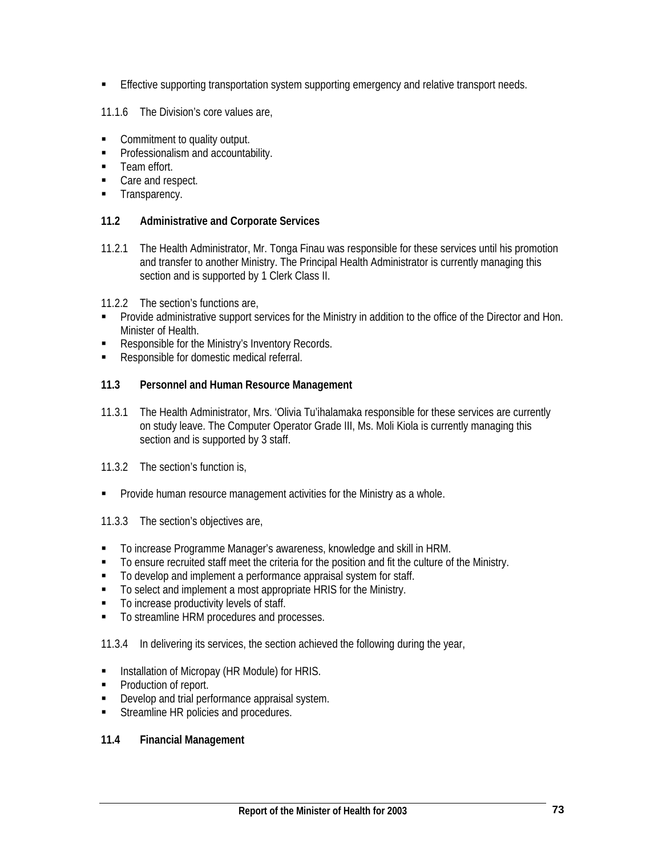**Effective supporting transportation system supporting emergency and relative transport needs.** 

11.1.6 The Division's core values are,

- Commitment to quality output.
- **Professionalism and accountability.**
- **Team effort.**
- Care and respect.
- **Transparency.**

#### **11.2 Administrative and Corporate Services**

- 11.2.1 The Health Administrator, Mr. Tonga Finau was responsible for these services until his promotion and transfer to another Ministry. The Principal Health Administrator is currently managing this section and is supported by 1 Clerk Class II.
- 11.2.2 The section's functions are,
- Provide administrative support services for the Ministry in addition to the office of the Director and Hon. Minister of Health.
- Responsible for the Ministry's Inventory Records.
- Responsible for domestic medical referral.

### **11.3 Personnel and Human Resource Management**

- 11.3.1 The Health Administrator, Mrs. 'Olivia Tu'ihalamaka responsible for these services are currently on study leave. The Computer Operator Grade III, Ms. Moli Kiola is currently managing this section and is supported by 3 staff.
- 11.3.2 The section's function is,
- **Provide human resource management activities for the Ministry as a whole.**
- 11.3.3 The section's objectives are,
- To increase Programme Manager's awareness, knowledge and skill in HRM.
- To ensure recruited staff meet the criteria for the position and fit the culture of the Ministry.
- $\blacksquare$  To develop and implement a performance appraisal system for staff.
- To select and implement a most appropriate HRIS for the Ministry.
- $\blacksquare$  To increase productivity levels of staff.
- To streamline HRM procedures and processes.
- 11.3.4 In delivering its services, the section achieved the following during the year,
- **Installation of Micropay (HR Module) for HRIS.**
- Production of report.
- **Develop and trial performance appraisal system.**
- **Streamline HR policies and procedures.**

#### **11.4 Financial Management**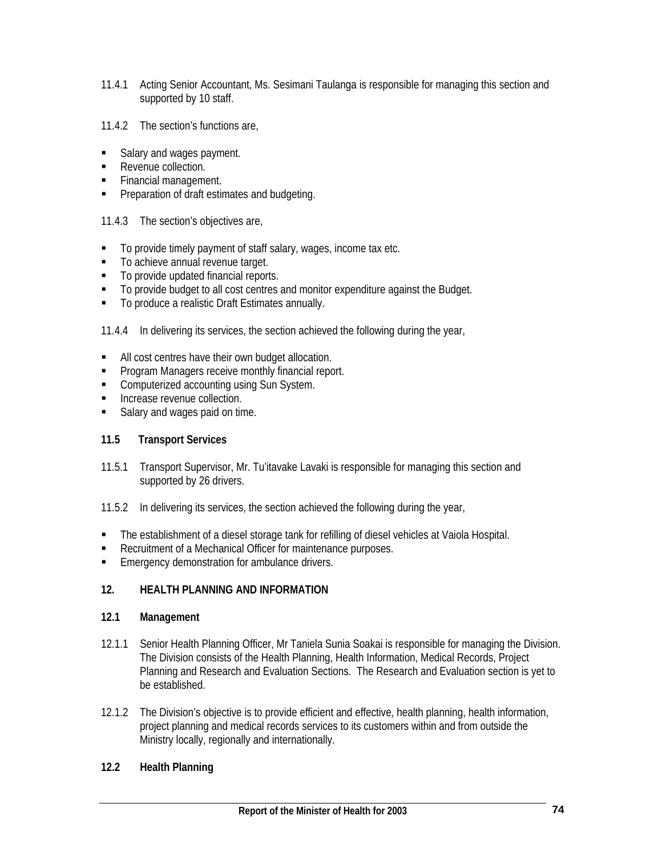- 11.4.1 Acting Senior Accountant, Ms. Sesimani Taulanga is responsible for managing this section and supported by 10 staff.
- 11.4.2 The section's functions are,
- Salary and wages payment.
- Revenue collection.
- **Financial management.**
- **Preparation of draft estimates and budgeting.**
- 11.4.3 The section's objectives are,
- To provide timely payment of staff salary, wages, income tax etc.
- **To achieve annual revenue target.**
- To provide updated financial reports.
- To provide budget to all cost centres and monitor expenditure against the Budget.
- To produce a realistic Draft Estimates annually.

11.4.4 In delivering its services, the section achieved the following during the year,

- All cost centres have their own budget allocation.
- **Program Managers receive monthly financial report.**
- **EXECOMPUTER COMPUTER 2** Computerized accounting using Sun System.
- **Increase revenue collection.**
- Salary and wages paid on time.

# **11.5 Transport Services**

- 11.5.1 Transport Supervisor, Mr. Tu'itavake Lavaki is responsible for managing this section and supported by 26 drivers.
- 11.5.2 In delivering its services, the section achieved the following during the year,
- **The establishment of a diesel storage tank for refilling of diesel vehicles at Vaiola Hospital.**
- Recruitment of a Mechanical Officer for maintenance purposes.
- **Emergency demonstration for ambulance drivers.**

# **12. HEALTH PLANNING AND INFORMATION**

#### **12.1 Management**

- 12.1.1 Senior Health Planning Officer, Mr Taniela Sunia Soakai is responsible for managing the Division. The Division consists of the Health Planning, Health Information, Medical Records, Project Planning and Research and Evaluation Sections. The Research and Evaluation section is yet to be established.
- 12.1.2 The Division's objective is to provide efficient and effective, health planning, health information, project planning and medical records services to its customers within and from outside the Ministry locally, regionally and internationally.

#### **12.2 Health Planning**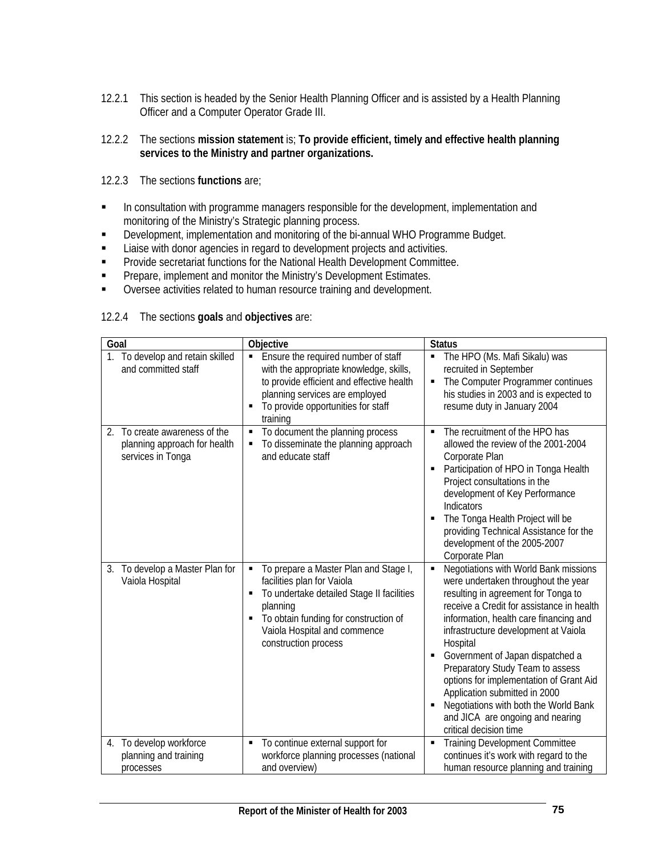- 12.2.1 This section is headed by the Senior Health Planning Officer and is assisted by a Health Planning Officer and a Computer Operator Grade III.
- 12.2.2 The sections **mission statement** is; **To provide efficient, timely and effective health planning services to the Ministry and partner organizations.**
- 12.2.3 The sections **functions** are;
- **In consultation with programme managers responsible for the development, implementation and** monitoring of the Ministry's Strategic planning process.
- **Development, implementation and monitoring of the bi-annual WHO Programme Budget.**
- **EXECT** Liaise with donor agencies in regard to development projects and activities.
- **Provide secretariat functions for the National Health Development Committee.**
- **Prepare, implement and monitor the Ministry's Development Estimates.**
- **Diversee activities related to human resource training and development.**

| Goal                                                                               | Objective                                                                                                                                                                                                                                    | <b>Status</b>                                                                                                                                                                                                                                                                                                                                                                                                                                                                                                                               |
|------------------------------------------------------------------------------------|----------------------------------------------------------------------------------------------------------------------------------------------------------------------------------------------------------------------------------------------|---------------------------------------------------------------------------------------------------------------------------------------------------------------------------------------------------------------------------------------------------------------------------------------------------------------------------------------------------------------------------------------------------------------------------------------------------------------------------------------------------------------------------------------------|
| 1. To develop and retain skilled<br>and committed staff                            | Ensure the required number of staff<br>$\blacksquare$<br>with the appropriate knowledge, skills,<br>to provide efficient and effective health<br>planning services are employed<br>To provide opportunities for staff<br>training            | The HPO (Ms. Mafi Sikalu) was<br>٠<br>recruited in September<br>The Computer Programmer continues<br>٠<br>his studies in 2003 and is expected to<br>resume duty in January 2004                                                                                                                                                                                                                                                                                                                                                             |
| 2. To create awareness of the<br>planning approach for health<br>services in Tonga | To document the planning process<br>٠<br>To disseminate the planning approach<br>and educate staff                                                                                                                                           | The recruitment of the HPO has<br>allowed the review of the 2001-2004<br>Corporate Plan<br>Participation of HPO in Tonga Health<br>Project consultations in the<br>development of Key Performance<br>Indicators<br>The Tonga Health Project will be<br>providing Technical Assistance for the<br>development of the 2005-2007<br>Corporate Plan                                                                                                                                                                                             |
| 3. To develop a Master Plan for<br>Vaiola Hospital                                 | To prepare a Master Plan and Stage I,<br>٠<br>facilities plan for Vaiola<br>To undertake detailed Stage II facilities<br>п<br>planning<br>To obtain funding for construction of<br>п<br>Vaiola Hospital and commence<br>construction process | Negotiations with World Bank missions<br>$\blacksquare$<br>were undertaken throughout the year<br>resulting in agreement for Tonga to<br>receive a Credit for assistance in health<br>information, health care financing and<br>infrastructure development at Vaiola<br>Hospital<br>Government of Japan dispatched a<br>Preparatory Study Team to assess<br>options for implementation of Grant Aid<br>Application submitted in 2000<br>Negotiations with both the World Bank<br>and JICA are ongoing and nearing<br>critical decision time |
| 4. To develop workforce<br>planning and training<br>processes                      | To continue external support for<br>٠<br>workforce planning processes (national<br>and overview)                                                                                                                                             | <b>Training Development Committee</b><br>٠<br>continues it's work with regard to the<br>human resource planning and training                                                                                                                                                                                                                                                                                                                                                                                                                |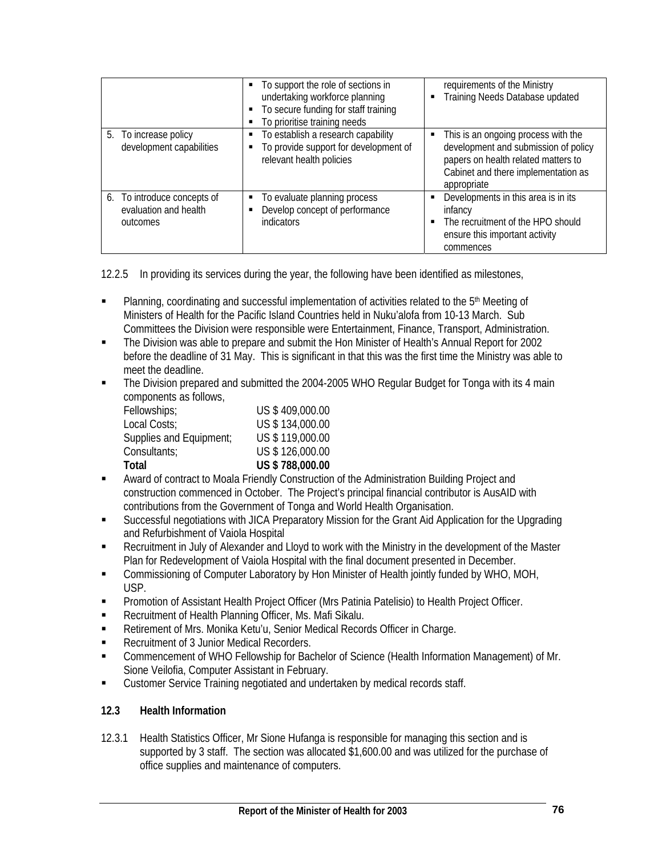|                                                                  | • To support the role of sections in<br>undertaking workforce planning<br>• To secure funding for staff training<br>To prioritise training needs | requirements of the Ministry<br>Training Needs Database updated                                                                                                          |
|------------------------------------------------------------------|--------------------------------------------------------------------------------------------------------------------------------------------------|--------------------------------------------------------------------------------------------------------------------------------------------------------------------------|
| 5. To increase policy<br>development capabilities                | To establish a research capability<br>To provide support for development of<br>٠<br>relevant health policies                                     | This is an ongoing process with the<br>development and submission of policy<br>papers on health related matters to<br>Cabinet and there implementation as<br>appropriate |
| 6. To introduce concepts of<br>evaluation and health<br>outcomes | To evaluate planning process<br>Develop concept of performance<br>٠<br>indicators                                                                | Developments in this area is in its<br>infancy<br>The recruitment of the HPO should<br>ensure this important activity<br>commences                                       |

12.2.5 In providing its services during the year, the following have been identified as milestones,

- **Planning, coordinating and successful implementation of activities related to the 5<sup>th</sup> Meeting of** Ministers of Health for the Pacific Island Countries held in Nuku'alofa from 10-13 March. Sub Committees the Division were responsible were Entertainment, Finance, Transport, Administration.
- The Division was able to prepare and submit the Hon Minister of Health's Annual Report for 2002 before the deadline of 31 May. This is significant in that this was the first time the Ministry was able to meet the deadline.
- The Division prepared and submitted the 2004-2005 WHO Regular Budget for Tonga with its 4 main components as follows,

| Fellowships;            | US \$409,000.00 |
|-------------------------|-----------------|
| Local Costs;            | US \$134,000.00 |
| Supplies and Equipment; | US \$119,000.00 |
| Consultants;            | US \$126,000.00 |
| Total                   | US \$788,000.00 |

- Award of contract to Moala Friendly Construction of the Administration Building Project and construction commenced in October. The Project's principal financial contributor is AusAID with contributions from the Government of Tonga and World Health Organisation.
- Successful negotiations with JICA Preparatory Mission for the Grant Aid Application for the Upgrading and Refurbishment of Vaiola Hospital
- Recruitment in July of Alexander and Lloyd to work with the Ministry in the development of the Master Plan for Redevelopment of Vaiola Hospital with the final document presented in December.
- Commissioning of Computer Laboratory by Hon Minister of Health jointly funded by WHO, MOH, USP.
- Promotion of Assistant Health Project Officer (Mrs Patinia Patelisio) to Health Project Officer.
- **Recruitment of Health Planning Officer, Ms. Mafi Sikalu.**
- Retirement of Mrs. Monika Ketu'u, Senior Medical Records Officer in Charge.
- Recruitment of 3 Junior Medical Recorders.
- Commencement of WHO Fellowship for Bachelor of Science (Health Information Management) of Mr. Sione Veilofia, Computer Assistant in February.
- Customer Service Training negotiated and undertaken by medical records staff.

# **12.3 Health Information**

12.3.1 Health Statistics Officer, Mr Sione Hufanga is responsible for managing this section and is supported by 3 staff. The section was allocated \$1,600.00 and was utilized for the purchase of office supplies and maintenance of computers.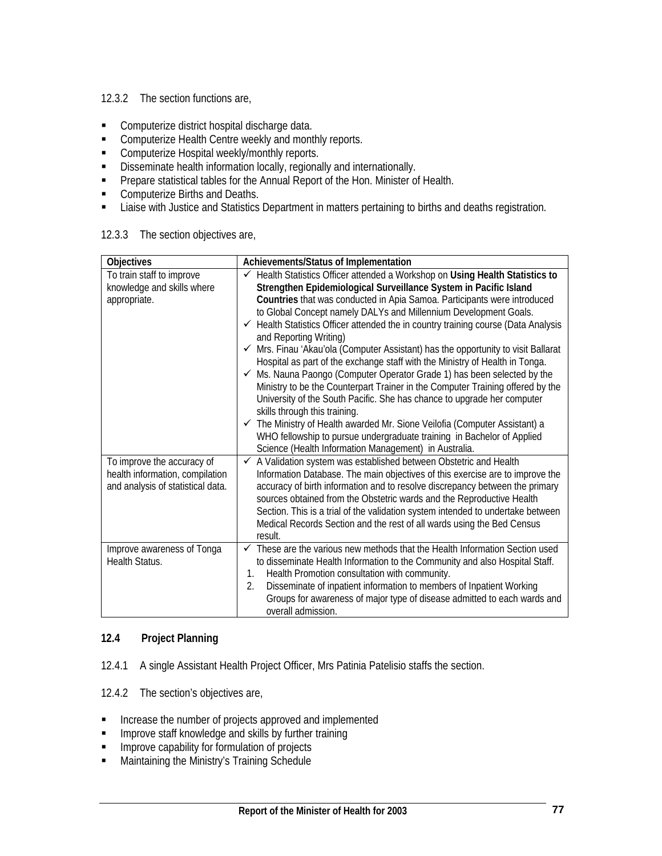### 12.3.2 The section functions are,

- **Computerize district hospital discharge data.**
- **Computerize Health Centre weekly and monthly reports.**
- **Computerize Hospital weekly/monthly reports.**
- **Disseminate health information locally, regionally and internationally.**
- **Prepare statistical tables for the Annual Report of the Hon. Minister of Health.**
- **Computerize Births and Deaths.**
- Liaise with Justice and Statistics Department in matters pertaining to births and deaths registration.

#### **Objectives** Achievements/Status of Implementation To train staff to improve knowledge and skills where appropriate. 9 Health Statistics Officer attended a Workshop on **Using Health Statistics to Strengthen Epidemiological Surveillance System in Pacific Island Countries** that was conducted in Apia Samoa. Participants were introduced to Global Concept namely DALYs and Millennium Development Goals.  $\checkmark$  Health Statistics Officer attended the in country training course (Data Analysis and Reporting Writing)  $\checkmark$  Mrs. Finau 'Akau'ola (Computer Assistant) has the opportunity to visit Ballarat Hospital as part of the exchange staff with the Ministry of Health in Tonga.  $\checkmark$  Ms. Nauna Paongo (Computer Operator Grade 1) has been selected by the Ministry to be the Counterpart Trainer in the Computer Training offered by the University of the South Pacific. She has chance to upgrade her computer skills through this training.  $\checkmark$  The Ministry of Health awarded Mr. Sione Veilofia (Computer Assistant) a WHO fellowship to pursue undergraduate training in Bachelor of Applied Science (Health Information Management) in Australia. To improve the accuracy of health information, compilation and analysis of statistical data.  $\checkmark$  A Validation system was established between Obstetric and Health Information Database. The main objectives of this exercise are to improve the accuracy of birth information and to resolve discrepancy between the primary sources obtained from the Obstetric wards and the Reproductive Health Section. This is a trial of the validation system intended to undertake between Medical Records Section and the rest of all wards using the Bed Census result. Improve awareness of Tonga Health Status. These are the various new methods that the Health Information Section used to disseminate Health Information to the Community and also Hospital Staff. 1. Health Promotion consultation with community. 2. Disseminate of inpatient information to members of Inpatient Working Groups for awareness of major type of disease admitted to each wards and overall admission.

### 12.3.3 The section objectives are,

# **12.4 Project Planning**

- 12.4.1 A single Assistant Health Project Officer, Mrs Patinia Patelisio staffs the section.
- 12.4.2 The section's objectives are,
- **Increase the number of projects approved and implemented**
- Improve staff knowledge and skills by further training
- **IMPROVE CAPABILITY FOR THE IMPROVE CAPABILITY FOR THE IMPROVE CAPABILITY**
- **Maintaining the Ministry's Training Schedule**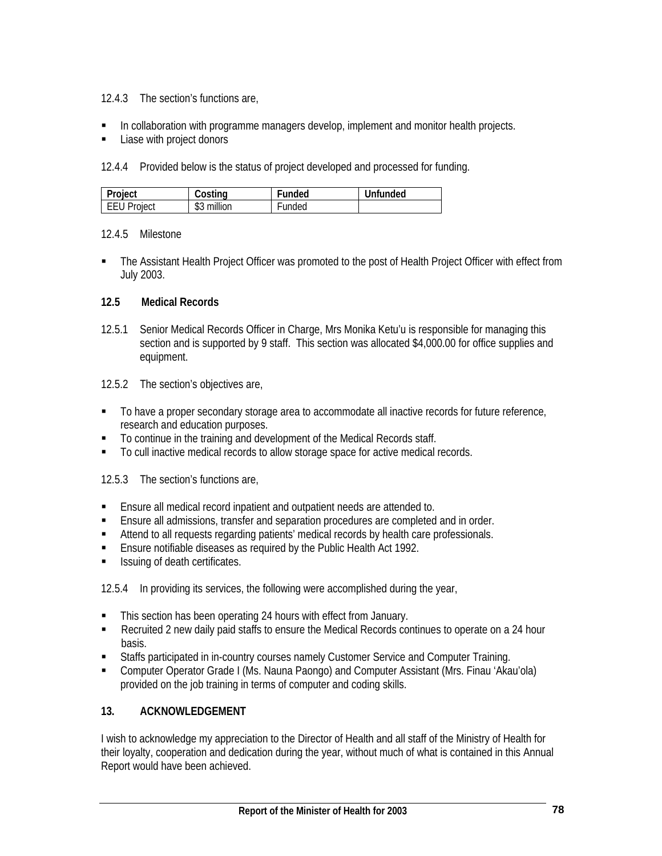# 12.4.3 The section's functions are,

- In collaboration with programme managers develop, implement and monitor health projects.
- **Liase with project donors**

12.4.4 Provided below is the status of project developed and processed for funding.

| Project            | Costing              | Funded | Unfunded |
|--------------------|----------------------|--------|----------|
| <b>EEU Project</b> | ለሰ<br>million<br>JJ. | Funded |          |

# 12.4.5 Milestone

• The Assistant Health Project Officer was promoted to the post of Health Project Officer with effect from July 2003.

# **12.5 Medical Records**

- 12.5.1 Senior Medical Records Officer in Charge, Mrs Monika Ketu'u is responsible for managing this section and is supported by 9 staff. This section was allocated \$4,000.00 for office supplies and equipment.
- 12.5.2 The section's objectives are,
- To have a proper secondary storage area to accommodate all inactive records for future reference, research and education purposes.
- $\blacksquare$  To continue in the training and development of the Medical Records staff.
- To cull inactive medical records to allow storage space for active medical records.

12.5.3 The section's functions are,

- Ensure all medical record inpatient and outpatient needs are attended to.
- Ensure all admissions, transfer and separation procedures are completed and in order.
- Attend to all requests regarding patients' medical records by health care professionals.
- **Ensure notifiable diseases as required by the Public Health Act 1992.**
- **Issuing of death certificates.**

12.5.4 In providing its services, the following were accomplished during the year,

- This section has been operating 24 hours with effect from January.
- **EXECT** Recruited 2 new daily paid staffs to ensure the Medical Records continues to operate on a 24 hour basis.
- Staffs participated in in-country courses namely Customer Service and Computer Training.
- Computer Operator Grade I (Ms. Nauna Paongo) and Computer Assistant (Mrs. Finau 'Akau'ola) provided on the job training in terms of computer and coding skills.

# **13. ACKNOWLEDGEMENT**

I wish to acknowledge my appreciation to the Director of Health and all staff of the Ministry of Health for their loyalty, cooperation and dedication during the year, without much of what is contained in this Annual Report would have been achieved.